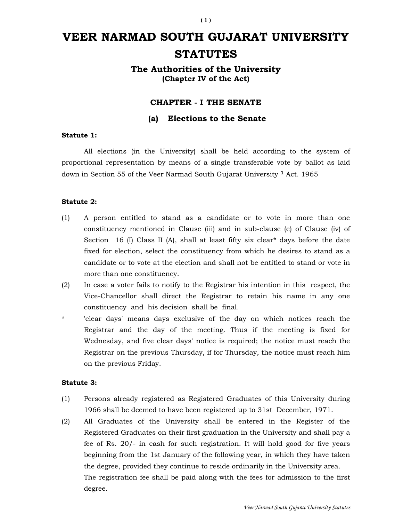# VEER NARMAD SOUTH GUJARAT UNIVERSITY **STATUTES**

The Authorities of the University (Chapter IV of the Act)

# CHAPTER - I THE SENATE

## (a) Elections to the Senate

## Statute 1:

 All elections (in the University) shall be held according to the system of proportional representation by means of a single transferable vote by ballot as laid down in Section 55 of the Veer Narmad South Gujarat University <sup>1</sup> Act. 1965

## Statute 2:

- (1) A person entitled to stand as a candidate or to vote in more than one constituency mentioned in Clause (iii) and in sub-clause (e) of Clause (iv) of Section 16 (I) Class II (A), shall at least fifty six clear<sup>\*</sup> days before the date fixed for election, select the constituency from which he desires to stand as a candidate or to vote at the election and shall not be entitled to stand or vote in more than one constituency.
- (2) In case a voter fails to notify to the Registrar his intention in this respect, the Vice-Chancellor shall direct the Registrar to retain his name in any one constituency and his decision shall be final.
- \* 'clear days' means days exclusive of the day on which notices reach the Registrar and the day of the meeting. Thus if the meeting is fixed for Wednesday, and five clear days' notice is required; the notice must reach the Registrar on the previous Thursday, if for Thursday, the notice must reach him on the previous Friday.

#### Statute 3:

- (1) Persons already registered as Registered Graduates of this University during 1966 shall be deemed to have been registered up to 31st December, 1971.
- (2) All Graduates of the University shall be entered in the Register of the Registered Graduates on their first graduation in the University and shall pay a fee of Rs. 20/- in cash for such registration. It will hold good for five years beginning from the 1st January of the following year, in which they have taken the degree, provided they continue to reside ordinarily in the University area. The registration fee shall be paid along with the fees for admission to the first degree.

 $(1)$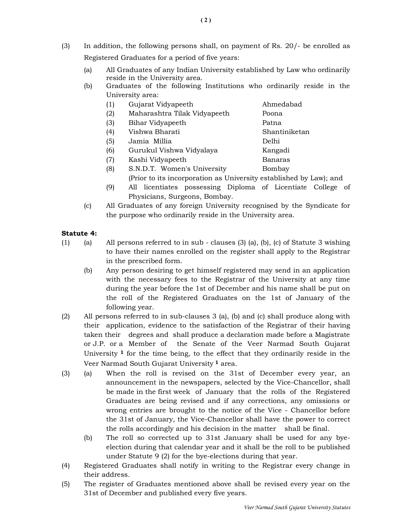- (3) In addition, the following persons shall, on payment of Rs. 20/- be enrolled as Registered Graduates for a period of five years:
	- (a) All Graduates of any Indian University established by Law who ordinarily reside in the University area.
	- (b) Graduates of the following Institutions who ordinarily reside in the University area:
		- (1) Gujarat Vidyapeeth Ahmedabad
		- (2) Maharashtra Tilak Vidyapeeth Poona
		- (3) Bihar Vidyapeeth Patna
		- (4) Vishwa Bharati Shantiniketan
		- (5) Jamia Millia Delhi
		- (6) Gurukul Vishwa Vidyalaya Kangadi
		- (7) Kashi Vidyapeeth Banaras
		- (8) S.N.D.T. Women's University Bombay
			- (Prior to its incorporation as University established by Law); and
		- (9) All licentiates possessing Diploma of Licentiate College of Physicians, Surgeons, Bombay.
	- (c) All Graduates of any foreign University recognised by the Syndicate for the purpose who ordinarily reside in the University area.

# Statute 4:

- (1) (a) All persons referred to in sub clauses (3) (a), (b), (c) of Statute 3 wishing to have their names enrolled on the register shall apply to the Registrar in the prescribed form.
	- (b) Any person desiring to get himself registered may send in an application with the necessary fees to the Registrar of the University at any time during the year before the 1st of December and his name shall be put on the roll of the Registered Graduates on the 1st of January of the following year.
- (2) All persons referred to in sub-clauses 3 (a), (b) and (c) shall produce along with their application, evidence to the satisfaction of the Registrar of their having taken their degrees and shall produce a declaration made before a Magistrate or J.P. or a Member of the Senate of the Veer Narmad South Gujarat University  $\frac{1}{1}$  for the time being, to the effect that they ordinarily reside in the Veer Narmad South Gujarat University 1 area.
- (3) (a) When the roll is revised on the 31st of December every year, an announcement in the newspapers, selected by the Vice-Chancellor, shall be made in the first week of January that the rolls of the Registered Graduates are being revised and if any corrections, any omissions or wrong entries are brought to the notice of the Vice - Chancellor before the 31st of January, the Vice-Chancellor shall have the power to correct the rolls accordingly and his decision in the matter shall be final.
	- (b) The roll so corrected up to 31st January shall be used for any byeelection during that calendar year and it shall be the roll to be published under Statute 9 (2) for the bye-elections during that year.
- (4) Registered Graduates shall notify in writing to the Registrar every change in their address.
- (5) The register of Graduates mentioned above shall be revised every year on the 31st of December and published every five years.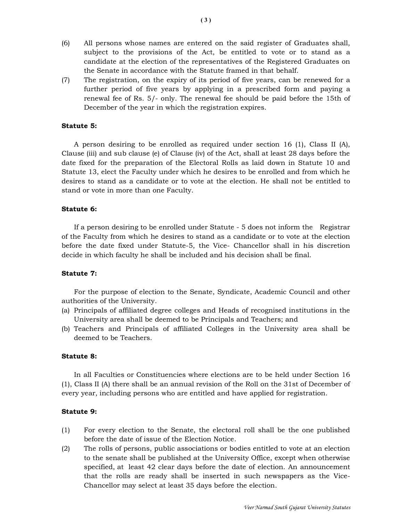- (6) All persons whose names are entered on the said register of Graduates shall, subject to the provisions of the Act, be entitled to vote or to stand as a candidate at the election of the representatives of the Registered Graduates on the Senate in accordance with the Statute framed in that behalf.
- (7) The registration, on the expiry of its period of five years, can be renewed for a further period of five years by applying in a prescribed form and paying a renewal fee of Rs. 5/- only. The renewal fee should be paid before the 15th of December of the year in which the registration expires.

## Statute 5:

 A person desiring to be enrolled as required under section 16 (1), Class II (A), Clause (iii) and sub clause (e) of Clause (iv) of the Act, shall at least 28 days before the date fixed for the preparation of the Electoral Rolls as laid down in Statute 10 and Statute 13, elect the Faculty under which he desires to be enrolled and from which he desires to stand as a candidate or to vote at the election. He shall not be entitled to stand or vote in more than one Faculty.

#### Statute 6:

 If a person desiring to be enrolled under Statute - 5 does not inform the Registrar of the Faculty from which he desires to stand as a candidate or to vote at the election before the date fixed under Statute-5, the Vice- Chancellor shall in his discretion decide in which faculty he shall be included and his decision shall be final.

## Statute 7:

 For the purpose of election to the Senate, Syndicate, Academic Council and other authorities of the University.

- (a) Principals of affiliated degree colleges and Heads of recognised institutions in the University area shall be deemed to be Principals and Teachers; and
- (b) Teachers and Principals of affiliated Colleges in the University area shall be deemed to be Teachers.

#### Statute 8:

 In all Faculties or Constituencies where elections are to be held under Section 16 (1), Class II (A) there shall be an annual revision of the Roll on the 31st of December of every year, including persons who are entitled and have applied for registration.

#### Statute 9:

- (1) For every election to the Senate, the electoral roll shall be the one published before the date of issue of the Election Notice.
- (2) The rolls of persons, public associations or bodies entitled to vote at an election to the senate shall be published at the University Office, except when otherwise specified, at least 42 clear days before the date of election. An announcement that the rolls are ready shall be inserted in such newspapers as the Vice-Chancellor may select at least 35 days before the election.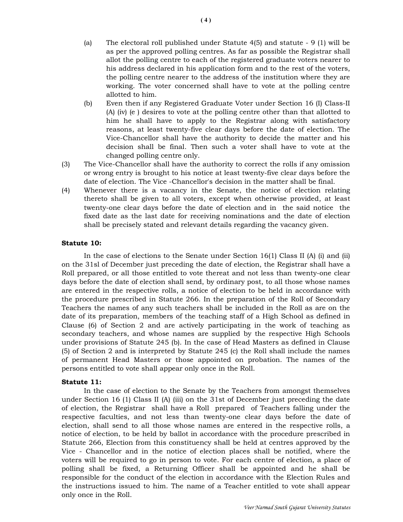- allot the polling centre to each of the registered graduate voters nearer to his address declared in his application form and to the rest of the voters, the polling centre nearer to the address of the institution where they are working. The voter concerned shall have to vote at the polling centre allotted to him.
- (b) Even then if any Registered Graduate Voter under Section 16 (I) Class-II (A) (iv) (e ) desires to vote at the polling centre other than that allotted to him he shall have to apply to the Registrar along with satisfactory reasons, at least twenty-five clear days before the date of election. The Vice-Chancellor shall have the authority to decide the matter and his decision shall be final. Then such a voter shall have to vote at the changed polling centre only.
- (3) The Vice-Chancellor shall have the authority to correct the rolls if any omission or wrong entry is brought to his notice at least twenty-five clear days before the date of election. The Vice -Chancellor's decision in the matter shall be final.
- (4) Whenever there is a vacancy in the Senate, the notice of election relating thereto shall be given to all voters, except when otherwise provided, at least twenty-one clear days before the date of election and in the said notice the fixed date as the last date for receiving nominations and the date of election shall be precisely stated and relevant details regarding the vacancy given.

# Statute 10:

 In the case of elections to the Senate under Section 16(1) Class II (A) (i) and (ii) on the 31sl of December just preceding the date of election, the Registrar shall have a Roll prepared, or all those entitled to vote thereat and not less than twenty-one clear days before the date of election shall send, by ordinary post, to all those whose names are entered in the respective rolls, a notice of election to be held in accordance with the procedure prescribed in Statute 266. In the preparation of the Roll of Secondary Teachers the names of any such teachers shall be included in the Roll as are on the date of its preparation, members of the teaching staff of a High School as defined in Clause (6) of Section 2 and are actively participating in the work of teaching as secondary teachers, and whose names are supplied by the respective High Schools under provisions of Statute 245 (b). In the case of Head Masters as defined in Clause (5) of Section 2 and is interpreted by Statute 245 (c) the Roll shall include the names of permanent Head Masters or those appointed on probation. The names of the persons entitled to vote shall appear only once in the Roll.

# Statute 11:

 In the case of election to the Senate by the Teachers from amongst themselves under Section 16 (1) Class II (A) (iii) on the 31st of December just preceding the date of election, the Registrar shall have a Roll prepared of Teachers falling under the respective faculties, and not less than twenty-one clear days before the date of election, shall send to all those whose names are entered in the respective rolls, a notice of election, to be held by ballot in accordance with the procedure prescribed in Statute 266, Election from this constituency shall be held at centres approved by the Vice - Chancellor and in the notice of election places shall be notified, where the voters will be required to go in person to vote. For each centre of election, a place of polling shall be fixed, a Returning Officer shall be appointed and he shall be responsible for the conduct of the election in accordance with the Election Rules and the instructions issued to him. The name of a Teacher entitled to vote shall appear only once in the Roll.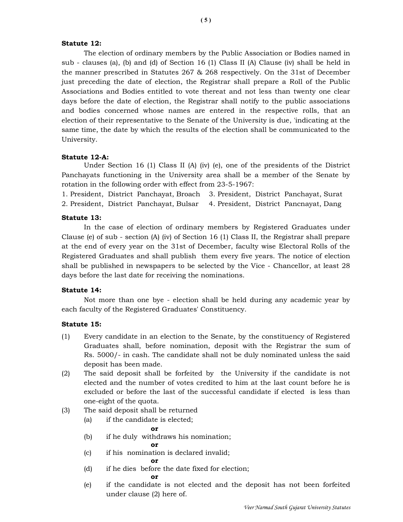## Statute 12:

 The election of ordinary members by the Public Association or Bodies named in sub - clauses (a), (b) and (d) of Section 16 (1) Class II (A) Clause (iv) shall be held in the manner prescribed in Statutes 267 & 268 respectively. On the 31st of December just preceding the date of election, the Registrar shall prepare a Roll of the Public Associations and Bodies entitled to vote thereat and not less than twenty one clear days before the date of election, the Registrar shall notify to the public associations and bodies concerned whose names are entered in the respective rolls, that an election of their representative to the Senate of the University is due, 'indicating at the same time, the date by which the results of the election shall be communicated to the University.

## Statute 12-A:

 Under Section 16 (1) Class II (A) (iv) (e), one of the presidents of the District Panchayats functioning in the University area shall be a member of the Senate by rotation in the following order with effect from 23-5-1967:

1. President, District Panchayat, Broach 3. President, District Panchayat, Surat 2. President, District Panchayat, Bulsar 4. President, District Pancnayat, Dang

## Statute 13:

 In the case of election of ordinary members by Registered Graduates under Clause (e) of sub - section (A) (iv) of Section 16 (1) Class II, the Registrar shall prepare at the end of every year on the 31st of December, faculty wise Electoral Rolls of the Registered Graduates and shall publish them every five years. The notice of election shall be published in newspapers to be selected by the Vice - Chancellor, at least 28 days before the last date for receiving the nominations.

## Statute 14:

 Not more than one bye - election shall be held during any academic year by each faculty of the Registered Graduates' Constituency.

## Statute 15:

- (1) Every candidate in an election to the Senate, by the constituency of Registered Graduates shall, before nomination, deposit with the Registrar the sum of Rs. 5000/- in cash. The candidate shall not be duly nominated unless the said deposit has been made.
- (2) The said deposit shall be forfeited by the University if the candidate is not elected and the number of votes credited to him at the last count before he is excluded or before the last of the successful candidate if elected is less than one-eight of the quota.
- (3) The said deposit shall be returned
	- (a) if the candidate is elected;

## **or** such a set of  $\alpha$

- (b) if he duly withdraws his nomination;
- **or** such a set of  $\alpha$ (c) if his nomination is declared invalid;
- **or** such a set of  $\alpha$ 
	- (d) if he dies before the date fixed for election;
- **or** such a set of  $\alpha$  (e) if the candidate is not elected and the deposit has not been forfeited under clause (2) here of.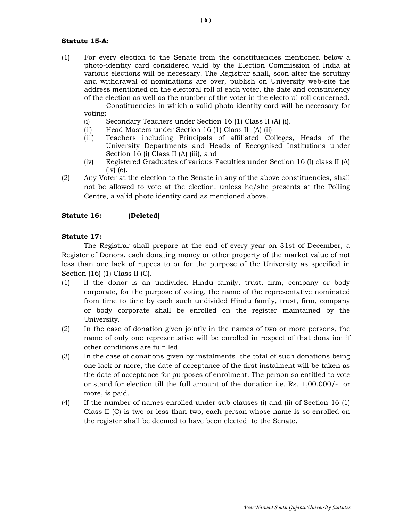## Statute 15-A:

(1) For every election to the Senate from the constituencies mentioned below a photo-identity card considered valid by the Election Commission of India at various elections will be necessary. The Registrar shall, soon after the scrutiny and withdrawal of nominations are over, publish on University web-site the address mentioned on the electoral roll of each voter, the date and constituency of the election as well as the number of the voter in the electoral roll concerned.

 Constituencies in which a valid photo identity card will be necessary for voting:

- (i) Secondary Teachers under Section 16 (1) Class II (A) (i).
- (ii) Head Masters under Section 16 (1) Class II (A) (ii)
- (iii) Teachers including Principals of affiliated Colleges, Heads of the University Departments and Heads of Recognised Institutions under Section 16 (i) Class II (A) (iii), and
- (iv) Registered Graduates of various Faculties under Section 16 (I) class II (A) (iv) (e).
- (2) Any Voter at the election to the Senate in any of the above constituencies, shall not be allowed to vote at the election, unless he/she presents at the Polling Centre, a valid photo identity card as mentioned above.

## Statute 16: (Deleted)

#### Statute 17:

 The Registrar shall prepare at the end of every year on 31st of December, a Register of Donors, each donating money or other property of the market value of not less than one lack of rupees to or for the purpose of the University as specified in Section (16) (1) Class II (C).

- (1) If the donor is an undivided Hindu family, trust, firm, company or body corporate, for the purpose of voting, the name of the representative nominated from time to time by each such undivided Hindu family, trust, firm, company or body corporate shall be enrolled on the register maintained by the University.
- (2) In the case of donation given jointly in the names of two or more persons, the name of only one representative will be enrolled in respect of that donation if other conditions are fulfilled.
- (3) In the case of donations given by instalments the total of such donations being one lack or more, the date of acceptance of the first instalment will be taken as the date of acceptance for purposes of enrolment. The person so entitled to vote or stand for election till the full amount of the donation i.e. Rs. 1,00,000/- or more, is paid.
- (4) If the number of names enrolled under sub-clauses (i) and (ii) of Section 16 (1) Class II (C) is two or less than two, each person whose name is so enrolled on the register shall be deemed to have been elected to the Senate.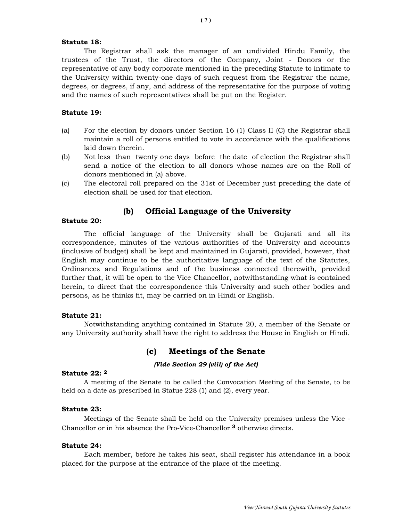#### Statute 18:

 The Registrar shall ask the manager of an undivided Hindu Family, the trustees of the Trust, the directors of the Company, Joint - Donors or the representative of any body corporate mentioned in the preceding Statute to intimate to the University within twenty-one days of such request from the Registrar the name, degrees, or degrees, if any, and address of the representative for the purpose of voting and the names of such representatives shall be put on the Register.

## Statute 19:

- (a) For the election by donors under Section 16 (1) Class II (C) the Registrar shall maintain a roll of persons entitled to vote in accordance with the qualifications laid down therein.
- (b) Not less than twenty one days before the date of election the Registrar shall send a notice of the election to all donors whose names are on the Roll of donors mentioned in (a) above.
- (c) The electoral roll prepared on the 31st of December just preceding the date of election shall be used for that election.

## (b) Official Language of the University

#### Statute 20:

 The official language of the University shall be Gujarati and all its correspondence, minutes of the various authorities of the University and accounts (inclusive of budget) shall be kept and maintained in Gujarati, provided, however, that English may continue to be the authoritative language of the text of the Statutes, Ordinances and Regulations and of the business connected therewith, provided further that, it will be open to the Vice Chancellor, notwithstanding what is contained herein, to direct that the correspondence this University and such other bodies and persons, as he thinks fit, may be carried on in Hindi or English.

#### Statute 21:

 Notwithstanding anything contained in Statute 20, a member of the Senate or any University authority shall have the right to address the House in English or Hindi.

## (c) Meetings of the Senate

#### (Vide Section 29 (viii) of the Act)

## Statute 22: <sup>2</sup>

 A meeting of the Senate to be called the Convocation Meeting of the Senate, to be held on a date as prescribed in Statue 228 (1) and (2), every year.

#### Statute 23:

 Meetings of the Senate shall be held on the University premises unless the Vice - Chancellor or in his absence the Pro-Vice-Chancellor 3 otherwise directs.

#### Statute 24:

 Each member, before he takes his seat, shall register his attendance in a book placed for the purpose at the entrance of the place of the meeting.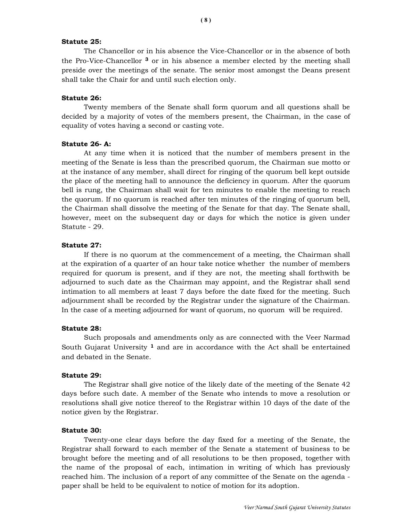## Statute 25:

 The Chancellor or in his absence the Vice-Chancellor or in the absence of both the Pro-Vice-Chancellor 3 or in his absence a member elected by the meeting shall preside over the meetings of the senate. The senior most amongst the Deans present shall take the Chair for and until such election only.

#### Statute 26:

 Twenty members of the Senate shall form quorum and all questions shall be decided by a majority of votes of the members present, the Chairman, in the case of equality of votes having a second or casting vote.

#### Statute 26- A:

 At any time when it is noticed that the number of members present in the meeting of the Senate is less than the prescribed quorum, the Chairman sue motto or at the instance of any member, shall direct for ringing of the quorum bell kept outside the place of the meeting hall to announce the deficiency in quorum. After the quorum bell is rung, the Chairman shall wait for ten minutes to enable the meeting to reach the quorum. If no quorum is reached after ten minutes of the ringing of quorum bell, the Chairman shall dissolve the meeting of the Senate for that day. The Senate shall, however, meet on the subsequent day or days for which the notice is given under Statute - 29.

#### Statute 27:

 If there is no quorum at the commencement of a meeting, the Chairman shall at the expiration of a quarter of an hour take notice whether the number of members required for quorum is present, and if they are not, the meeting shall forthwith be adjourned to such date as the Chairman may appoint, and the Registrar shall send intimation to all members at least 7 days before the date fixed for the meeting. Such adjournment shall be recorded by the Registrar under the signature of the Chairman. In the case of a meeting adjourned for want of quorum, no quorum will be required.

#### Statute 28:

 Such proposals and amendments only as are connected with the Veer Narmad South Gujarat University  $1$  and are in accordance with the Act shall be entertained and debated in the Senate.

#### Statute 29:

 The Registrar shall give notice of the likely date of the meeting of the Senate 42 days before such date. A member of the Senate who intends to move a resolution or resolutions shall give notice thereof to the Registrar within 10 days of the date of the notice given by the Registrar.

#### Statute 30:

 Twenty-one clear days before the day fixed for a meeting of the Senate, the Registrar shall forward to each member of the Senate a statement of business to be brought before the meeting and of all resolutions to be then proposed, together with the name of the proposal of each, intimation in writing of which has previously reached him. The inclusion of a report of any committee of the Senate on the agenda paper shall be held to be equivalent to notice of motion for its adoption.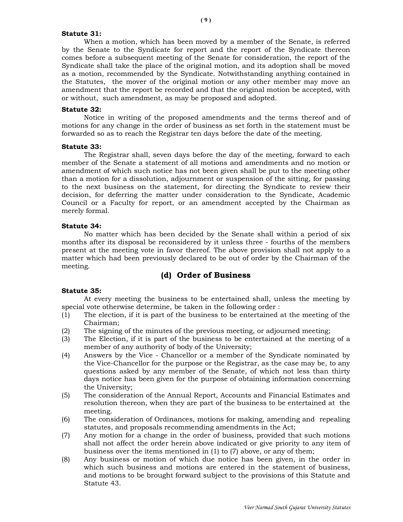#### Statute 31:

 When a motion, which has been moved by a member of the Senate, is referred by the Senate to the Syndicate for report and the report of the Syndicate thereon comes before a subsequent meeting of the Senate for consideration, the report of the Syndicate shall take the place of the original motion, and its adoption shall be moved as a motion, recommended by the Syndicate. Notwithstanding anything contained in the Statutes, the mover of the original motion or any other member may move an amendment that the report be recorded and that the original motion be accepted, with or without, such amendment, as may be proposed and adopted.

#### Statute 32:

 Notice in writing of the proposed amendments and the terms thereof and of motions for any change in the order of business as set forth in the statement must be forwarded so as to reach the Registrar ten days before the date of the meeting.

#### Statute 33:

 The Registrar shall, seven days before the day of the meeting, forward to each member of the Senate a statement of all motions and amendments and no motion or amendment of which such notice has not been given shall be put to the meeting other than a motion for a dissolution, adjournment or suspension of the sitting, for passing to the next business on the statement, for directing the Syndicate to review their decision, for deferring the matter under consideration to the Syndicate, Academic Council or a Faculty for report, or an amendment accepted by the Chairman as merely formal.

#### Statute 34:

 No matter which has been decided by the Senate shall within a period of six months after its disposal be reconsidered by it unless three - fourths of the members present at the meeting vote in favor thereof. The above provision shall not apply to a matter which had been previously declared to be out of order by the Chairman of the meeting.

# (d) Order of Business

#### Statute 35:

 At every meeting the business to be entertained shall, unless the meeting by special vote otherwise determine, be taken in the following order :

- (1) The election, if it is part of the business to be entertained at the meeting of the Chairman;
- (2) The signing of the minutes of the previous meeting, or adjourned meeting;
- (3) The Election, if it is part of the business to be entertained at the meeting of a member of any authority of body of the University;
- (4) Answers by the Vice Chancellor or a member of the Syndicate nominated by the Vice-Chancellor for the purpose or the Registrar, as the case may be, to any questions asked by any member of the Senate, of which not less than thirty days notice has been given for the purpose of obtaining information concerning the University;
- (5) The consideration of the Annual Report, Accounts and Financial Estimates and resolution thereon, when they are part of the business to be entertained at the meeting.
- (6) The consideration of Ordinances, motions for making, amending and repealing statutes, and proposals recommending amendments in the Act;
- (7) Any motion for a change in the order of business, provided that such motions shall not affect the order herein above indicated or give priority to any item of business over the items mentioned in (1) to (7) above, or any of them;
- (8) Any business or motion of which due notice has been given, in the order in which such business and motions are entered in the statement of business, and motions to be brought forward subject to the provisions of this Statute and Statute 43.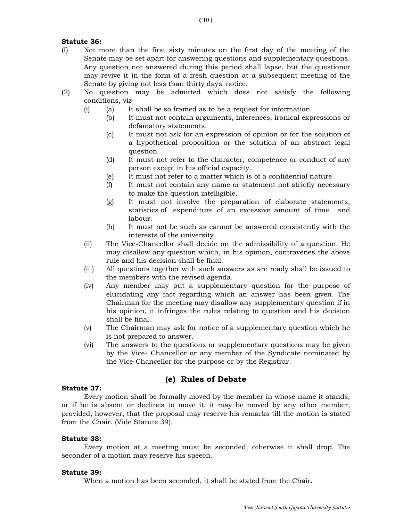## Statute 36:

- (I) Not more than the first sixty minutes on the first day of the meeting of the Senate may be set apart for answering questions and supplementary questions. Any question not answered during this period shall lapse, but the questioner may revive it in the form of a fresh question at a subsequent meeting of the Senate by giving not less than thirty days' notice.
- (2) No question may be admitted which does not satisfy the following conditions, viz-
	- (i) (a) It shall be so framed as to be a request for information.
		- (b) It must not contain arguments, inferences, ironical expressions or defamatory statements.
		- (c) It must not ask for an expression of opinion or for the solution of a hypothetical proposition or the solution of an abstract legal question.
		- (d) It must not refer to the character, competence or conduct of any person except in his official capacity.
		- (e) It must not refer to a matter which is of a confidential nature.
		- (f) It must not contain any name or statement not strictly necessary to make the question intelligible.
		- (g) It must not involve the preparation of elaborate statements, statistics of expenditure of an excessive amount of time and labour.
		- (h) It must not be such as cannot be answered consistently with the interests of the university.
	- (ii) The Vice-Chancellor shall decide on the admissibility of a question. He may disallow any question which, in his opinion, contravenes the above rule and his decision shall be final.
	- (iii) All questions together with such answers as are ready shall be issued to the members with the revised agenda.
	- (iv) Any member may put a supplementary question for the purpose of elucidating any fact regarding which an answer has been given. The Chairman for the meeting may disallow any supplementary question if in his opinion, it infringes the rules relating to question and his decision shall be final.
	- (v) The Chairman may ask for notice of a supplementary question which he is not prepared to answer.
	- (vi) The answers to the questions or supplementary questions may be given by the Vice- Chancellor or any member of the Syndicate nominated by the Vice-Chancellor for the purpose or by the Registrar.

# (e) Rules of Debate

## Statute 37:

 Every motion shall be formally moved by the member in whose name it stands, or if he is absent or declines to move it, it may be moved by any other member, provided, however, that the proposal may reserve his remarks till the motion is stated from the Chair. (Vide Statute 39).

## Statute 38:

 Every motion at a meeting must be seconded; otherwise it shall drop. The seconder of a motion may reserve his speech.

## Statute 39:

When a motion has been seconded, it shall be stated from the Chair.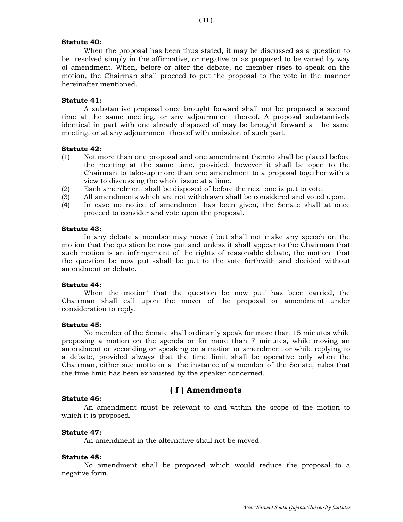## Statute 40:

 When the proposal has been thus stated, it may be discussed as a question to be resolved simply in the affirmative, or negative or as proposed to be varied by way of amendment. When, before or after the debate, no member rises to speak on the motion, the Chairman shall proceed to put the proposal to the vote in the manner hereinafter mentioned.

#### Statute 41:

 A substantive proposal once brought forward shall not be proposed a second time at the same meeting, or any adjournment thereof. A proposal substantively identical in part with one already disposed of may be brought forward at the same meeting, or at any adjournment thereof with omission of such part.

#### Statute 42:

- (1) Not more than one proposal and one amendment thereto shall be placed before the meeting at the same time, provided, however it shall be open to the Chairman to take-up more than one amendment to a proposal together with a view to discussing the whole issue at a lime.
- (2) Each amendment shall be disposed of before the next one is put to vote.
- (3) All amendments which are not withdrawn shall be considered and voted upon.
- (4) In case no notice of amendment has been given, the Senate shall at once proceed to consider and vote upon the proposal.

## Statute 43:

 In any debate a member may move ( but shall not make any speech on the motion that the question be now put and unless it shall appear to the Chairman that such motion is an infringement of the rights of reasonable debate, the motion that the question be now put -shall be put to the vote forthwith and decided without amendment or debate.

## Statute 44:

 When the motion' that the question be now put' has been carried, the Chairman shall call upon the mover of the proposal or amendment under consideration to reply.

#### Statute 45:

 No member of the Senate shall ordinarily speak for more than 15 minutes while proposing a motion on the agenda or for more than 7 minutes, while moving an amendment or seconding or speaking on a motion or amendment or while replying to a debate, provided always that the time limit shall be operative only when the Chairman, either sue motto or at the instance of a member of the Senate, rules that the time limit has been exhausted by the speaker concerned.

# ( f ) Amendments

#### Statute 46:

 An amendment must be relevant to and within the scope of the motion to which it is proposed.

#### Statute 47:

An amendment in the alternative shall not be moved.

#### Statute 48:

 No amendment shall be proposed which would reduce the proposal to a negative form.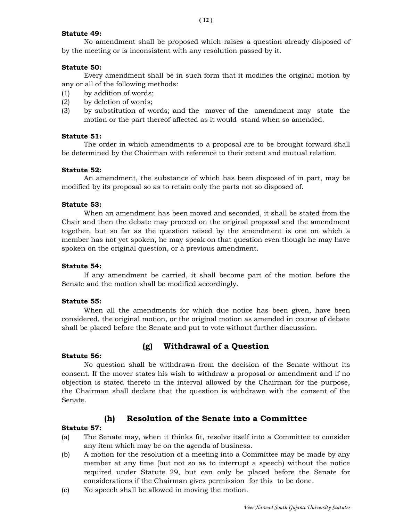## Statute 49:

 No amendment shall be proposed which raises a question already disposed of by the meeting or is inconsistent with any resolution passed by it.

# Statute 50:

 Every amendment shall be in such form that it modifies the original motion by any or all of the following methods:

- (1) by addition of words;
- (2) by deletion of words;
- (3) by substitution of words; and the mover of the amendment may state the motion or the part thereof affected as it would stand when so amended.

# Statute 51:

 The order in which amendments to a proposal are to be brought forward shall be determined by the Chairman with reference to their extent and mutual relation.

# Statute 52:

 An amendment, the substance of which has been disposed of in part, may be modified by its proposal so as to retain only the parts not so disposed of.

# Statute 53:

 When an amendment has been moved and seconded, it shall be stated from the Chair and then the debate may proceed on the original proposal and the amendment together, but so far as the question raised by the amendment is one on which a member has not yet spoken, he may speak on that question even though he may have spoken on the original question, or a previous amendment.

## Statute 54:

 If any amendment be carried, it shall become part of the motion before the Senate and the motion shall be modified accordingly.

## Statute 55:

 When all the amendments for which due notice has been given, have been considered, the original motion, or the original motion as amended in course of debate shall be placed before the Senate and put to vote without further discussion.

# (g) Withdrawal of a Question

## Statute 56:

 No question shall be withdrawn from the decision of the Senate without its consent. If the mover states his wish to withdraw a proposal or amendment and if no objection is stated thereto in the interval allowed by the Chairman for the purpose, the Chairman shall declare that the question is withdrawn with the consent of the Senate.

# (h) Resolution of the Senate into a Committee

## Statute 57:

- (a) The Senate may, when it thinks fit, resolve itself into a Committee to consider any item which may be on the agenda of business.
- (b) A motion for the resolution of a meeting into a Committee may be made by any member at any time (but not so as to interrupt a speech) without the notice required under Statute 29, but can only be placed before the Senate for considerations if the Chairman gives permission for this to be done.
- (c) No speech shall be allowed in moving the motion.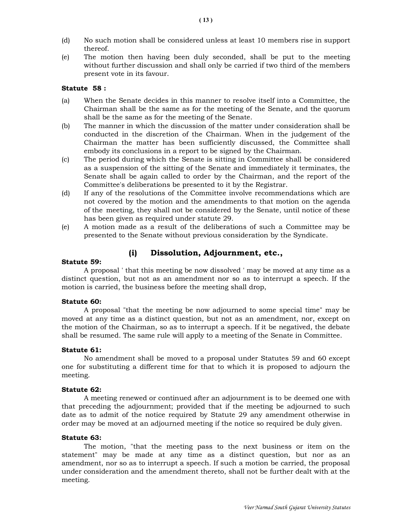- (d) No such motion shall be considered unless at least 10 members rise in support thereof.
- (e) The motion then having been duly seconded, shall be put to the meeting without further discussion and shall only be carried if two third of the members present vote in its favour.

## Statute 58 :

- (a) When the Senate decides in this manner to resolve itself into a Committee, the Chairman shall be the same as for the meeting of the Senate, and the quorum shall be the same as for the meeting of the Senate.
- (b) The manner in which the discussion of the matter under consideration shall be conducted in the discretion of the Chairman. When in the judgement of the Chairman the matter has been sufficiently discussed, the Committee shall embody its conclusions in a report to be signed by the Chairman.
- (c) The period during which the Senate is sitting in Committee shall be considered as a suspension of the sitting of the Senate and immediately it terminates, the Senate shall be again called to order by the Chairman, and the report of the Committee's deliberations be presented to it by the Registrar.
- (d) If any of the resolutions of the Committee involve recommendations which are not covered by the motion and the amendments to that motion on the agenda of the meeting, they shall not be considered by the Senate, until notice of these has been given as required under statute 29.
- (e) A motion made as a result of the deliberations of such a Committee may be presented to the Senate without previous consideration by the Syndicate.

## (i) Dissolution, Adjournment, etc.,

#### Statute 59:

 A proposal ' that this meeting be now dissolved ' may be moved at any time as a distinct question, but not as an amendment nor so as to interrupt a speech. If the motion is carried, the business before the meeting shall drop,

#### Statute 60:

 A proposal "that the meeting be now adjourned to some special time" may be moved at any time as a distinct question, but not as an amendment, nor, except on the motion of the Chairman, so as to interrupt a speech. If it be negatived, the debate shall be resumed. The same rule will apply to a meeting of the Senate in Committee.

#### Statute 61:

 No amendment shall be moved to a proposal under Statutes 59 and 60 except one for substituting a different time for that to which it is proposed to adjourn the meeting.

#### Statute 62:

 A meeting renewed or continued after an adjournment is to be deemed one with that preceding the adjournment; provided that if the meeting be adjourned to such date as to admit of the notice required by Statute 29 any amendment otherwise in order may be moved at an adjourned meeting if the notice so required be duly given.

#### Statute 63:

 The motion, "that the meeting pass to the next business or item on the statement" may be made at any time as a distinct question, but nor as an amendment, nor so as to interrupt a speech. If such a motion be carried, the proposal under consideration and the amendment thereto, shall not be further dealt with at the meeting.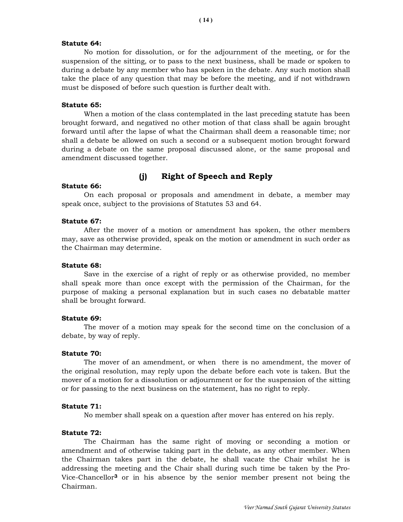## Statute 64:

 No motion for dissolution, or for the adjournment of the meeting, or for the suspension of the sitting, or to pass to the next business, shall be made or spoken to during a debate by any member who has spoken in the debate. Any such motion shall take the place of any question that may be before the meeting, and if not withdrawn must be disposed of before such question is further dealt with.

## Statute 65:

 When a motion of the class contemplated in the last preceding statute has been brought forward, and negatived no other motion of that class shall be again brought forward until after the lapse of what the Chairman shall deem a reasonable time; nor shall a debate be allowed on such a second or a subsequent motion brought forward during a debate on the same proposal discussed alone, or the same proposal and amendment discussed together.

# (j) Right of Speech and Reply

#### Statute 66:

 On each proposal or proposals and amendment in debate, a member may speak once, subject to the provisions of Statutes 53 and 64.

#### Statute 67:

 After the mover of a motion or amendment has spoken, the other members may, save as otherwise provided, speak on the motion or amendment in such order as the Chairman may determine.

## Statute 68:

 Save in the exercise of a right of reply or as otherwise provided, no member shall speak more than once except with the permission of the Chairman, for the purpose of making a personal explanation but in such cases no debatable matter shall be brought forward.

#### Statute 69:

 The mover of a motion may speak for the second time on the conclusion of a debate, by way of reply.

#### Statute 70:

 The mover of an amendment, or when there is no amendment, the mover of the original resolution, may reply upon the debate before each vote is taken. But the mover of a motion for a dissolution or adjournment or for the suspension of the sitting or for passing to the next business on the statement, has no right to reply.

## Statute 71:

No member shall speak on a question after mover has entered on his reply.

## Statute 72:

 The Chairman has the same right of moving or seconding a motion or amendment and of otherwise taking part in the debate, as any other member. When the Chairman takes part in the debate, he shall vacate the Chair whilst he is addressing the meeting and the Chair shall during such time be taken by the Pro-Vice-Chancellor3 or in his absence by the senior member present not being the Chairman.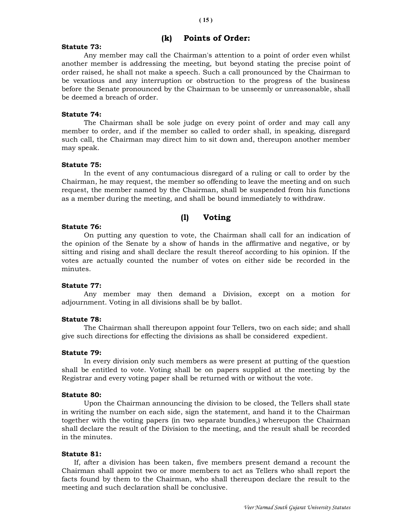# (k) Points of Order:

# Statute 73:

 Any member may call the Chairman's attention to a point of order even whilst another member is addressing the meeting, but beyond stating the precise point of order raised, he shall not make a speech. Such a call pronounced by the Chairman to be vexatious and any interruption or obstruction to the progress of the business before the Senate pronounced by the Chairman to be unseemly or unreasonable, shall be deemed a breach of order.

# Statute 74:

 The Chairman shall be sole judge on every point of order and may call any member to order, and if the member so called to order shall, in speaking, disregard such call, the Chairman may direct him to sit down and, thereupon another member may speak.

# Statute 75:

 In the event of any contumacious disregard of a ruling or call to order by the Chairman, he may request, the member so offending to leave the meeting and on such request, the member named by the Chairman, shall be suspended from his functions as a member during the meeting, and shall be bound immediately to withdraw.

# (l) Voting

# Statute 76:

 On putting any question to vote, the Chairman shall call for an indication of the opinion of the Senate by a show of hands in the affirmative and negative, or by sitting and rising and shall declare the result thereof according to his opinion. If the votes are actually counted the number of votes on either side be recorded in the minutes.

## Statute 77:

 Any member may then demand a Division, except on a motion for adjournment. Voting in all divisions shall be by ballot.

## Statute 78:

 The Chairman shall thereupon appoint four Tellers, two on each side; and shall give such directions for effecting the divisions as shall be considered expedient.

## Statute 79:

 In every division only such members as were present at putting of the question shall be entitled to vote. Voting shall be on papers supplied at the meeting by the Registrar and every voting paper shall be returned with or without the vote.

## Statute 80:

 Upon the Chairman announcing the division to be closed, the Tellers shall state in writing the number on each side, sign the statement, and hand it to the Chairman together with the voting papers (in two separate bundles,) whereupon the Chairman shall declare the result of the Division to the meeting, and the result shall be recorded in the minutes.

## Statute 81:

 If, after a division has been taken, five members present demand a recount the Chairman shall appoint two or more members to act as Tellers who shall report the facts found by them to the Chairman, who shall thereupon declare the result to the meeting and such declaration shall be conclusive.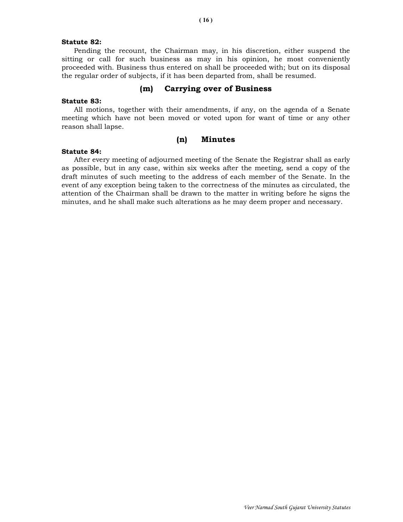## Statute 82:

 Pending the recount, the Chairman may, in his discretion, either suspend the sitting or call for such business as may in his opinion, he most conveniently proceeded with. Business thus entered on shall be proceeded with; but on its disposal the regular order of subjects, if it has been departed from, shall be resumed.

## (m) Carrying over of Business

#### Statute 83:

 All motions, together with their amendments, if any, on the agenda of a Senate meeting which have not been moved or voted upon for want of time or any other reason shall lapse.

## (n) Minutes

#### Statute 84:

 After every meeting of adjourned meeting of the Senate the Registrar shall as early as possible, but in any case, within six weeks after the meeting, send a copy of the draft minutes of such meeting to the address of each member of the Senate. In the event of any exception being taken to the correctness of the minutes as circulated, the attention of the Chairman shall be drawn to the matter in writing before he signs the minutes, and he shall make such alterations as he may deem proper and necessary.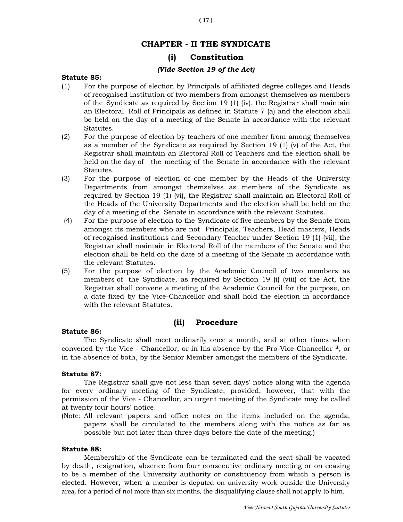# CHAPTER - II THE SYNDICATE

# (i) Constitution

## (Vide Section 19 of the Act)

## Statute 85:

- (1) For the purpose of election by Principals of affiliated degree colleges and Heads of recognised institution of two members from amongst themselves as members of the Syndicate as required by Section 19 (1) (iv), the Registrar shall maintain an Electoral Roll of Principals as defined in Statute 7 (a) and the election shall be held on the day of a meeting of the Senate in accordance with the relevant Statutes.
- (2) For the purpose of election by teachers of one member from among themselves as a member of the Syndicate as required by Section 19 (1) (v) of the Act, the Registrar shall maintain an Electoral Roll of Teachers and the election shall be held on the day of the meeting of the Senate in accordance with the relevant Statutes.
- (3) For the purpose of election of one member by the Heads of the University Departments from amongst themselves as members of the Syndicate as required by Section 19 (1) (vi), the Registrar shall maintain an Electoral Roll of the Heads of the University Departments and the election shall be held on the day of a meeting of the Senate in accordance with the relevant Statutes.
- (4) For the purpose of election to the Syndicate of five members by the Senate from amongst its members who are not Principals, Teachers, Head masters, Heads of recognised institutions and Secondary Teacher under Section 19 (1) (vii), the Registrar shall maintain in Electoral Roll of the members of the Senate and the election shall be held on the date of a meeting of the Senate in accordance with the relevant Statutes.
- (5) For the purpose of election by the Academic Council of two members as members of the Syndicate, as required by Section 19 (i) (viii) of the Act, the Registrar shall convene a meeting of the Academic Council for the purpose, on a date fixed by the Vice-Chancellor and shall hold the election in accordance with the relevant Statutes.

# (ii) Procedure

## Statute 86:

 The Syndicate shall meet ordinarily once a month, and at other times when convened by the Vice - Chancellor, or in his absence by the Pro-Vice-Chancellor 3, or in the absence of both, by the Senior Member amongst the members of the Syndicate.

## Statute 87:

 The Registrar shall give not less than seven days' notice along with the agenda for every ordinary meeting of the Syndicate, provided, however, that with the permission of the Vice - Chancellor, an urgent meeting of the Syndicate may be called at twenty four hours' notice.

(Note: All relevant papers and office notes on the items included on the agenda, papers shall be circulated to the members along with the notice as far as possible but not later than three days before the date of the meeting.)

## Statute 88:

 Membership of the Syndicate can be terminated and the seat shall be vacated by death, resignation, absence from four consecutive ordinary meeting or on ceasing to be a member of the University authority or constituency from which a person is elected. However, when a member is deputed on university work outside the University area, for a period of not more than six months, the disqualifying clause shall not apply to him.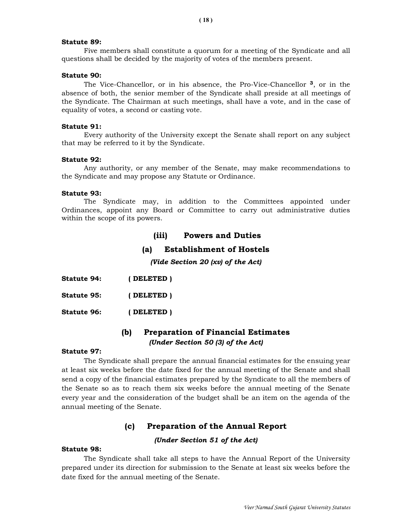#### Statute 89:

 Five members shall constitute a quorum for a meeting of the Syndicate and all questions shall be decided by the majority of votes of the members present.

## Statute 90:

 The Vice-Chancellor, or in his absence, the Pro-Vice-Chancellor 3, or in the absence of both, the senior member of the Syndicate shall preside at all meetings of the Syndicate. The Chairman at such meetings, shall have a vote, and in the case of equality of votes, a second or casting vote.

## Statute 91:

 Every authority of the University except the Senate shall report on any subject that may be referred to it by the Syndicate.

## Statute 92:

 Any authority, or any member of the Senate, may make recommendations to the Syndicate and may propose any Statute or Ordinance.

#### Statute 93:

 The Syndicate may, in addition to the Committees appointed under Ordinances, appoint any Board or Committee to carry out administrative duties within the scope of its powers.

# (iii) Powers and Duties

## (a) Establishment of Hostels

(Vide Section 20 (xv) of the Act)

| <b>Statute 94:</b> | (DELETED) |
|--------------------|-----------|
| <b>Statute 95:</b> | (DELETED) |
| <b>Statute 96:</b> | (DELETED) |

# (b) Preparation of Financial Estimates (Under Section 50 (3) of the Act)

#### Statute 97:

 The Syndicate shall prepare the annual financial estimates for the ensuing year at least six weeks before the date fixed for the annual meeting of the Senate and shall send a copy of the financial estimates prepared by the Syndicate to all the members of the Senate so as to reach them six weeks before the annual meeting of the Senate every year and the consideration of the budget shall be an item on the agenda of the annual meeting of the Senate.

## (c) Preparation of the Annual Report

## (Under Section 51 of the Act)

## Statute 98:

 The Syndicate shall take all steps to have the Annual Report of the University prepared under its direction for submission to the Senate at least six weeks before the date fixed for the annual meeting of the Senate.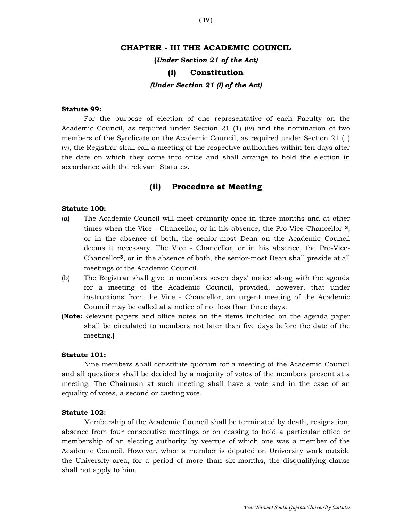## CHAPTER - III THE ACADEMIC COUNCIL

(Under Section 21 of the Act)

## (i) Constitution

(Under Section 21 (I) of the Act)

## Statute 99:

 For the purpose of election of one representative of each Faculty on the Academic Council, as required under Section 21 (1) (iv) and the nomination of two members of the Syndicate on the Academic Council, as required under Section 21 (1) (v), the Registrar shall call a meeting of the respective authorities within ten days after the date on which they come into office and shall arrange to hold the election in accordance with the relevant Statutes.

## (ii) Procedure at Meeting

#### Statute 100:

- (a) The Academic Council will meet ordinarily once in three months and at other times when the Vice - Chancellor, or in his absence, the Pro-Vice-Chancellor 3, or in the absence of both, the senior-most Dean on the Academic Council deems it necessary. The Vice - Chancellor, or in his absence, the Pro-Vice-Chancellor3, or in the absence of both, the senior-most Dean shall preside at all meetings of the Academic Council.
- (b) The Registrar shall give to members seven days' notice along with the agenda for a meeting of the Academic Council, provided, however, that under instructions from the Vice - Chancellor, an urgent meeting of the Academic Council may be called at a notice of not less than three days.
- (Note: Relevant papers and office notes on the items included on the agenda paper shall be circulated to members not later than five days before the date of the meeting.)

#### Statute 101:

 Nine members shall constitute quorum for a meeting of the Academic Council and all questions shall be decided by a majority of votes of the members present at a meeting. The Chairman at such meeting shall have a vote and in the case of an equality of votes, a second or casting vote.

#### Statute 102:

 Membership of the Academic Council shall be terminated by death, resignation, absence from four consecutive meetings or on ceasing to hold a particular office or membership of an electing authority by veertue of which one was a member of the Academic Council. However, when a member is deputed on University work outside the University area, for a period of more than six months, the disqualifying clause shall not apply to him.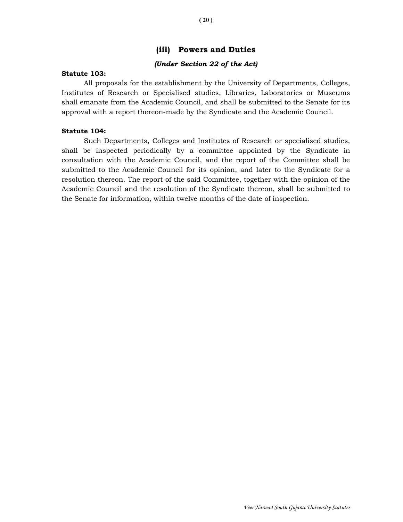# (iii) Powers and Duties

## (Under Section 22 of the Act)

## Statute 103:

 All proposals for the establishment by the University of Departments, Colleges, Institutes of Research or Specialised studies, Libraries, Laboratories or Museums shall emanate from the Academic Council, and shall be submitted to the Senate for its approval with a report thereon-made by the Syndicate and the Academic Council.

## Statute 104:

 Such Departments, Colleges and Institutes of Research or specialised studies, shall be inspected periodically by a committee appointed by the Syndicate in consultation with the Academic Council, and the report of the Committee shall be submitted to the Academic Council for its opinion, and later to the Syndicate for a resolution thereon. The report of the said Committee, together with the opinion of the Academic Council and the resolution of the Syndicate thereon, shall be submitted to the Senate for information, within twelve months of the date of inspection.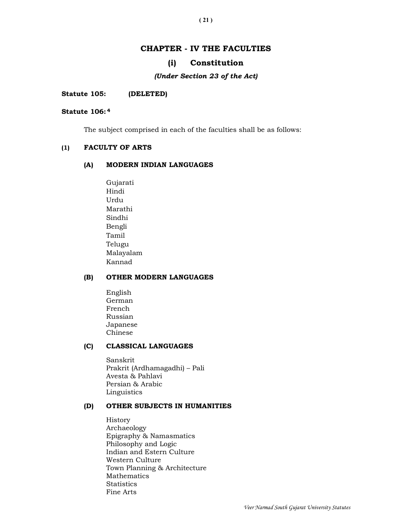# CHAPTER - IV THE FACULTIES

## (i) Constitution

#### (Under Section 23 of the Act)

#### Statute 105: (DELETED)

#### Statute 106: <sup>4</sup>

The subject comprised in each of the faculties shall be as follows:

## (1) FACULTY OF ARTS

## (A) MODERN INDIAN LANGUAGES

 Gujarati Hindi Urdu Marathi Sindhi Bengli Tamil Telugu Malayalam Kannad

## (B) OTHER MODERN LANGUAGES

 English German French Russian Japanese Chinese

# (C) CLASSICAL LANGUAGES

 Sanskrit Prakrit (Ardhamagadhi) – Pali Avesta & Pahlavi Persian & Arabic Linguistics

## (D) OTHER SUBJECTS IN HUMANITIES

History Archaeology Epigraphy & Namasmatics Philosophy and Logic Indian and Estern Culture Western Culture Town Planning & Architecture Mathematics **Statistics** Fine Arts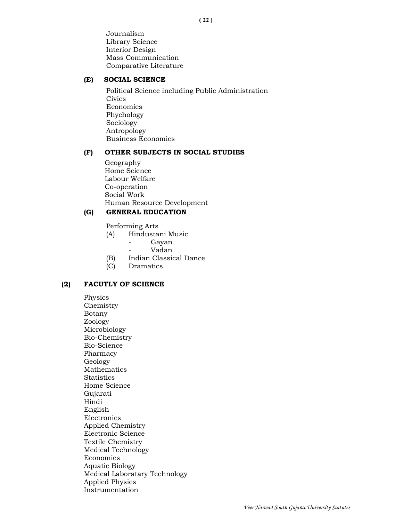Journalism Library Science Interior Design Mass Communication Comparative Literature

## (E) SOCIAL SCIENCE

Political Science including Public Administration **Civics** Economics Phychology Sociology Antropology Business Economics

## (F) OTHER SUBJECTS IN SOCIAL STUDIES

 Geography Home Science Labour Welfare Co-operation Social Work Human Resource Development

## (G) GENERAL EDUCATION

Performing Arts

- (A) Hindustani Music
	- Gayan
	- Vadan
- (B) Indian Classical Dance
- (C) Dramatics

## (2) FACUTLY OF SCIENCE

Physics Chemistry Botany Zoology Microbiology Bio-Chemistry Bio-Science Pharmacy Geology Mathematics **Statistics** Home Science Gujarati Hindi English Electronics Applied Chemistry Electronic Science Textile Chemistry Medical Technology Economies Aquatic Biology Medical Laboratary Technology Applied Physics Instrumentation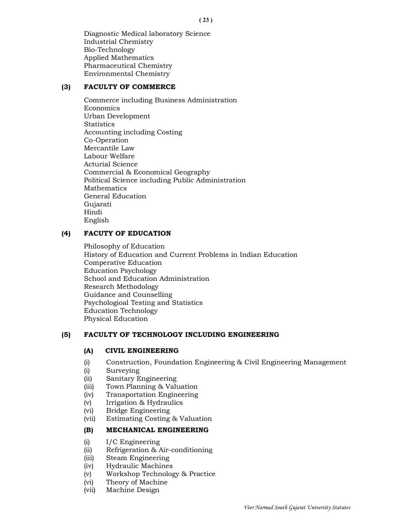Diagnostic Medical laboratory Science Industrial Chemistry Bio-Technology Applied Mathematics Pharmaceutical Chemistry Environmental Chemistry

# (3) FACULTY OF COMMERCE

Commerce including Business Administration Economics Urban Development **Statistics** Accounting including Costing Co-Operation Mercantile Law Labour Welfare Acturial Science Commercial & Economical Geography Political Science including Public Administration Mathematics General Education Gujarati Hindi English

# (4) FACUTY OF EDUCATION

Philosophy of Education History of Education and Current Problems in Indian Education Comperative Education Education Psychology School and Education Administration Research Methodology Guidance and Counselling Psychologioal Testing and Statistics Education Technology Physical Education

## (5) FACULTY OF TECHNOLOGY INCLUDING ENGINEERING

## (A) CIVIL ENGINEERING

- (i) Construction, Foundation Engineering & Civil Engineering Management
- (i) Surveying
- (ii) Sanitary Engineering
- (iii) Town Planning & Valuation
- (iv) Transportation Engineering
- (v) Irrigation & Hydraulics
- (vi) Bridge Engineering
- (vii) Estimating Costing & Valuation

## (B) MECHANICAL ENGINEERING

- (i) I/C Engineering
- (ii) Refrigeration & Air-conditioning
- (iii) Steam Engineering
- (iv) Hydraulic Machines
- (v) Workshop Technology & Practice
- (vi) Theory of Machine
- (vii) Machine Design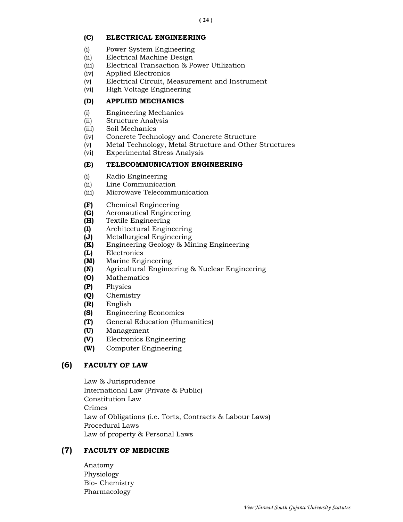# (C) ELECTRICAL ENGINEERING

- (i) Power System Engineering
- (ii) Electrical Machine Design
- (iii) Electrical Transaction & Power Utilization
- (iv) Applied Electronics
- (v) Electrical Circuit, Measurement and Instrument
- (vi) High Voltage Engineering

# (D) APPLIED MECHANICS

- (i) Engineering Mechanics
- (ii) Structure Analysis
- (iii) Soil Mechanics
- (iv) Concrete Technology and Concrete Structure
- (v) Metal Technology, Metal Structure and Other Structures
- (vi) Experimental Stress Analysis

# (E) TELECOMMUNICATION ENGINEERING

- (i) Radio Engineering
- (ii) Line Communication
- (iii) Microwave Telecommunication
- (F) Chemical Engineering
- (G) Aeronautical Engineering
- (H) Textile Engineering
- (I) Architectural Engineering
- (J) Metallurgical Engineering
- (K) Engineering Geology & Mining Engineering
- (L) Electronics
- (M) Marine Engineering
- (N) Agricultural Engineering & Nuclear Engineering
- (O) Mathematics
- (P) Physics
- (Q) Chemistry
- (R) English
- (S) Engineering Economics
- (T) General Education (Humanities)
- (U) Management
- (V) Electronics Engineering
- (W) Computer Engineering

# (6) FACULTY OF LAW

Law & Jurisprudence International Law (Private & Public) Constitution Law Crimes Law of Obligations (i.e. Torts, Contracts & Labour Laws) Procedural Laws Law of property & Personal Laws

# (7) FACULTY OF MEDICINE

 Anatomy Physiology Bio- Chemistry Pharmacology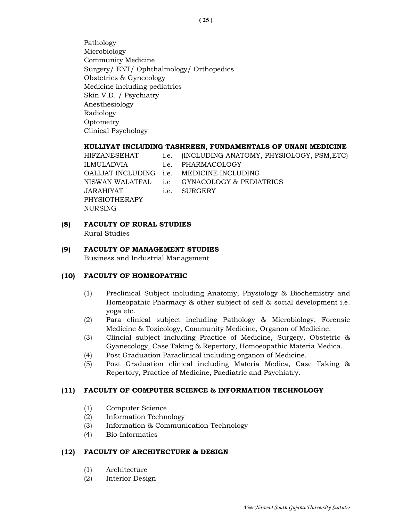Pathology Microbiology Community Medicine Surgery/ ENT/ Ophthalmology/ Orthopedics Obstetrics & Gynecology Medicine including pediatrics Skin V.D. / Psychiatry Anesthesiology Radiology **Optometry** Clinical Psychology

## KULLIYAT INCLUDING TASHREEN, FUNDAMENTALS OF UNANI MEDICINE

 HIFZANESEHAT i.e. (INCLUDING ANATOMY, PHYSIOLOGY, PSM,ETC) ILMULADVIA i.e. PHARMACOLOGY OALIJAT INCLUDING i.e. MEDICINE INCLUDING NISWAN WALATFAL i.e GYNACOLOGY & PEDIATRICS JARAHIYAT i.e. SURGERY PHYSIOTHERAPY NURSING

## (8) FACULTY OF RURAL STUDIES

Rural Studies

## (9) FACULTY OF MANAGEMENT STUDIES

Business and Industrial Management

## (10) FACULTY OF HOMEOPATHIC

- (1) Preclinical Subject including Anatomy, Physiology & Biochemistry and Homeopathic Pharmacy & other subject of self & social development i.e. yoga etc.
- (2) Para clinical subject including Pathology & Microbiology, Forensic Medicine & Toxicology, Community Medicine, Organon of Medicine.
- (3) Clincial subject including Practice of Medicine, Surgery, Obstetric & Gyanecology, Case Taking & Repertory, Homoeopathic Materia Medica.
- (4) Post Graduation Paraclinical including organon of Medicine.
- (5) Post Graduation clinical including Materia Medica, Case Taking & Repertory, Practice of Medicine, Paediatric and Psychiatry.

#### (11) FACULTY OF COMPUTER SCIENCE & INFORMATION TECHNOLOGY

- (1) Computer Science
- (2) Information Technology
- (3) Information & Communication Technology
- (4) Bio-Informatics

## (12) FACULTY OF ARCHITECTURE & DESIGN

- (1) Architecture
- (2) Interior Design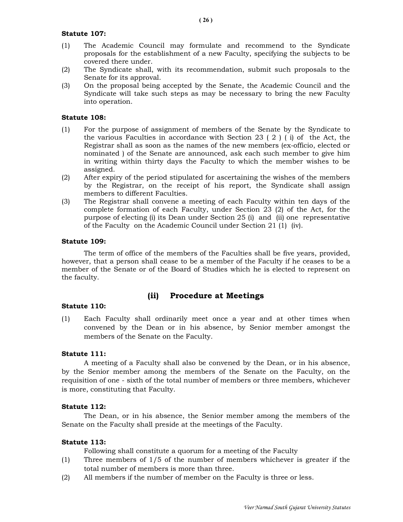## Statute 107:

- (1) The Academic Council may formulate and recommend to the Syndicate proposals for the establishment of a new Faculty, specifying the subjects to be covered there under.
- (2) The Syndicate shall, with its recommendation, submit such proposals to the Senate for its approval.
- (3) On the proposal being accepted by the Senate, the Academic Council and the Syndicate will take such steps as may be necessary to bring the new Faculty into operation.

# Statute 108:

- (1) For the purpose of assignment of members of the Senate by the Syndicate to the various Faculties in accordance with Section 23 ( 2 ) ( i) of the Act, the Registrar shall as soon as the names of the new members (ex-officio, elected or nominated ) of the Senate are announced, ask each such member to give him in writing within thirty days the Faculty to which the member wishes to be assigned.
- (2) After expiry of the period stipulated for ascertaining the wishes of the members by the Registrar, on the receipt of his report, the Syndicate shall assign members to different Faculties.
- (3) The Registrar shall convene a meeting of each Faculty within ten days of the complete formation of each Faculty, under Section 23 (2) of the Act, for the purpose of electing (i) its Dean under Section 25 (i) and (ii) one representative of the Faculty on the Academic Council under Section 21 (1) (iv).

## Statute 109:

 The term of office of the members of the Faculties shall be five years, provided, however, that a person shall cease to be a member of the Faculty if he ceases to be a member of the Senate or of the Board of Studies which he is elected to represent on the faculty.

# (ii) Procedure at Meetings

## Statute 110:

(1) Each Faculty shall ordinarily meet once a year and at other times when convened by the Dean or in his absence, by Senior member amongst the members of the Senate on the Faculty.

## Statute 111:

 A meeting of a Faculty shall also be convened by the Dean, or in his absence, by the Senior member among the members of the Senate on the Faculty, on the requisition of one - sixth of the total number of members or three members, whichever is more, constituting that Faculty.

## Statute 112:

 The Dean, or in his absence, the Senior member among the members of the Senate on the Faculty shall preside at the meetings of the Faculty.

## Statute 113:

Following shall constitute a quorum for a meeting of the Faculty

- (1) Three members of 1/5 of the number of members whichever is greater if the total number of members is more than three.
- (2) All members if the number of member on the Faculty is three or less.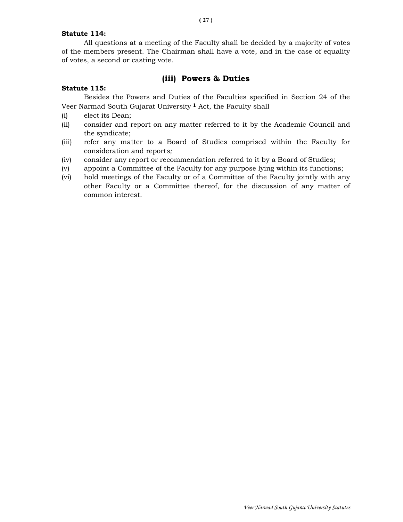## Statute 114:

 All questions at a meeting of the Faculty shall be decided by a majority of votes of the members present. The Chairman shall have a vote, and in the case of equality of votes, a second or casting vote.

# (iii) Powers & Duties

## Statute 115:

 Besides the Powers and Duties of the Faculties specified in Section 24 of the Veer Narmad South Gujarat University 1 Act, the Faculty shall

- (i) elect its Dean;
- (ii) consider and report on any matter referred to it by the Academic Council and the syndicate;
- (iii) refer any matter to a Board of Studies comprised within the Faculty for consideration and reports;
- (iv) consider any report or recommendation referred to it by a Board of Studies;
- (v) appoint a Committee of the Faculty for any purpose lying within its functions;
- (vi) hold meetings of the Faculty or of a Committee of the Faculty jointly with any other Faculty or a Committee thereof, for the discussion of any matter of common interest.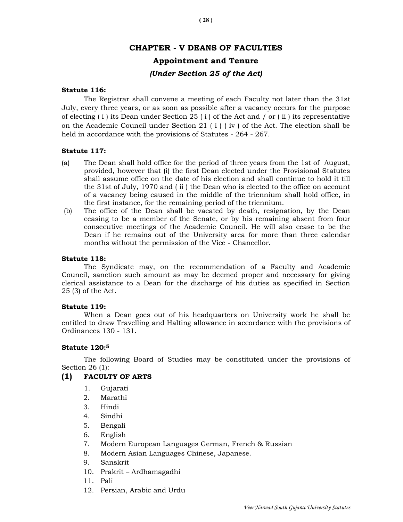# CHAPTER - V DEANS OF FACULTIES

# Appointment and Tenure

# (Under Section 25 of the Act)

## Statute 116:

 The Registrar shall convene a meeting of each Faculty not later than the 31st July, every three years, or as soon as possible after a vacancy occurs for the purpose of electing  $(i)$  its Dean under Section 25  $(i)$  of the Act and  $\ell$  or  $(ii)$  its representative on the Academic Council under Section 21 ( $i$ ) (iv) of the Act. The election shall be held in accordance with the provisions of Statutes - 264 - 267.

## Statute 117:

- (a) The Dean shall hold office for the period of three years from the 1st of August, provided, however that (i) the first Dean elected under the Provisional Statutes shall assume office on the date of his election and shall continue to hold it till the 31st of July, 1970 and ( ii ) the Dean who is elected to the office on account of a vacancy being caused in the middle of the triennium shall hold office, in the first instance, for the remaining period of the triennium.
- (b) The office of the Dean shall be vacated by death, resignation, by the Dean ceasing to be a member of the Senate, or by his remaining absent from four consecutive meetings of the Academic Council. He will also cease to be the Dean if he remains out of the University area for more than three calendar months without the permission of the Vice - Chancellor.

## Statute 118:

 The Syndicate may, on the recommendation of a Faculty and Academic Council, sanction such amount as may be deemed proper and necessary for giving clerical assistance to a Dean for the discharge of his duties as specified in Section 25 (3) of the Act.

## Statute 119:

 When a Dean goes out of his headquarters on University work he shall be entitled to draw Travelling and Halting allowance in accordance with the provisions of Ordinances 130 - 131.

## Statute 120:<sup>5</sup>

 The following Board of Studies may be constituted under the provisions of Section 26 (1):

# (1) FACULTY OF ARTS

- 1. Gujarati
- 2. Marathi
- 3. Hindi
- 4. Sindhi
- 5. Bengali
- 6. English
- 7. Modern European Languages German, French & Russian
- 8. Modern Asian Languages Chinese, Japanese.
- 9. Sanskrit
- 10. Prakrit Ardhamagadhi
- 11. Pali
- 12. Persian, Arabic and Urdu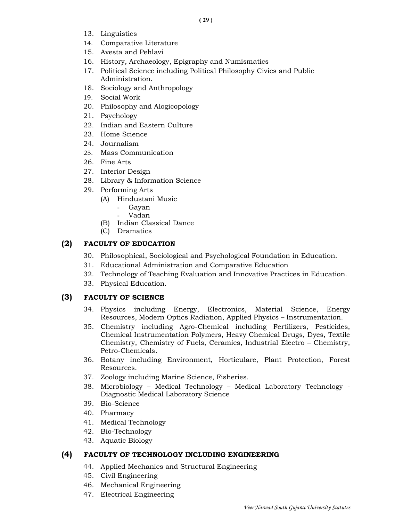- 13. Linguistics
- 14. Comparative Literature
- 15. Avesta and Pehlavi
- 16. History, Archaeology, Epigraphy and Numismatics
- 17. Political Science including Political Philosophy Civics and Public Administration.
- 18. Sociology and Anthropology
- 19. Social Work
- 20. Philosophy and Alogicopology
- 21. Psychology
- 22. Indian and Eastern Culture
- 23. Home Science
- 24. Journalism
- 25. Mass Communication
- 26. Fine Arts
- 27. Interior Design
- 28. Library & Information Science
- 29. Performing Arts
	- (A) Hindustani Music
		- Gayan
		- Vadan
	- (B) Indian Classical Dance
	- (C) Dramatics

# (2) FACULTY OF EDUCATION

- 30. Philosophical, Sociological and Psychological Foundation in Education.
- 31. Educational Administration and Comparative Education
- 32. Technology of Teaching Evaluation and Innovative Practices in Education.
- 33. Physical Education.

# (3) FACULTY OF SCIENCE

- 34. Physics including Energy, Electronics, Material Science, Energy Resources, Modern Optics Radiation, Applied Physics – Instrumentation.
- 35. Chemistry including Agro-Chemical including Fertilizers, Pesticides, Chemical Instrumentation Polymers, Heavy Chemical Drugs, Dyes, Textile Chemistry, Chemistry of Fuels, Ceramics, Industrial Electro – Chemistry, Petro-Chemicals.
- 36. Botany including Environment, Horticulare, Plant Protection, Forest Resources.
- 37. Zoology including Marine Science, Fisheries.
- 38. Microbiology Medical Technology Medical Laboratory Technology Diagnostic Medical Laboratory Science
- 39. Bio-Science
- 40. Pharmacy
- 41. Medical Technology
- 42. Bio-Technology
- 43. Aquatic Biology

# (4) FACULTY OF TECHNOLOGY INCLUDING ENGINEERING

- 44. Applied Mechanics and Structural Engineering
- 45. Civil Engineering
- 46. Mechanical Engineering
- 47. Electrical Engineering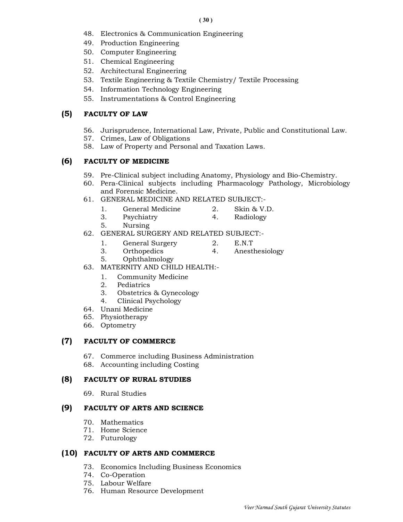- 48. Electronics & Communication Engineering
- 49. Production Engineering
- 50. Computer Engineering
- 51. Chemical Engineering
- 52. Architectural Engineering
- 53. Textile Engineering & Textile Chemistry/ Textile Processing
- 54. Information Technology Engineering
- 55. Instrumentations & Control Engineering

# (5) FACULTY OF LAW

- 56. Jurisprudence, International Law, Private, Public and Constitutional Law.
- 57. Crimes, Law of Obligations
- 58. Law of Property and Personal and Taxation Laws.

# (6) FACULTY OF MEDICINE

- 59. Pre-Clinical subject including Anatomy, Physiology and Bio-Chemistry.
- 60. Pera-Clinical subjects including Pharmacology Pathology, Microbiology and Forensic Medicine.
- 61. GENERAL MEDICINE AND RELATED SUBJECT:-
	- 1. General Medicine 2. Skin & V.D.
	- 3. Psychiatry 4. Radiology
	- 5. Nursing
- 62. GENERAL SURGERY AND RELATED SUBJECT:-
	- 1. General Surgery 2. E.N.T
		-
	- 3. Orthopedics 4. Anesthesiology
		-
	- 5. Ophthalmology
- 63. MATERNITY AND CHILD HEALTH:-
	- 1. Community Medicine
	- 2. Pediatrics
	- 3. Obstetrics & Gynecology
	- 4. Clinical Psychology
- 64. Unani Medicine
- 65. Physiotherapy
- 66. Optometry

# (7) FACULTY OF COMMERCE

- 67. Commerce including Business Administration
- 68. Accounting including Costing

# (8) FACULTY OF RURAL STUDIES

69. Rural Studies

# (9) FACULTY OF ARTS AND SCIENCE

- 70. Mathematics
- 71. Home Science
- 72. Futurology

# (10) FACULTY OF ARTS AND COMMERCE

- 73. Economics Including Business Economics
- 74. Co-Operation
- 75. Labour Welfare
- 76. Human Resource Development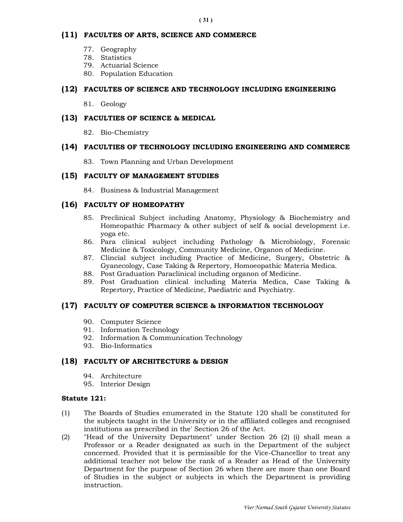# (11) FACULTES OF ARTS, SCIENCE AND COMMERCE

- 77. Geography
- 78. Statistics
- 79. Actuarial Science
- 80. Population Education

# (12) FACULTES OF SCIENCE AND TECHNOLOGY INCLUDING ENGINEERING

81. Geology

# (13) FACULTIES OF SCIENCE & MEDICAL

82. Bio-Chemistry

# (14) FACULTIES OF TECHNOLOGY INCLUDING ENGINEERING AND COMMERCE

83. Town Planning and Urban Development

# (15) FACULTY OF MANAGEMENT STUDIES

84. Business & Industrial Management

# (16) FACULTY OF HOMEOPATHY

- 85. Preclinical Subject including Anatomy, Physiology & Biochemistry and Homeopathic Pharmacy & other subject of self & social development i.e. yoga etc.
- 86. Para clinical subject including Pathology & Microbiology, Forensic Medicine & Toxicology, Community Medicine, Organon of Medicine.
- 87. Clincial subject including Practice of Medicine, Surgery, Obstetric & Gyanecology, Case Taking & Repertory, Homoeopathic Materia Medica.
- 88. Post Graduation Paraclinical including organon of Medicine.
- 89. Post Graduation clinical including Materia Medica, Case Taking & Repertory, Practice of Medicine, Paediatric and Psychiatry.

## (17) FACULTY OF COMPUTER SCIENCE & INFORMATION TECHNOLOGY

- 90. Computer Science
- 91. Information Technology
- 92. Information & Communication Technology
- 93. Bio-Informatics

## (18) FACULTY OF ARCHITECTURE & DESIGN

- 94. Architecture
- 95. Interior Design

## Statute 121:

- (1) The Boards of Studies enumerated in the Statute 120 shall be constituted for the subjects taught in the University or in the affiliated colleges and recognised institutions as prescribed in the' Section 26 of the Act.
- (2) "Head of the University Department" under Section 26 (2) (i) shall mean a Professor or a Reader designated as such in the Department of the subject concerned. Provided that it is permissible for the Vice-Chancellor to treat any additional teacher not below the rank of a Reader as Head of the University Department for the purpose of Section 26 when there are more than one Board of Studies in the subject or subjects in which the Department is providing instruction.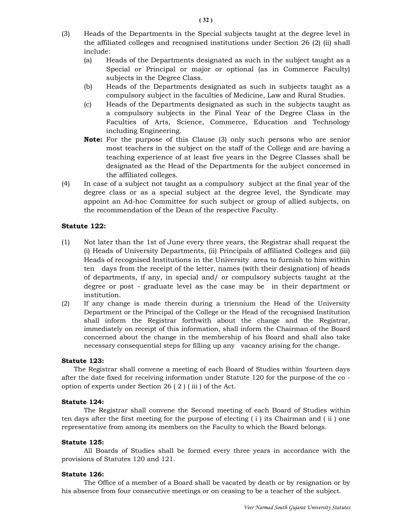- (3) Heads of the Departments in the Special subjects taught at the degree level in the affiliated colleges and recognised institutions under Section 26 (2) (ii) shall include:
	- (a) Heads of the Departments designated as such in the subject taught as a Special or Principal or major or optional (as in Commerce Faculty) subjects in the Degree Class.
	- (b) Heads of the Departments designated as such in subjects taught as a compulsory subject in the faculties of Medicine, Law and Rural Studies.
	- (c) Heads of the Departments designated as such in the subjects taught as a compulsory subjects in the Final Year of the Degree Class in the Faculties of Arts, Science, Commerce, Education and Technology including Engineering.
	- Note: For the purpose of this Clause (3) only such persons who are senior most teachers in the subject on the staff of the College and are having a teaching experience of at least five years in the Degree Classes shall be designated as the Head of the Departments for the subject concerned in the affiliated colleges.
- (4) In case of a subject not taught as a compulsory subject at the final year of the degree class or as a special subject at the degree level, the Syndicate may appoint an Ad-hoc Committee for such subject or group of allied subjects, on the recommendation of the Dean of the respective Faculty.

## Statute 122:

- (1) Not later than the 1st of June every three years, the Registrar shall request the (i) Heads of University Departments, (ii) Principals of affiliated Colleges and (iii) Heads of recognised Institutions in the University area to furnish to him within ten days from the receipt of the letter, names (with their designation) of heads of departments, if any, in special and/ or compulsory subjects taught at the degree or post - graduate level as the case may be in their department or institution.
- (2) If any change is made therein during a triennium the Head of the University Department or the Principal of the College or the Head of the recognised Institution shall inform the Registrar forthwith about the change and the Registrar, immediately on receipt of this information, shall inform the Chairman of the Board concerned about the change in the membership of his Board and shall also take necessary consequential steps for filling up any vacancy arising for the change.

#### Statute 123:

 The Registrar shall convene a meeting of each Board of Studies within 'fourteen days after the date fixed for receiving information under Statute 120 for the purpose of the co option of experts under Section 26 ( 2 ) ( iii ) of the Act.

#### Statute 124:

 The Registrar shall convene the Second meeting of each Board of Studies within ten days after the first meeting for the purpose of electing ( i ) its Chairman and ( ii ) one representative from among its members on the Faculty to which the Board belongs.

#### Statute 125:

 All Boards of Studies shall be formed every three years in accordance with the provisions of Statutes 120 and 121.

#### Statute 126:

 The Office of a member of a Board shall be vacated by death or by resignation or by his absence from four consecutive meetings or on ceasing to be a teacher of the subject.

( 32 )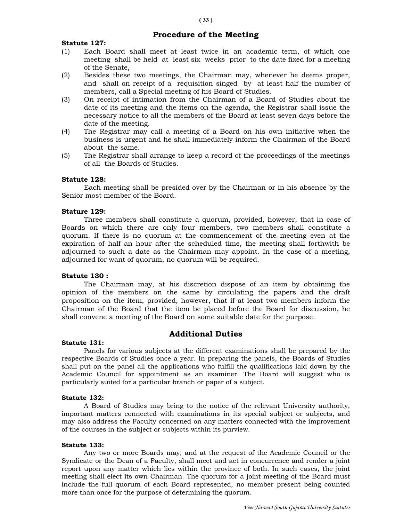# Procedure of the Meeting

## Statute 127:

- (1) Each Board shall meet at least twice in an academic term, of which one meeting shall be held at least six weeks prior to the date fixed for a meeting of the Senate,
- (2) Besides these two meetings, the Chairman may, whenever he deems proper, and shall on receipt of a requisition singed by at least half the number of members, call a Special meeting of his Board of Studies.
- (3) On receipt of intimation from the Chairman of a Board of Studies about the date of its meeting and the items on the agenda, the Registrar shall issue the necessary notice to all the members of the Board at least seven days before the date of the meeting.
- (4) The Registrar may call a meeting of a Board on his own initiative when the business is urgent and he shall immediately inform the Chairman of the Board about the same.
- (5) The Registrar shall arrange to keep a record of the proceedings of the meetings of all the Boards of Studies.

#### Statute 128:

 Each meeting shall be presided over by the Chairman or in his absence by the Senior most member of the Board.

#### Stature 129:

 Three members shall constitute a quorum, provided, however, that in case of Boards on which there are only four members, two members shall constitute a quorum. If there is no quorum at the commencement of the meeting even at the expiration of half an hour after the scheduled time, the meeting shall forthwith be adjourned to such a date as the Chairman may appoint. In the case of a meeting, adjourned for want of quorum, no quorum will be required.

#### Statute 130 :

 The Chairman may, at his discretion dispose of an item by obtaining the opinion of the members on the same by circulating the papers and the draft proposition on the item, provided, however, that if at least two members inform the Chairman of the Board that the item be placed before the Board for discussion, he shall convene a meeting of the Board on some suitable date for the purpose.

# Additional Duties

#### Statute 131:

 Panels for various subjects at the different examinations shall be prepared by the respective Boards of Studies once a year. In preparing the panels, the Boards of Studies shall put on the panel all the applications who fulfill the qualifications laid down by the Academic Council for appointment as an examiner. The Board will suggest who is particularly suited for a particular branch or paper of a subject.

#### Statute 132:

 A Board of Studies may bring to the notice of the relevant University authority, important matters connected with examinations in its special subject or subjects, and may also address the Faculty concerned on any matters connected with the improvement of the courses in the subject or subjects within its purview.

#### Statute 133:

 Any two or more Boards may, and at the request of the Academic Council or the Syndicate or the Dean of a Faculty, shall meet and act in concurrence and render a joint report upon any matter which lies within the province of both. In such cases, the joint meeting shall elect its own Chairman. The quorum for a joint meeting of the Board must include the full quorum of each Board represented, no member present being counted more than once for the purpose of determining the quorum.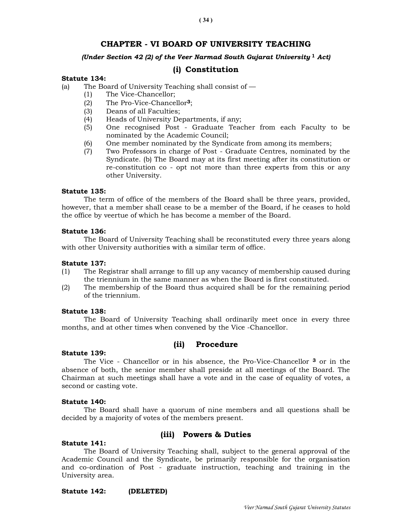# CHAPTER - VI BOARD OF UNIVERSITY TEACHING

## (Under Section 42 (2) of the Veer Narmad South Gujarat University  $^1$  Act)

# (i) Constitution

## Statute 134:

- (a) The Board of University Teaching shall consist of
	- (1) The Vice-Chancellor;
	- (2) The Pro-Vice-Chancellor3;
	- (3) Deans of all Faculties;
	- (4) Heads of University Departments, if any;
	- (5) One recognised Post Graduate Teacher from each Faculty to be nominated by the Academic Council;
	- (6) One member nominated by the Syndicate from among its members;
	- (7) Two Professors in charge of Post Graduate Centres, nominated by the Syndicate. (b) The Board may at its first meeting after its constitution or re-constitution co - opt not more than three experts from this or any other University.

## Statute 135:

 The term of office of the members of the Board shall be three years, provided, however, that a member shall cease to be a member of the Board, if he ceases to hold the office by veertue of which he has become a member of the Board.

#### Statute 136:

 The Board of University Teaching shall be reconstituted every three years along with other University authorities with a similar term of office.

#### Statute 137:

- (1) The Registrar shall arrange to fill up any vacancy of membership caused during the triennium in the same manner as when the Board is first constituted.
- (2) The membership of the Board thus acquired shall be for the remaining period of the triennium.

## Statute 138:

 The Board of University Teaching shall ordinarily meet once in every three months, and at other times when convened by the Vice -Chancellor.

## (ii) Procedure

#### Statute 139:

 The Vice - Chancellor or in his absence, the Pro-Vice-Chancellor 3 or in the absence of both, the senior member shall preside at all meetings of the Board. The Chairman at such meetings shall have a vote and in the case of equality of votes, a second or casting vote.

## Statute 140:

 The Board shall have a quorum of nine members and all questions shall be decided by a majority of votes of the members present.

# (iii) Powers & Duties

## Statute 141:

 The Board of University Teaching shall, subject to the general approval of the Academic Council and the Syndicate, be primarily responsible for the organisation and co-ordination of Post - graduate instruction, teaching and training in the University area.

## Statute 142: (DELETED)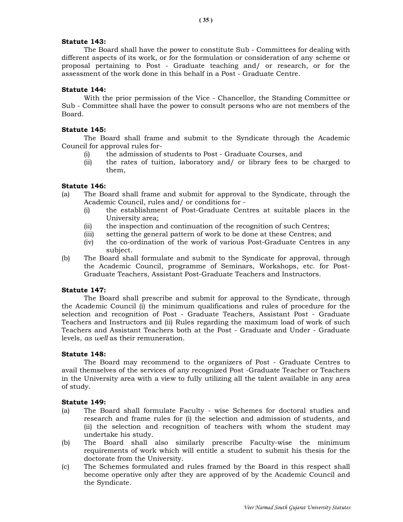## Statute 143:

 The Board shall have the power to constitute Sub - Committees for dealing with different aspects of its work, or for the formulation or consideration of any scheme or proposal pertaining to Post - Graduate teaching and/ or research, or for the assessment of the work done in this behalf in a Post - Graduate Centre.

## Statute 144:

 With the prior permission of the Vice - Chancellor, the Standing Committee or Sub - Committee shall have the power to consult persons who are not members of the Board.

## Statute 145:

 The Board shall frame and submit to the Syndicate through the Academic Council for approval rules for-

- (i) the admission of students to Post Graduate Courses, and
- (ii) the rates of tuition, laboratory and/ or library fees to be charged to them,

## Statute 146:

- (a) The Board shall frame and submit for approval to the Syndicate, through the Academic Council, rules and/ or conditions for -
	- (i) the establishment of Post-Graduate Centres at suitable places in the University area;
	- (ii) the inspection and continuation of the recognition of such Centres;
	- (iii) setting the general pattern of work to be done at these Centres; and
	- (iv) the co-ordination of the work of various Post-Graduate Centres in any subject.
- (b) The Board shall formulate and submit to the Syndicate for approval, through the Academic Council, programme of Seminars, Workshops, etc. for Post-Graduate Teachers, Assistant Post-Graduate Teachers and Instructors.

## Statute 147:

 The Board shall prescribe and submit for approval to the Syndicate, through the Academic Council (i) the minimum qualifications and rules of procedure for the selection and recognition of Post - Graduate Teachers, Assistant Post - Graduate Teachers and Instructors and (ii) Rules regarding the maximum load of work of such Teachers and Assistant Teachers both at the Post - Graduate and Under - Graduate levels, as well as their remuneration.

## Statute 148:

 The Board may recommend to the organizers of Post - Graduate Centres to avail themselves of the services of any recognized Post -Graduate Teacher or Teachers in the University area with a view to fully utilizing all the talent available in any area of study.

## Statute 149:

- (a) The Board shall formulate Faculty wise Schemes for doctoral studies and research and frame rules for (i) the selection and admission of students, and (ii) the selection and recognition of teachers with whom the student may undertake his study.
- (b) The Board shall also similarly prescribe Faculty-wise the minimum requirements of work which will entitle a student to submit his thesis for the doctorate from the University.
- (c) The Schemes formulated and rules framed by the Board in this respect shall become operative only after they are approved of by the Academic Council and the Syndicate.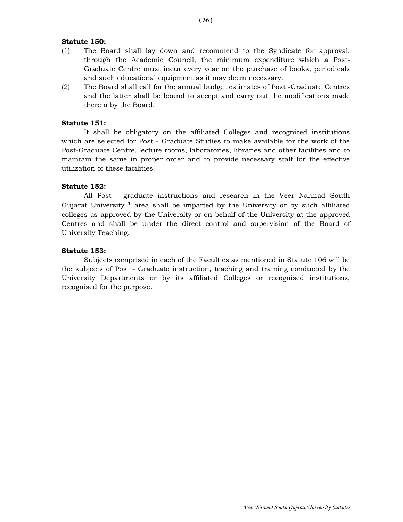## Statute 150:

- (1) The Board shall lay down and recommend to the Syndicate for approval, through the Academic Council, the minimum expenditure which a Post-Graduate Centre must incur every year on the purchase of books, periodicals and such educational equipment as it may deem necessary.
- (2) The Board shall call for the annual budget estimates of Post -Graduate Centres and the latter shall be bound to accept and carry out the modifications made therein by the Board.

## Statute 151:

 It shall be obligatory on the affiliated Colleges and recognized institutions which are selected for Post - Graduate Studies to make available for the work of the Post-Graduate Centre, lecture rooms, laboratories, libraries and other facilities and to maintain the same in proper order and to provide necessary staff for the effective utilization of these facilities.

## Statute 152:

 All Post - graduate instructions and research in the Veer Narmad South Gujarat University  $\frac{1}{1}$  area shall be imparted by the University or by such affiliated colleges as approved by the University or on behalf of the University at the approved Centres and shall be under the direct control and supervision of the Board of University Teaching.

#### Statute 153:

 Subjects comprised in each of the Faculties as mentioned in Statute 106 will be the subjects of Post - Graduate instruction, teaching and training conducted by the University Departments or by its affiliated Colleges or recognised institutions, recognised for the purpose.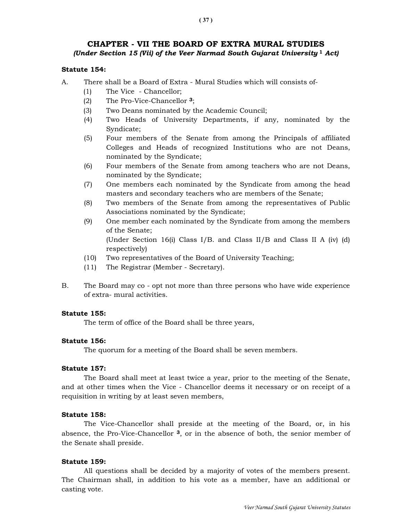# CHAPTER - VII THE BOARD OF EXTRA MURAL STUDIES (Under Section 15 (Vii) of the Veer Narmad South Gujarat University  $1$  Act)

### Statute 154:

- A. There shall be a Board of Extra Mural Studies which will consists of-
	- (1) The Vice Chancellor;
	- (2) The Pro-Vice-Chancellor 3;
	- (3) Two Deans nominated by the Academic Council;
	- (4) Two Heads of University Departments, if any, nominated by the Syndicate;
	- (5) Four members of the Senate from among the Principals of affiliated Colleges and Heads of recognized Institutions who are not Deans, nominated by the Syndicate;
	- (6) Four members of the Senate from among teachers who are not Deans, nominated by the Syndicate;
	- (7) One members each nominated by the Syndicate from among the head masters and secondary teachers who are members of the Senate;
	- (8) Two members of the Senate from among the representatives of Public Associations nominated by the Syndicate;
	- (9) One member each nominated by the Syndicate from among the members of the Senate; (Under Section 16(i) Class I/B. and Class II/B and Class II A (iv) (d) respectively)
	- (10) Two representatives of the Board of University Teaching;
	- (11) The Registrar (Member Secretary).
- B. The Board may co opt not more than three persons who have wide experience of extra- mural activities.

#### Statute 155:

The term of office of the Board shall be three years,

#### Statute 156:

The quorum for a meeting of the Board shall be seven members.

#### Statute 157:

 The Board shall meet at least twice a year, prior to the meeting of the Senate, and at other times when the Vice - Chancellor deems it necessary or on receipt of a requisition in writing by at least seven members,

#### Statute 158:

 The Vice-Chancellor shall preside at the meeting of the Board, or, in his absence, the Pro-Vice-Chancellor  $3$ , or in the absence of both, the senior member of the Senate shall preside.

#### Statute 159:

 All questions shall be decided by a majority of votes of the members present. The Chairman shall, in addition to his vote as a member, have an additional or casting vote.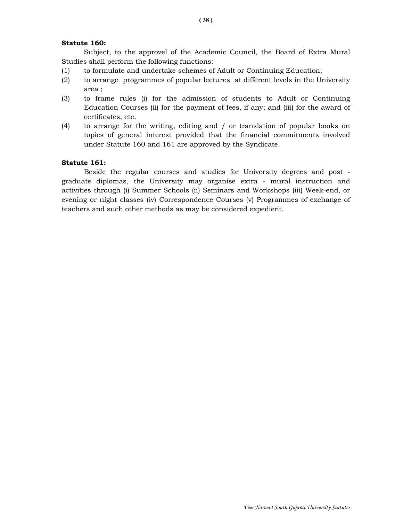#### Statute 160:

 Subject, to the approvel of the Academic Council, the Board of Extra Mural Studies shall perform the following functions:

- (1) to formulate and undertake schemes of Adult or Continuing Education;
- (2) to arrange programmes of popular lectures at different levels in the University area ;
- (3) to frame rules (i) for the admission of students to Adult or Continuing Education Courses (ii) for the payment of fees, if any; and (iii) for the award of certificates, etc.
- (4) to arrange for the writing, editing and / or translation of popular books on topics of general interest provided that the financial commitments involved under Statute 160 and 161 are approved by the Syndicate.

### Statute 161:

 Beside the regular courses and studies for University degrees and post graduate diplomas, the University may organise extra - mural instruction and activities through (i) Summer Schools (ii) Seminars and Workshops (iii) Week-end, or evening or night classes (iv) Correspondence Courses (v) Programmes of exchange of teachers and such other methods as may be considered expedient.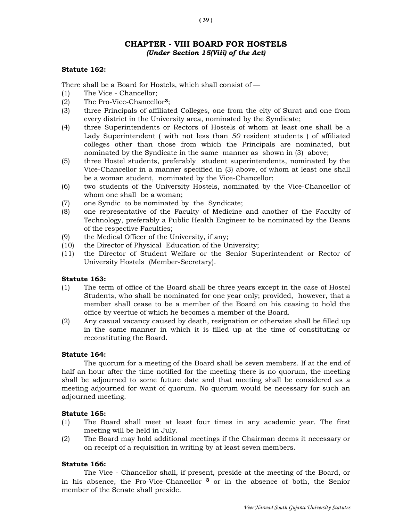# CHAPTER - VIII BOARD FOR HOSTELS (Under Section 15(Viii) of the Act)

#### Statute 162:

There shall be a Board for Hostels, which shall consist of —

- (1) The Vice Chancellor;
- (2) The Pro-Vice-Chancellor3;
- (3) three Principals of affiliated Colleges, one from the city of Surat and one from every district in the University area, nominated by the Syndicate;
- (4) three Superintendents or Rectors of Hostels of whom at least one shall be a Lady Superintendent ( with not less than 50 resident students ) of affiliated colleges other than those from which the Principals are nominated, but nominated by the Syndicate in the same manner as shown in (3) above;
- (5) three Hostel students, preferably student superintendents, nominated by the Vice-Chancellor in a manner specified in (3) above, of whom at least one shall be a woman student, nominated by the Vice-Chancellor;
- (6) two students of the University Hostels, nominated by the Vice-Chancellor of whom one shall be a woman;
- (7) one Syndic to be nominated by the Syndicate;
- (8) one representative of the Faculty of Medicine and another of the Faculty of Technology, preferably a Public Health Engineer to be nominated by the Deans of the respective Faculties;
- (9) the Medical Officer of the University, if any;
- (10) the Director of Physical Education of the University;
- (11) the Director of Student Welfare or the Senior Superintendent or Rector of University Hostels (Member-Secretary).

#### Statute 163:

- (1) The term of office of the Board shall be three years except in the case of Hostel Students, who shall be nominated for one year only; provided, however, that a member shall cease to be a member of the Board on his ceasing to hold the office by veertue of which he becomes a member of the Board.
- (2) Any casual vacancy caused by death, resignation or otherwise shall be filled up in the same manner in which it is filled up at the time of constituting or reconstituting the Board.

#### Statute 164:

 The quorum for a meeting of the Board shall be seven members. If at the end of half an hour after the time notified for the meeting there is no quorum, the meeting shall be adjourned to some future date and that meeting shall be considered as a meeting adjourned for want of quorum. No quorum would be necessary for such an adjourned meeting.

#### Statute 165:

- (1) The Board shall meet at least four times in any academic year. The first meeting will be held in July.
- (2) The Board may hold additional meetings if the Chairman deems it necessary or on receipt of a requisition in writing by at least seven members.

### Statute 166:

 The Vice - Chancellor shall, if present, preside at the meeting of the Board, or in his absence, the Pro-Vice-Chancellor 3 or in the absence of both, the Senior member of the Senate shall preside.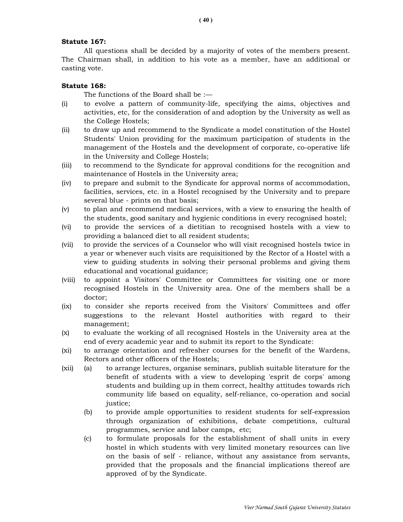### Statute 167:

 All questions shall be decided by a majority of votes of the members present. The Chairman shall, in addition to his vote as a member, have an additional or casting vote.

#### Statute 168:

The functions of the Board shall be :—

- (i) to evolve a pattern of community-life, specifying the aims, objectives and activities, etc, for the consideration of and adoption by the University as well as the College Hostels;
- (ii) to draw up and recommend to the Syndicate a model constitution of the Hostel Students' Union providing for the maximum participation of students in the management of the Hostels and the development of corporate, co-operative life in the University and College Hostels;
- (iii) to recommend to the Syndicate for approval conditions for the recognition and maintenance of Hostels in the University area;
- (iv) to prepare and submit to the Syndicate for approval norms of accommodation, facilities, services, etc. in a Hostel recognised by the University and to prepare several blue - prints on that basis;
- (v) to plan and recommend medical services, with a view to ensuring the health of the students, good sanitary and hygienic conditions in every recognised hostel;
- (vi) to provide the services of a dietitian to recognised hostels with a view to providing a balanced diet to all resident students;
- (vii) to provide the services of a Counselor who will visit recognised hostels twice in a year or whenever such visits are requisitioned by the Rector of a Hostel with a view to guiding students in solving their personal problems and giving them educational and vocational guidance;
- (viii) to appoint a Visitors' Committee or Committees for visiting one or more recognised Hostels in the University area. One of the members shall be a doctor;
- (ix) to consider she reports received from the Visitors' Committees and offer suggestions to the relevant Hostel authorities with regard to their management;
- (x) to evaluate the working of all recognised Hostels in the University area at the end of every academic year and to submit its report to the Syndicate:
- (xi) to arrange orientation and refresher courses for the benefit of the Wardens, Rectors and other officers of the Hostels;
- (xii) (a) to arrange lectures, organise seminars, publish suitable literature for the benefit of students with a view to developing 'esprit de corps' among students and building up in them correct, healthy attitudes towards rich community life based on equality, self-reliance, co-operation and social justice;
	- (b) to provide ample opportunities to resident students for self-expression through organization of exhibitions, debate competitions, cultural programmes, service and labor camps, etc;
	- (c) to formulate proposals for the establishment of shall units in every hostel in which students with very limited monetary resources can live on the basis of self - reliance, without any assistance from servants, provided that the proposals and the financial implications thereof are approved of by the Syndicate.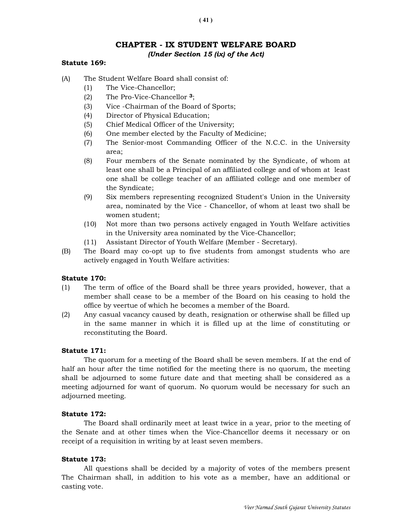# CHAPTER - IX STUDENT WELFARE BOARD (Under Section 15 (ix) of the Act)

#### Statute 169:

- (A) The Student Welfare Board shall consist of:
	- (1) The Vice-Chancellor;
	- (2) The Pro-Vice-Chancellor 3;
	- (3) Vice -Chairman of the Board of Sports;
	- (4) Director of Physical Education;
	- (5) Chief Medical Officer of the University;
	- (6) One member elected by the Faculty of Medicine;
	- (7) The Senior-most Commanding Officer of the N.C.C. in the University area;
	- (8) Four members of the Senate nominated by the Syndicate, of whom at least one shall be a Principal of an affiliated college and of whom at least one shall be college teacher of an affiliated college and one member of the Syndicate;
	- (9) Six members representing recognized Student's Union in the University area, nominated by the Vice - Chancellor, of whom at least two shall be women student;
	- (10) Not more than two persons actively engaged in Youth Welfare activities in the University area nominated by the Vice-Chancellor;
	- (11) Assistant Director of Youth Welfare (Member Secretary).
- (B) The Board may co-opt up to five students from amongst students who are actively engaged in Youth Welfare activities:

#### Statute 170:

- (1) The term of office of the Board shall be three years provided, however, that a member shall cease to be a member of the Board on his ceasing to hold the office by veertue of which he becomes a member of the Board.
- (2) Any casual vacancy caused by death, resignation or otherwise shall be filled up in the same manner in which it is filled up at the lime of constituting or reconstituting the Board.

#### Statute 171:

The quorum for a meeting of the Board shall be seven members. If at the end of half an hour after the time notified for the meeting there is no quorum, the meeting shall be adjourned to some future date and that meeting shall be considered as a meeting adjourned for want of quorum. No quorum would be necessary for such an adjourned meeting.

#### Statute 172:

The Board shall ordinarily meet at least twice in a year, prior to the meeting of the Senate and at other times when the Vice-Chancellor deems it necessary or on receipt of a requisition in writing by at least seven members.

#### Statute 173:

 All questions shall be decided by a majority of votes of the members present The Chairman shall, in addition to his vote as a member, have an additional or casting vote.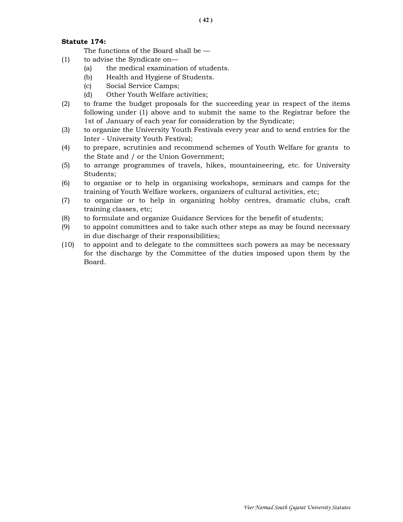### Statute 174:

The functions of the Board shall be —

- (1) to advise the Syndicate on—
	- (a) the medical examination of students.
	- (b) Health and Hygiene of Students.
	- (c) Social Service Camps;
	- (d) Other Youth Welfare activities;
- (2) to frame the budget proposals for the succeeding year in respect of the items following under (1) above and to submit the same to the Registrar before the 1st of January of each year for consideration by the Syndicate;
- (3) to organize the University Youth Festivals every year and to send entries for the Inter - University Youth Festival;
- (4) to prepare, scrutinies and recommend schemes of Youth Welfare for grants to the State and / or the Union Government;
- (5) to arrange programmes of travels, hikes, mountaineering, etc. for University Students;
- (6) to organise or to help in organising workshops, seminars and camps for the training of Youth Welfare workers, organizers of cultural activities, etc;
- (7) to organize or to help in organizing hobby centres, dramatic clubs, craft training classes, etc;
- (8) to formulate and organize Guidance Services for the benefit of students;
- (9) to appoint committees and to take such other steps as may be found necessary in due discharge of their responsibilities;
- (10) to appoint and to delegate to the committees such powers as may be necessary for the discharge by the Committee of the duties imposed upon them by the Board.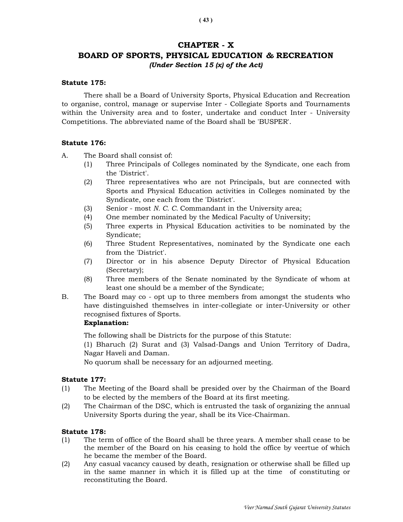# CHAPTER - X

# BOARD OF SPORTS, PHYSICAL EDUCATION & RECREATION (Under Section 15 (x) of the Act)

#### Statute 175:

 There shall be a Board of University Sports, Physical Education and Recreation to organise, control, manage or supervise Inter - Collegiate Sports and Tournaments within the University area and to foster, undertake and conduct Inter - University Competitions. The abbreviated name of the Board shall be 'BUSPER'.

### Statute 176:

A. The Board shall consist of:

- (1) Three Principals of Colleges nominated by the Syndicate, one each from the 'District'.
- (2) Three representatives who are not Principals, but are connected with Sports and Physical Education activities in Colleges nominated by the Syndicate, one each from the 'District'.
- (3) Senior most N. C. C. Commandant in the University area;
- (4) One member nominated by the Medical Faculty of University;
- (5) Three experts in Physical Education activities to be nominated by the Syndicate;
- (6) Three Student Representatives, nominated by the Syndicate one each from the 'District'.
- (7) Director or in his absence Deputy Director of Physical Education (Secretary);
- (8) Three members of the Senate nominated by the Syndicate of whom at least one should be a member of the Syndicate;
- B. The Board may co opt up to three members from amongst the students who have distinguished themselves in inter-collegiate or inter-University or other recognised fixtures of Sports.

# Explanation:

The following shall be Districts for the purpose of this Statute:

 (1) Bharuch (2) Surat and (3) Valsad-Dangs and Union Territory of Dadra, Nagar Haveli and Daman.

No quorum shall be necessary for an adjourned meeting.

### Statute 177:

- (1) The Meeting of the Board shall be presided over by the Chairman of the Board to be elected by the members of the Board at its first meeting.
- (2) The Chairman of the DSC, which is entrusted the task of organizing the annual University Sports during the year, shall be its Vice-Chairman.

### Statute 178:

- (1) The term of office of the Board shall be three years. A member shall cease to be the member of the Board on his ceasing to hold the office by veertue of which he became the member of the Board.
- (2) Any casual vacancy caused by death, resignation or otherwise shall be filled up in the same manner in which it is filled up at the time of constituting or reconstituting the Board.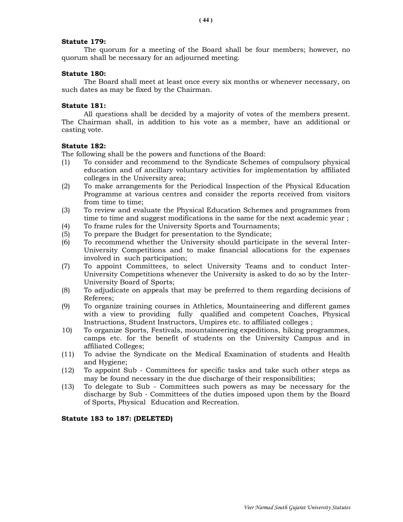#### Statute 179:

 The quorum for a meeting of the Board shall be four members; however, no quorum shall be necessary for an adjourned meeting.

#### Statute 180:

 The Board shall meet at least once every six months or whenever necessary, on such dates as may be fixed by the Chairman.

#### Statute 181:

 All questions shall be decided by a majority of votes of the members present. The Chairman shall, in addition to his vote as a member, have an additional or casting vote.

#### Statute 182:

The following shall be the powers and functions of the Board:

- (1) To consider and recommend to the Syndicate Schemes of compulsory physical education and of ancillary voluntary activities for implementation by affiliated colleges in the University area;
- (2) To make arrangements for the Periodical Inspection of the Physical Education Programme at various centres and consider the reports received from visitors from time to time;
- (3) To review and evaluate the Physical Education Schemes and programmes from time to time and suggest modifications in the same for the next academic year ;
- (4) To frame rules for the University Sports and Tournaments;
- (5) To prepare the Budget for presentation to the Syndicate;
- (6) To recommend whether the University should participate in the several Inter-University Competitions and to make financial allocations for the expenses involved in such participation;
- (7) To appoint Committees, to select University Teams and to conduct Inter-University Competitions whenever the University is asked to do so by the Inter-University Board of Sports;
- (8) To adjudicate on appeals that may be preferred to them regarding decisions of Referees;
- (9) To organize training courses in Athletics, Mountaineering and different games with a view to providing fully qualified and competent Coaches, Physical Instructions, Student Instructors, Umpires etc. to affiliated colleges ;
- 10) To organize Sports, Festivals, mountaineering expeditions, hiking programmes, camps etc. for the benefit of students on the University Campus and in affiliated Colleges;
- (11) To advise the Syndicate on the Medical Examination of students and Health and Hygiene;
- (12) To appoint Sub Committees for specific tasks and take such other steps as may be found necessary in the due discharge of their responsibilities;
- (13) To delegate to Sub Committees such powers as may be necessary for the discharge by Sub - Committees of the duties imposed upon them by the Board of Sports, Physical Education and Recreation.

#### Statute 183 to 187: (DELETED)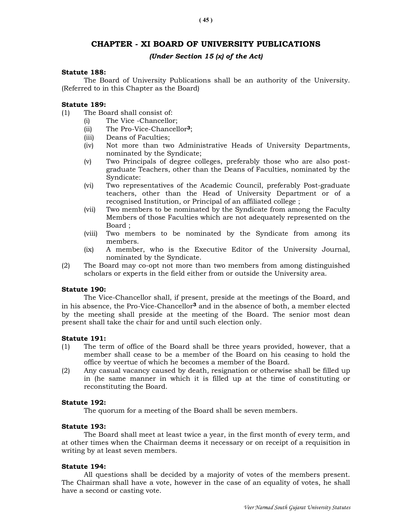# CHAPTER - XI BOARD OF UNIVERSITY PUBLICATIONS

### (Under Section 15 (x) of the Act)

#### Statute 188:

 The Board of University Publications shall be an authority of the University. (Referred to in this Chapter as the Board)

#### Statute 189:

- (1) The Board shall consist of:
	- (i) The Vice -Chancellor;
	- (ii) The Pro-Vice-Chancellor3;
	- (iii) Deans of Faculties;
	- (iv) Not more than two Administrative Heads of University Departments, nominated by the Syndicate;
	- (v) Two Principals of degree colleges, preferably those who are also postgraduate Teachers, other than the Deans of Faculties, nominated by the Syndicate:
	- (vi) Two representatives of the Academic Council, preferably Post-graduate teachers, other than the Head of University Department or of a recognised Institution, or Principal of an affiliated college ;
	- (vii) Two members to be nominated by the Syndicate from among the Faculty Members of those Faculties which are not adequately represented on the Board ;
	- (viii) Two members to be nominated by the Syndicate from among its members.
	- (ix) A member, who is the Executive Editor of the University Journal, nominated by the Syndicate.
- (2) The Board may co-opt not more than two members from among distinguished scholars or experts in the field either from or outside the University area.

#### Statute 190:

 The Vice-Chancellor shall, if present, preside at the meetings of the Board, and in his absence, the Pro-Vice-Chancellor<sup>3</sup> and in the absence of both, a member elected by the meeting shall preside at the meeting of the Board. The senior most dean present shall take the chair for and until such election only.

#### Statute 191:

- (1) The term of office of the Board shall be three years provided, however, that a member shall cease to be a member of the Board on his ceasing to hold the office by veertue of which he becomes a member of the Board.
- (2) Any casual vacancy caused by death, resignation or otherwise shall be filled up in (he same manner in which it is filled up at the time of constituting or reconstituting the Board.

#### Statute 192:

The quorum for a meeting of the Board shall be seven members.

#### Statute 193:

 The Board shall meet at least twice a year, in the first month of every term, and at other times when the Chairman deems it necessary or on receipt of a requisition in writing by at least seven members.

#### Statute 194:

 All questions shall be decided by a majority of votes of the members present. The Chairman shall have a vote, however in the case of an equality of votes, he shall have a second or casting vote.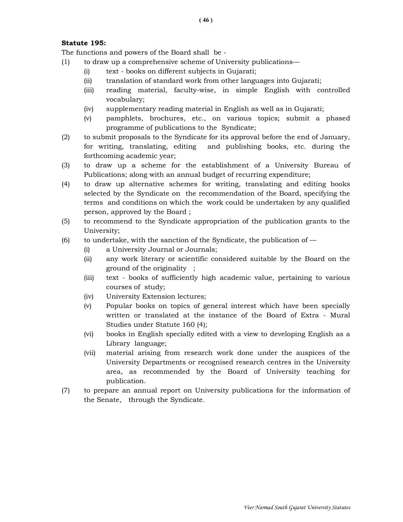# Statute 195:

The functions and powers of the Board shall be -

- (1) to draw up a comprehensive scheme of University publications—
	- (i) text books on different subjects in Gujarati;
	- (ii) translation of standard work from other languages into Gujarati;
	- (iii) reading material, faculty-wise, in simple English with controlled vocabulary;
	- (iv) supplementary reading material in English as well as in Gujarati;
	- (v) pamphlets, brochures, etc., on various topics; submit a phased programme of publications to the Syndicate;
- (2) to submit proposals to the Syndicate for its approval before the end of January, for writing, translating, editing and publishing books, etc. during the forthcoming academic year;
- (3) to draw up a scheme for the establishment of a University Bureau of Publications; along with an annual budget of recurring expenditure;
- (4) to draw up alternative schemes for writing, translating and editing books selected by the Syndicate on the recommendation of the Board, specifying the terms and conditions on which the work could be undertaken by any qualified person, approved by the Board ;
- (5) to recommend to the Syndicate appropriation of the publication grants to the University;
- (6) to undertake, with the sanction of the Syndicate, the publication of  $-$ 
	- (i) a University Journal or Journals;
	- (ii) any work literary or scientific considered suitable by the Board on the ground of the originality ;
	- (iii) text books of sufficiently high academic value, pertaining to various courses of study;
	- (iv) University Extension lectures;
	- (v) Popular books on topics of general interest which have been specially written or translated at the instance of the Board of Extra - Mural Studies under Statute 160 (4);
	- (vi) books in English specially edited with a view to developing English as a Library language;
	- (vii) material arising from research work done under the auspices of the University Departments or recognised research centres in the University area, as recommended by the Board of University teaching for publication.
- (7) to prepare an annual report on University publications for the information of the Senate, through the Syndicate.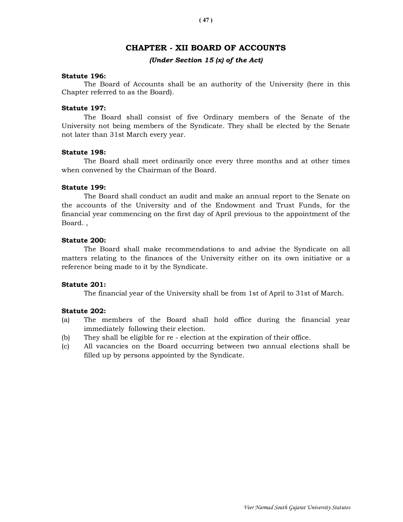# CHAPTER - XII BOARD OF ACCOUNTS

#### (Under Section 15 (x) of the Act)

#### Statute 196:

 The Board of Accounts shall be an authority of the University (here in this Chapter referred to as the Board).

#### Statute 197:

 The Board shall consist of five Ordinary members of the Senate of the University not being members of the Syndicate. They shall be elected by the Senate not later than 31st March every year.

#### Statute 198:

 The Board shall meet ordinarily once every three months and at other times when convened by the Chairman of the Board.

### Statute 199:

 The Board shall conduct an audit and make an annual report to the Senate on the accounts of the University and of the Endowment and Trust Funds, for the financial year commencing on the first day of April previous to the appointment of the Board. ,

#### Statute 200:

 The Board shall make recommendations to and advise the Syndicate on all matters relating to the finances of the University either on its own initiative or a reference being made to it by the Syndicate.

#### Statute 201:

The financial year of the University shall be from 1st of April to 31st of March.

#### Statute 202:

- (a) The members of the Board shall hold office during the financial year immediately following their election.
- (b) They shall be eligible for re election at the expiration of their office.
- (c) All vacancies on the Board occurring between two annual elections shall be filled up by persons appointed by the Syndicate.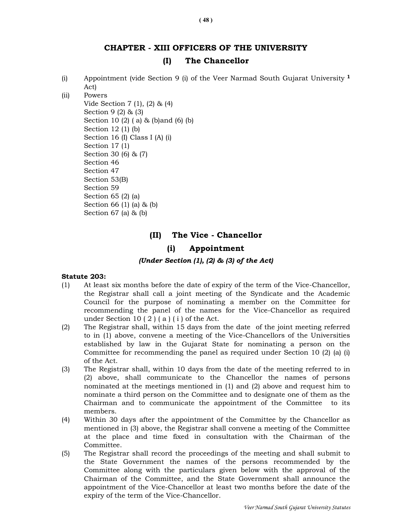# CHAPTER - XIII OFFICERS OF THE UNIVERSITY (I) The Chancellor

- (i) Appointment (vide Section 9 (i) of the Veer Narmad South Gujarat University <sup>1</sup> Act)
- (ii) Powers Vide Section 7 (1), (2) & (4) Section 9 (2) & (3) Section 10 (2) ( a) & (b)and (6) (b) Section 12 (1) (b) Section 16 (I) Class I (A) (i) Section 17 (1) Section 30 (6) & (7) Section 46 Section 47 Section 53(B) Section 59 Section 65 (2) (a) Section 66 (1) (a) & (b)
	- Section 67 (a) & (b)

# (II) The Vice - Chancellor

### (i) Appointment

#### (Under Section (1), (2) & (3) of the Act)

#### Statute 203:

- (1) At least six months before the date of expiry of the term of the Vice-Chancellor, the Registrar shall call a joint meeting of the Syndicate and the Academic Council for the purpose of nominating a member on the Committee for recommending the panel of the names for the Vice-Chancellor as required under Section 10  $(2)$   $(a)$   $(i)$  of the Act.
- (2) The Registrar shall, within 15 days from the date of the joint meeting referred to in (1) above, convene a meeting of the Vice-Chancellors of the Universities established by law in the Gujarat State for nominating a person on the Committee for recommending the panel as required under Section 10 (2) (a) (i) of the Act.
- (3) The Registrar shall, within 10 days from the date of the meeting referred to in (2) above, shall communicate to the Chancellor the names of persons nominated at the meetings mentioned in (1) and (2) above and request him to nominate a third person on the Committee and to designate one of them as the Chairman and to communicate the appointment of the Committee to its members.
- (4) Within 30 days after the appointment of the Committee by the Chancellor as mentioned in (3) above, the Registrar shall convene a meeting of the Committee at the place and time fixed in consultation with the Chairman of the Committee.
- (5) The Registrar shall record the proceedings of the meeting and shall submit to the State Government the names of the persons recommended by the Committee along with the particulars given below with the approval of the Chairman of the Committee, and the State Government shall announce the appointment of the Vice-Chancellor at least two months before the date of the expiry of the term of the Vice-Chancellor.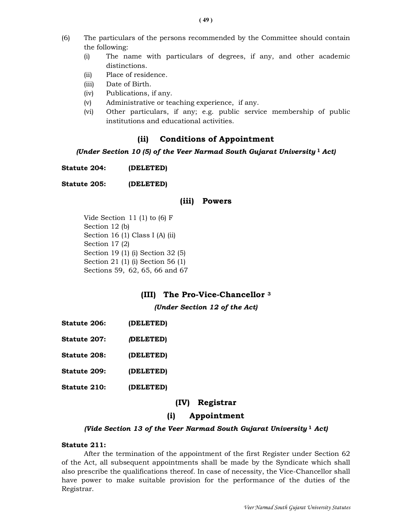- (6) The particulars of the persons recommended by the Committee should contain the following:
	- (i) The name with particulars of degrees, if any, and other academic distinctions.
	- (ii) Place of residence.
	- (iii) Date of Birth.
	- (iv) Publications, if any.
	- (v) Administrative or teaching experience, if any.
	- (vi) Other particulars, if any; e.g. public service membership of public institutions and educational activities.

# (ii) Conditions of Appointment

### (Under Section 10 (5) of the Veer Narmad South Gujarat University  $1$  Act)

Statute 204: (DELETED)

Statute 205: (DELETED)

### (iii) Powers

 Vide Section 11 (1) to (6) F Section 12 (b) Section 16 (1) Class I (A) (ii) Section 17 (2) Section 19 (1) (i) Section 32 (5) Section 21 (1) (i) Section 56 (1) Sections 59, 62, 65, 66 and 67

# (III) The Pro-Vice-Chancellor <sup>3</sup>

(Under Section 12 of the Act)

- Statute 206: (DELETED)
- Statute 207: (DELETED)

Statute 208: (DELETED)

- Statute 209: (DELETED)
- Statute 210: (DELETED)

### (IV) Registrar

# (i) Appointment

#### (Vide Section 13 of the Veer Narmad South Gujarat University  $1$  Act)

#### Statute 211:

 After the termination of the appointment of the first Register under Section 62 of the Act, all subsequent appointments shall be made by the Syndicate which shall also prescribe the qualifications thereof. In case of necessity, the Vice-Chancellor shall have power to make suitable provision for the performance of the duties of the Registrar.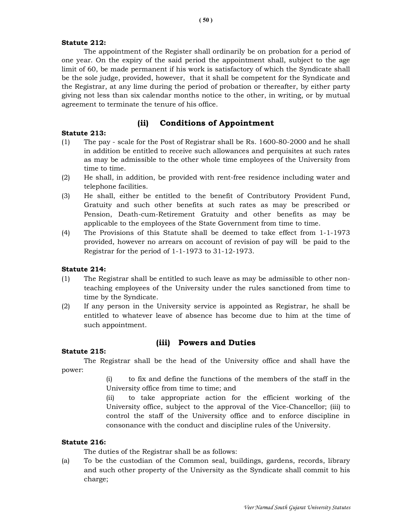### Statute 212:

 The appointment of the Register shall ordinarily be on probation for a period of one year. On the expiry of the said period the appointment shall, subject to the age limit of 60, be made permanent if his work is satisfactory of which the Syndicate shall be the sole judge, provided, however, that it shall be competent for the Syndicate and the Registrar, at any lime during the period of probation or thereafter, by either party giving not less than six calendar months notice to the other, in writing, or by mutual agreement to terminate the tenure of his office.

# (ii) Conditions of Appointment

# Statute 213:

- (1) The pay scale for the Post of Registrar shall be Rs. 1600-80-2000 and he shall in addition be entitled to receive such allowances and perquisites at such rates as may be admissible to the other whole time employees of the University from time to time.
- (2) He shall, in addition, be provided with rent-free residence including water and telephone facilities.
- (3) He shall, either be entitled to the benefit of Contributory Provident Fund, Gratuity and such other benefits at such rates as may be prescribed or Pension, Death-cum-Retirement Gratuity and other benefits as may be applicable to the employees of the State Government from time to time.
- (4) The Provisions of this Statute shall be deemed to take effect from 1-1-1973 provided, however no arrears on account of revision of pay will be paid to the Registrar for the period of 1-1-1973 to 31-12-1973.

### Statute 214:

- (1) The Registrar shall be entitled to such leave as may be admissible to other nonteaching employees of the University under the rules sanctioned from time to time by the Syndicate.
- (2) If any person in the University service is appointed as Registrar, he shall be entitled to whatever leave of absence has become due to him at the time of such appointment.

### Statute 215:

# (iii) Powers and Duties

The Registrar shall be the head of the University office and shall have the power:

> (i) to fix and define the functions of the members of the staff in the University office from time to time; and

> (ii) to take appropriate action for the efficient working of the University office, subject to the approval of the Vice-Chancellor; (iii) to control the staff of the University office and to enforce discipline in consonance with the conduct and discipline rules of the University.

### Statute 216:

The duties of the Registrar shall be as follows:

(a) To be the custodian of the Common seal, buildings, gardens, records, library and such other property of the University as the Syndicate shall commit to his charge;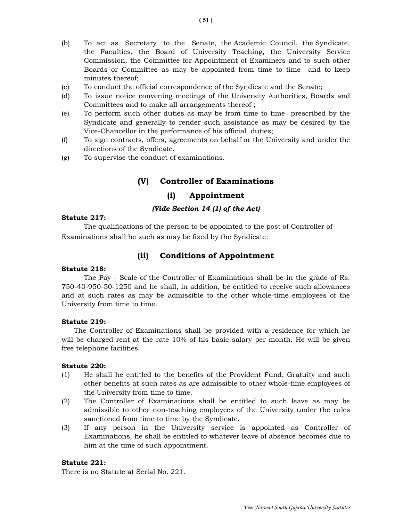- (c) To conduct the official correspondence of the Syndicate and the Senate;
- (d) To issue notice convening meetings of the University Authorities, Boards and Committees and to make all arrangements thereof ;
- (e) To perform such other duties as may be from time to time prescribed by the Syndicate and generally to render such assistance as may be desired by the Vice-Chancellor in the performance of his official duties;
- (f) To sign contracts, offers, agreements on behalf or the University and under the directions of the Syndicate.
- (g) To supervise the conduct of examinations.

# (V) Controller of Examinations

# (i) Appointment

#### (Vide Section 14 (1) of the Act)

#### Statute 217:

 The qualifications of the person to be appointed to the post of Controller of Examinations shall he such as may be fixed by the Syndicate:

# (ii) Conditions of Appointment

#### Statute 218:

 The Pay - Scale of the Controller of Examinations shall be in the grade of Rs. 750-40-950-50-1250 and he shall, in addition, be entitled to receive such allowances and at such rates as may be admissible to the other whole-time employees of the University from time to time.

#### Statute 219:

 The Controller of Examinations shall be provided with a residence for which he will be charged rent at the rate 10% of his basic salary per month. He will be given free telephone facilities.

#### Statute 220:

- (1) He shall he entitled to the benefits of the Provident Fund, Gratuity and such other benefits at such rates as are admissible to other whole-time employees of the University from time to time.
- (2) The Controller of Examinations shall be entitled to such leave as may be admissible to other non-teaching employees of the University under the rules sanctioned from time to time by the Syndicate.
- (3) If any person in the University service is appointed as Controller of Examinations, he shall be entitled to whatever leave of absence becomes due to him at the time of such appointment.

#### Statute 221:

There is no Statute at Serial No. 221.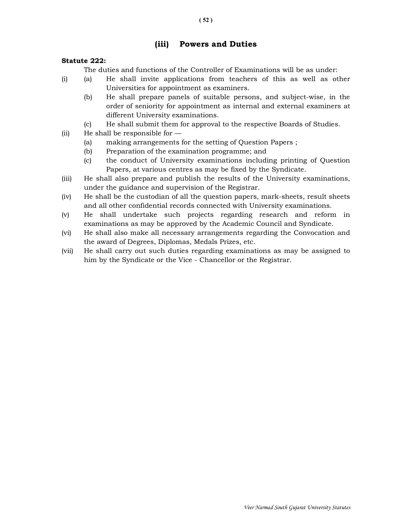# (iii) Powers and Duties

### Statute 222:

The duties and functions of the Controller of Examinations will be as under:

- (i) (a) He shall invite applications from teachers of this as well as other Universities for appointment as examiners.
	- (b) He shall prepare panels of suitable persons, and subject-wise, in the order of seniority for appointment as internal and external examiners at different University examinations.
	- (c) He shall submit them for approval to the respective Boards of Studies.
- (ii) He shall be responsible for
	- (a) making arrangements for the setting of Question Papers ;
	- (b) Preparation of the examination programme; and
	- (c) the conduct of University examinations including printing of Question Papers, at various centres as may be fixed by the Syndicate.
- (iii) He shall also prepare and publish the results of the University examinations, under the guidance and supervision of the Registrar.
- (iv) He shall be the custodian of all the question papers, mark-sheets, result sheets and all other confidential records connected with University examinations.
- (v) He shall undertake such projects regarding research and reform in examinations as may be approved by the Academic Council and Syndicate.
- (vi) He shall also make all necessary arrangements regarding the Convocation and the award of Degrees, Diplomas, Medals Prizes, etc.
- (vii) He shall carry out such duties regarding examinations as may be assigned to him by the Syndicate or the Vice - Chancellor or the Registrar.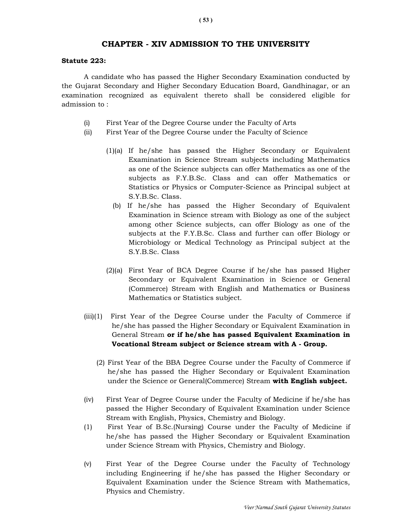### CHAPTER - XIV ADMISSION TO THE UNIVERSITY

#### Statute 223:

A candidate who has passed the Higher Secondary Examination conducted by the Gujarat Secondary and Higher Secondary Education Board, Gandhinagar, or an examination recognized as equivalent thereto shall be considered eligible for admission to :

- (i) First Year of the Degree Course under the Faculty of Arts
- (ii) First Year of the Degree Course under the Faculty of Science
	- (1)(a) If he/she has passed the Higher Secondary or Equivalent Examination in Science Stream subjects including Mathematics as one of the Science subjects can offer Mathematics as one of the subjects as F.Y.B.Sc. Class and can offer Mathematics or Statistics or Physics or Computer-Science as Principal subject at S.Y.B.Sc. Class.
		- (b) If he/she has passed the Higher Secondary of Equivalent Examination in Science stream with Biology as one of the subject among other Science subjects, can offer Biology as one of the subjects at the F.Y.B.Sc. Class and further can offer Biology or Microbiology or Medical Technology as Principal subject at the S.Y.B.Sc. Class
	- (2)(a) First Year of BCA Degree Course if he/she has passed Higher Secondary or Equivalent Examination in Science or General (Commerce) Stream with English and Mathematics or Business Mathematics or Statistics subject.
- (iii)(1) First Year of the Degree Course under the Faculty of Commerce if he/she has passed the Higher Secondary or Equivalent Examination in General Stream or if he/she has passed Equivalent Examination in Vocational Stream subject or Science stream with A - Group.
	- (2) First Year of the BBA Degree Course under the Faculty of Commerce if he/she has passed the Higher Secondary or Equivalent Examination under the Science or General(Commerce) Stream with English subject.
- (iv) First Year of Degree Course under the Faculty of Medicine if he/she has passed the Higher Secondary of Equivalent Examination under Science Stream with English, Physics, Chemistry and Biology.
- (1) First Year of B.Sc.(Nursing) Course under the Faculty of Medicine if he/she has passed the Higher Secondary or Equivalent Examination under Science Stream with Physics, Chemistry and Biology.
- (v) First Year of the Degree Course under the Faculty of Technology including Engineering if he/she has passed the Higher Secondary or Equivalent Examination under the Science Stream with Mathematics, Physics and Chemistry.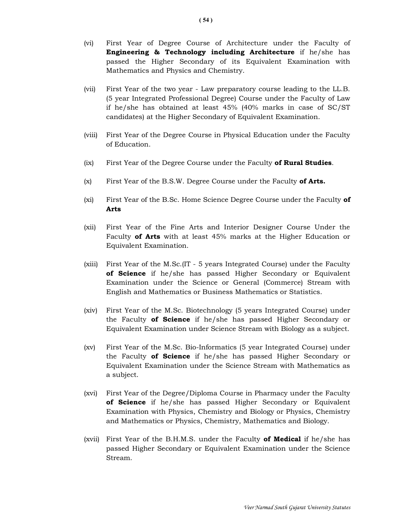- (vi) First Year of Degree Course of Architecture under the Faculty of Engineering & Technology including Architecture if he/she has passed the Higher Secondary of its Equivalent Examination with Mathematics and Physics and Chemistry.
- (vii) First Year of the two year Law preparatory course leading to the LL.B. (5 year Integrated Professional Degree) Course under the Faculty of Law if he/she has obtained at least 45% (40% marks in case of SC/ST candidates) at the Higher Secondary of Equivalent Examination.
- (viii) First Year of the Degree Course in Physical Education under the Faculty of Education.
- (ix) First Year of the Degree Course under the Faculty of Rural Studies.
- $(x)$  First Year of the B.S.W. Degree Course under the Faculty of Arts.
- (xi) First Year of the B.Sc. Home Science Degree Course under the Faculty of Arts
- (xii) First Year of the Fine Arts and Interior Designer Course Under the Faculty of Arts with at least 45% marks at the Higher Education or Equivalent Examination.
- (xiii) First Year of the M.Sc.(IT 5 years Integrated Course) under the Faculty of Science if he/she has passed Higher Secondary or Equivalent Examination under the Science or General (Commerce) Stream with English and Mathematics or Business Mathematics or Statistics.
- (xiv) First Year of the M.Sc. Biotechnology (5 years Integrated Course) under the Faculty **of Science** if he/she has passed Higher Secondary or Equivalent Examination under Science Stream with Biology as a subject.
- (xv) First Year of the M.Sc. Bio-Informatics (5 year Integrated Course) under the Faculty of Science if he/she has passed Higher Secondary or Equivalent Examination under the Science Stream with Mathematics as a subject.
- (xvi) First Year of the Degree/Diploma Course in Pharmacy under the Faculty of Science if he/she has passed Higher Secondary or Equivalent Examination with Physics, Chemistry and Biology or Physics, Chemistry and Mathematics or Physics, Chemistry, Mathematics and Biology.
- (xvii) First Year of the B.H.M.S. under the Faculty of Medical if he/she has passed Higher Secondary or Equivalent Examination under the Science Stream.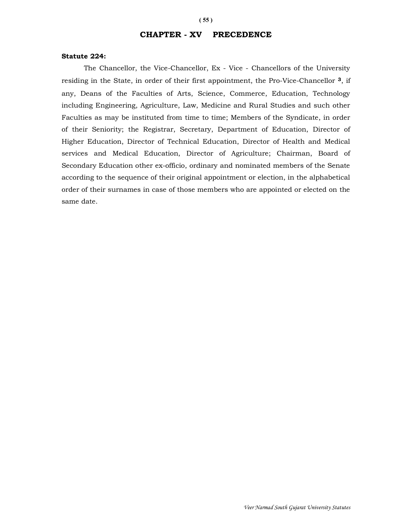# CHAPTER - XV PRECEDENCE

#### Statute 224:

 The Chancellor, the Vice-Chancellor, Ex - Vice - Chancellors of the University residing in the State, in order of their first appointment, the Pro-Vice-Chancellor 3, if any, Deans of the Faculties of Arts, Science, Commerce, Education, Technology including Engineering, Agriculture, Law, Medicine and Rural Studies and such other Faculties as may be instituted from time to time; Members of the Syndicate, in order of their Seniority; the Registrar, Secretary, Department of Education, Director of Higher Education, Director of Technical Education, Director of Health and Medical services and Medical Education, Director of Agriculture; Chairman, Board of Secondary Education other ex-officio, ordinary and nominated members of the Senate according to the sequence of their original appointment or election, in the alphabetical order of their surnames in case of those members who are appointed or elected on the same date.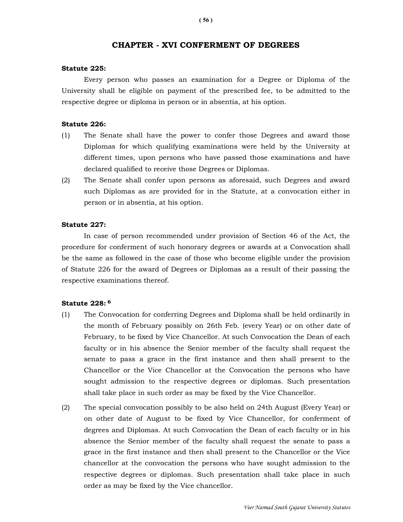### CHAPTER - XVI CONFERMENT OF DEGREES

#### Statute 225:

 Every person who passes an examination for a Degree or Diploma of the University shall be eligible on payment of the prescribed fee, to be admitted to the respective degree or diploma in person or in absentia, at his option.

#### Statute 226:

- (1) The Senate shall have the power to confer those Degrees and award those Diplomas for which qualifying examinations were held by the University at different times, upon persons who have passed those examinations and have declared qualified to receive those Degrees or Diplomas.
- (2) The Senate shall confer upon persons as aforesaid, such Degrees and award such Diplomas as are provided for in the Statute, at a convocation either in person or in absentia, at his option.

#### Statute 227:

 In case of person recommended under provision of Section 46 of the Act, the procedure for conferment of such honorary degrees or awards at a Convocation shall be the same as followed in the case of those who become eligible under the provision of Statute 226 for the award of Degrees or Diplomas as a result of their passing the respective examinations thereof.

#### Statute 228: <sup>6</sup>

- (1) The Convocation for conferring Degrees and Diploma shall be held ordinarily in the month of February possibly on 26th Feb. (every Year) or on other date of February, to be fixed by Vice Chancellor. At such Convocation the Dean of each faculty or in his absence the Senior member of the faculty shall request the senate to pass a grace in the first instance and then shall present to the Chancellor or the Vice Chancellor at the Convocation the persons who have sought admission to the respective degrees or diplomas. Such presentation shall take place in such order as may be fixed by the Vice Chancellor.
- (2) The special convocation possibly to be also held on 24th August (Every Year) or on other date of August to be fixed by Vice Chancellor, for conferment of degrees and Diplomas. At such Convocation the Dean of each faculty or in his absence the Senior member of the faculty shall request the senate to pass a grace in the first instance and then shall present to the Chancellor or the Vice chancellor at the convocation the persons who have sought admission to the respective degrees or diplomas. Such presentation shall take place in such order as may be fixed by the Vice chancellor.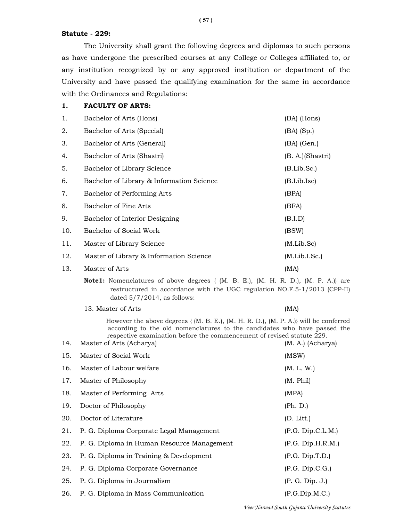#### Statute - 229:

 The University shall grant the following degrees and diplomas to such persons as have undergone the prescribed courses at any College or Colleges affiliated to, or any institution recognized by or any approved institution or department of the University and have passed the qualifying examination for the same in accordance with the Ordinances and Regulations:

#### 1. FACULTY OF ARTS:

| 1.  | Bachelor of Arts (Hons)                   | (BA) (Hons)      |
|-----|-------------------------------------------|------------------|
| 2.  | Bachelor of Arts (Special)                | $(BA)$ $(Sp.)$   |
| 3.  | Bachelor of Arts (General)                | $(BA)$ (Gen.)    |
| 4.  | Bachelor of Arts (Shastri)                | (B. A.)(Shastri) |
| 5.  | Bachelor of Library Science               | (B.Lib.Sc.)      |
| 6.  | Bachelor of Library & Information Science | (B.Lib.Isc)      |
| 7.  | Bachelor of Performing Arts               | (BPA)            |
| 8.  | Bachelor of Fine Arts                     | (BFA)            |
| 9.  | Bachelor of Interior Designing            | (B.I.D)          |
| 10. | Bachelor of Social Work                   | (BSW)            |
| 11. | Master of Library Science                 | (M.Lib.Sc)       |
| 12. | Master of Library & Information Science   | (M.Lib.I.Sc.)    |
| 13. | Master of Arts                            | (MA)             |

**Note1:** Nomenclatures of above degrees  $\{ (M. B. E.) , (M. H. R. D.) , (M. P. A.) \}$  are restructured in accordance with the UGC regulation NO.F.5-1/2013 (CPP-II) dated 5/7/2014, as follows:

13. Master of Arts (MA)

 However the above degrees { (M. B. E.), (M. H. R. D.), (M. P. A.)} will be conferred according to the old nomenclatures to the candidates who have passed the respective examination before the commencement of revised statute 229.

| 15. | Master of Social Work                      | (MSW)             |
|-----|--------------------------------------------|-------------------|
| 16. | Master of Labour welfare                   | (M. L. W.)        |
| 17. | Master of Philosophy                       | (M. Phil)         |
| 18. | Master of Performing Arts                  | (MPA)             |
| 19. | Doctor of Philosophy                       | (Ph. D.)          |
| 20. | Doctor of Literature                       | (D. Litt.)        |
| 21. | P. G. Diploma Corporate Legal Management   | (P.G. Dip.C.L.M.) |
| 22. | P. G. Diploma in Human Resource Management | (P.G. Dip.H.R.M.) |
| 23. | P. G. Diploma in Training & Development    | (P.G. Dip.T.D.)   |
| 24. | P. G. Diploma Corporate Governance         | (P.G. Dip.C.G.)   |
| 25. | P. G. Diploma in Journalism                | (P. G. Dip. J.)   |
| 26. | P. G. Diploma in Mass Communication        | (P.G.Dip.M.C.)    |
|     |                                            |                   |

14. Master of Arts (Acharya) (M. A.) (Acharya)

( 57 )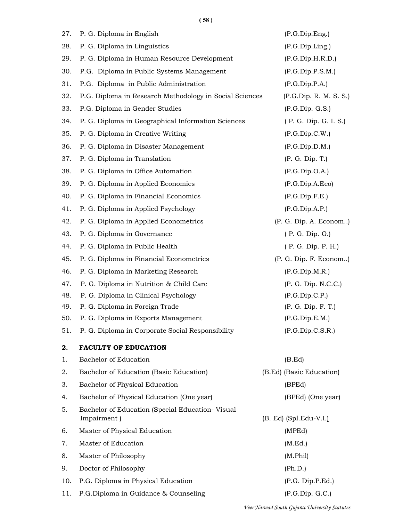( 58 )

| 27. | P. G. Diploma in English                                | (P.G.Dip.Eng.)           |
|-----|---------------------------------------------------------|--------------------------|
| 28. | P. G. Diploma in Linguistics                            | (P.G.Dip.Ling.)          |
| 29. | P. G. Diploma in Human Resource Development             | (P.G.Dip.H.R.D.)         |
| 30. | P.G. Diploma in Public Systems Management               | (P.G.Dip.P.S.M.)         |
| 31. | P.G. Diploma in Public Administration                   | (P.G.Dip.P.A.)           |
| 32. | P.G. Diploma in Research Methodology in Social Sciences | (P.G.Dip. R. M. S. S.)   |
| 33. | P.G. Diploma in Gender Studies                          | (P.G.Dip.G.S.)           |
| 34. | P. G. Diploma in Geographical Information Sciences      | (P. G. Dip. G. I. S.)    |
| 35. | P. G. Diploma in Creative Writing                       | (P.G.Dip.C.W.)           |
| 36. | P. G. Diploma in Disaster Management                    | (P.G.Dip.D.M.)           |
| 37. | P. G. Diploma in Translation                            | (P. G. Dip. T.)          |
| 38. | P. G. Diploma in Office Automation                      | (P.G.Dip.O.A.)           |
| 39. | P. G. Diploma in Applied Economics                      | (P.G.Dip.A.Eco)          |
| 40. | P. G. Diploma in Financial Economics                    | (P.G.Dip.F.E.)           |
| 41. | P. G. Diploma in Applied Psychology                     | (P.G.Dip.A.P.)           |
| 42. | P. G. Diploma in Applied Econometrics                   | (P. G. Dip. A. Econom)   |
| 43. | P. G. Diploma in Governance                             | (P. G. Dip. G.)          |
| 44. | P. G. Diploma in Public Health                          | (P. G. Dip. P. H.)       |
| 45. | P. G. Diploma in Financial Econometrics                 | (P. G. Dip. F. Econom)   |
| 46. | P. G. Diploma in Marketing Research                     | (P.G.Dip.M.R.)           |
| 47. | P. G. Diploma in Nutrition & Child Care                 | (P. G. Dip. N.C.C.)      |
| 48. | P. G. Diploma in Clinical Psychology                    | (P.G.Dip.C.P.)           |
| 49. | P. G. Diploma in Foreign Trade                          | (P. G. Dip. F. T.)       |
| 50. | P. G. Diploma in Exports Management                     | (P.G.Dip.E.M.)           |
| 51. | P. G. Diploma in Corporate Social Responsibility        | (P.G.Dip.C.S.R.)         |
| 2.  | <b>FACULTY OF EDUCATION</b>                             |                          |
| 1.  | Bachelor of Education                                   | (B.Ed)                   |
| 2.  | Bachelor of Education (Basic Education)                 | (B.Ed) (Basic Education) |
| 3.  | Bachelor of Physical Education                          | (BPEd)                   |
| 4.  | Bachelor of Physical Education (One year)               | (BPEd) (One year)        |
| 5.  | Bachelor of Education (Special Education-Visual         |                          |
|     | Impairment)                                             | (B. Ed) (Spl.Edu-V.I.)   |
| 6.  | Master of Physical Education                            | (MPEd)                   |
| 7.  | Master of Education                                     | (M.Ed.)                  |
| 8.  | Master of Philosophy                                    | (M.Phil)                 |
| 9.  | Doctor of Philosophy                                    | (Ph.D.)                  |
| 10. | P.G. Diploma in Physical Education                      | (P.G. Dip.P.Ed.)         |
| 11. | P.G.Diploma in Guidance & Counseling                    | (P.G.Dip.G.C.)           |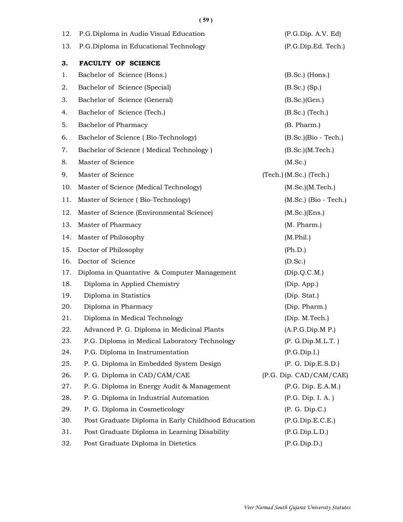| 12. | P.G.Diploma in Audio Visual Education              | (P.G.Dip. A.V. Ed)          |
|-----|----------------------------------------------------|-----------------------------|
| 13. | P.G.Diploma in Educational Technology              | (P.G.Dip.Ed. Tech.)         |
| 3.  | <b>FACULTY OF SCIENCE</b>                          |                             |
| 1.  | Bachelor of Science (Hons.)                        | $(B.Sc.)$ (Hons.)           |
| 2.  | Bachelor of Science (Special)                      | $(B.Sc.)$ $(Sp.)$           |
| 3.  | Bachelor of Science (General)                      | (B. Sc.)(Gen.)              |
| 4.  | Bachelor of Science (Tech.)                        | $(B.Sc.)$ (Tech.)           |
| 5.  | Bachelor of Pharmacy                               | (B. Pharm.)                 |
| 6.  | Bachelor of Science (Bio-Technology)               | $(B.Sc.)$ (Bio - Tech.)     |
| 7.  | Bachelor of Science (Medical Technology)           | (B.Sc.) (M.Tech.)           |
| 8.  | Master of Science                                  | (M.Sc.)                     |
| 9.  | Master of Science                                  | $(Tech.)$ (M.Sc.) $(Tech.)$ |
| 10. | Master of Science (Medical Technology)             | (M.Sc.) (M.Tech.)           |
| 11. | Master of Science (Bio-Technology)                 | $(M.Sc.)$ (Bio - Tech.)     |
| 12. | Master of Science (Environmental Science)          | $(M.Sc.)$ (Ens.)            |
| 13. | Master of Pharmacy                                 | (M. Pharm.)                 |
| 14. | Master of Philosophy                               | (M.Phil.)                   |
| 15. | Doctor of Philosophy                               | (Ph.D.)                     |
| 16. | Doctor of Science                                  | (D.Sc.)                     |
| 17. | Diploma in Quantative & Computer Management        | (Dip.Q.C.M.)                |
| 18. | Diploma in Applied Chemistry                       | (Dip. App.)                 |
| 19. | Diploma in Statistics                              | (Dip. Stat.)                |
| 20. | Diploma in Pharmacy                                | (Dip. Pharm.)               |
| 21. | Diploma in Medical Technology                      | (Dip. M.Tech.)              |
| 22. | Advanced P. G. Diploma in Medicinal Plants         | (A.P.G.Dip.M.P.)            |
| 23. | P.G. Diploma in Medical Laboratory Technology      | (P. G.Dip.M.L.T.)           |
| 24. | P.G. Diploma in Instrumentation                    | (P.G.Dip.I.)                |
| 25. | P. G. Diploma in Embedded System Design            | (P. G. Dip.E.S.D.)          |
| 26. | P. G. Diploma in CAD/CAM/CAE                       | (P.G. Dip. CAD/CAM/CAE)     |
| 27. | P. G. Diploma in Energy Audit & Management         | (P.G. Dip. E.A.M.)          |
| 28. | P. G. Diploma in Industrial Automation             | (P.G. Dip. I. A.)           |
| 29. | P. G. Diploma in Cosmeticology                     | (P. G. Dip.C.)              |
| 30. | Post Graduate Diploma in Early Childhood Education | (P.G.Dip.E.C.E.)            |
| 31. | Post Graduate Diploma in Learning Disability       | (P.G.Dip.L.D.)              |
| 32. | Post Graduate Diploma in Dietetics                 | (P.G.Dip.D.)                |

( 59 )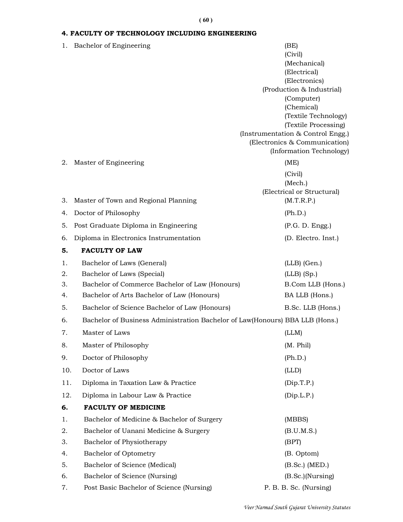### ( 60 )

# 4. FACULTY OF TECHNOLOGY INCLUDING ENGINEERING

| 1.  | Bachelor of Engineering                                                      | (BE)<br>(Civil)                    |
|-----|------------------------------------------------------------------------------|------------------------------------|
|     |                                                                              | (Mechanical)                       |
|     |                                                                              | (Electrical)<br>(Electronics)      |
|     |                                                                              | (Production & Industrial)          |
|     |                                                                              | (Computer)                         |
|     |                                                                              | (Chemical)<br>(Textile Technology) |
|     |                                                                              | (Textile Processing)               |
|     |                                                                              | (Instrumentation & Control Engg.)  |
|     |                                                                              | (Electronics & Communication)      |
|     |                                                                              | (Information Technology)           |
| 2.  | Master of Engineering                                                        | (ME)                               |
|     |                                                                              | (Civil)<br>(Mech.)                 |
|     |                                                                              | (Electrical or Structural)         |
| 3.  | Master of Town and Regional Planning                                         | (M.T.R.P.)                         |
| 4.  | Doctor of Philosophy                                                         | (Ph.D.)                            |
| 5.  | Post Graduate Diploma in Engineering                                         | (P.G. D. Engg.)                    |
| 6.  | Diploma in Electronics Instrumentation                                       | (D. Electro. Inst.)                |
| 5.  | <b>FACULTY OF LAW</b>                                                        |                                    |
| 1.  | Bachelor of Laws (General)                                                   | $(LLB)$ (Gen.)                     |
| 2.  | Bachelor of Laws (Special)                                                   | $(LLB)$ (Sp.)                      |
| 3.  | Bachelor of Commerce Bachelor of Law (Honours)                               | B.Com LLB (Hons.)                  |
| 4.  | Bachelor of Arts Bachelor of Law (Honours)                                   | BA LLB (Hons.)                     |
| 5.  | Bachelor of Science Bachelor of Law (Honours)                                | B.Sc. LLB (Hons.)                  |
| 6.  | Bachelor of Business Administration Bachelor of Law(Honours) BBA LLB (Hons.) |                                    |
| 7.  | Master of Laws                                                               | (LLM)                              |
| 8.  | Master of Philosophy                                                         | (M. Phil)                          |
| 9.  | Doctor of Philosophy                                                         | (Ph.D.)                            |
| 10. | Doctor of Laws                                                               | (LLD)                              |
| 11. | Diploma in Taxation Law & Practice                                           | (Dip.T.P.)                         |
| 12. | Diploma in Labour Law & Practice                                             | (Dip.L.P.)                         |
| 6.  | <b>FACULTY OF MEDICINE</b>                                                   |                                    |
| 1.  | Bachelor of Medicine & Bachelor of Surgery                                   | (MBBS)                             |
| 2.  | Bachelor of Uanani Medicine & Surgery                                        | (B.U.M.S.)                         |
| 3.  | Bachelor of Physiotherapy                                                    | (BPT)                              |
| 4.  | Bachelor of Optometry                                                        | (B. Optom)                         |
| 5.  | Bachelor of Science (Medical)                                                | $(B.Sc.)$ (MED.)                   |
| 6.  | Bachelor of Science (Nursing)                                                | (B.Sc.)(Nursing)                   |
| 7.  | Post Basic Bachelor of Science (Nursing)                                     | P. B. B. Sc. (Nursing)             |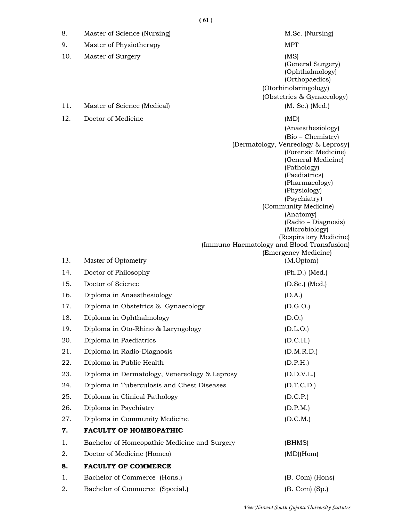8. Master of Science (Nursing) M.Sc. (Nursing) 9. Master of Physiotherapy MPT 10. Master of Surgery (MS) (General Surgery) (Ophthalmology) (Orthopaedics) (Otorhinolaringology) (Obstetrics & Gynaecology) 11. Master of Science (Medical) (M. Sc.) (Med.) 12. Doctor of Medicine (MD) (Anaesthesiology) (Bio – Chemistry) (Dermatology, Venreology & Leprosy) (Forensic Medicine) (General Medicine) (Pathology) (Paediatrics) (Pharmacology) (Physiology) (Psychiatry) (Community Medicine) (Anatomy) (Radio – Diagnosis) (Microbiology) (Respiratory Medicine) (Immuno Haematology and Blood Transfusion) (Emergency Medicine) 13. Master of Optometry (M.Optom) 14. Doctor of Philosophy (Ph.D.) (Med.) 15. Doctor of Science (D.Sc.) (Med.) 16. Diploma in Anaesthesiology (D.A.) 17. Diploma in Obstetrics & Gynaecology (D.G.O.) 18. Diploma in Ophthalmology (D.O.) 19. Diploma in Oto-Rhino & Laryngology (D.L.O.) 20. Diploma in Paediatrics (D.C.H.) 21. Diploma in Radio-Diagnosis (D.M.R.D.) 22. Diploma in Public Health (D.P.H.) 23. Diploma in Dermatology, Venereology & Leprosy (D.D.V.L.) 24. Diploma in Tuberculosis and Chest Diseases (D.T.C.D.) 25. Diploma in Clinical Pathology (D.C.P.) 26. Diploma in Psychiatry (D.P.M.) 27. Diploma in Community Medicine (D.C.M.) 7. FACULTY OF HOMEOPATHIC 1. Bachelor of Homeopathic Medicine and Surgery (BHMS) 2. Doctor of Medicine (Homeo) (MD)(Hom)

### 8. FACULTY OF COMMERCE

1. Bachelor of Commerce (Hons.) (B. Com) (Hons) 2. Bachelor of Commerce (Special.) (B. Com) (Sp.)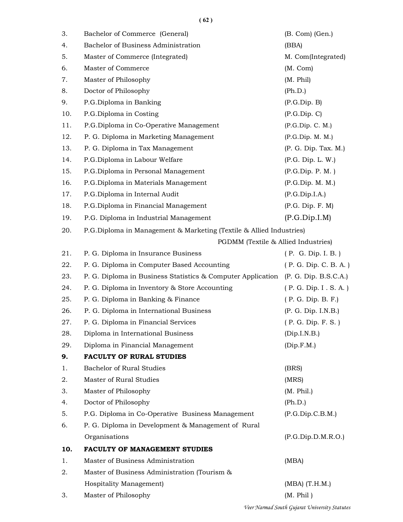$(62)$ 

| 3.  | Bachelor of Commerce (General)                                                    | (B. Com) (Gen.)                               |  |
|-----|-----------------------------------------------------------------------------------|-----------------------------------------------|--|
| 4.  | Bachelor of Business Administration                                               | (BBA)                                         |  |
| 5.  | Master of Commerce (Integrated)                                                   | M. Com(Integrated)                            |  |
| 6.  | Master of Commerce                                                                | (M. Com)                                      |  |
| 7.  | Master of Philosophy                                                              | (M. Phil)                                     |  |
| 8.  | Doctor of Philosophy                                                              | (Ph.D.)                                       |  |
| 9.  | P.G.Diploma in Banking                                                            | (P.G.Dip.B)                                   |  |
| 10. | P.G.Diploma in Costing                                                            | (P.G.Dip.C)                                   |  |
| 11. | P.G.Diploma in Co-Operative Management                                            | (P.G.Dip.C. M.)                               |  |
| 12. | P. G. Diploma in Marketing Management                                             | (P.G.Dip. M. M.)                              |  |
| 13. | P. G. Diploma in Tax Management                                                   | (P. G. Dip. Tax. M.)                          |  |
| 14. | P.G.Diploma in Labour Welfare                                                     | (P.G. Dip. L.W.)                              |  |
| 15. | P.G.Diploma in Personal Management                                                | (P.G.Dip. P. M.)                              |  |
| 16. | P.G.Diploma in Materials Management                                               | (P.G.Dip. M. M.)                              |  |
| 17. | P.G.Diploma in Internal Audit                                                     | (P.G.Dip.I.A.)                                |  |
| 18. | P.G.Diploma in Financial Management                                               | (P.G. Dip. F. M)                              |  |
| 19. | P.G. Diploma in Industrial Management                                             | (P.G.Dip.I.M)                                 |  |
| 20. | P.G.Diploma in Management & Marketing (Textile & Allied Industries)               |                                               |  |
|     | PGDMM (Textile & Allied Industries)                                               |                                               |  |
| 21. | P. G. Diploma in Insurance Business                                               | (P. G. Dip. I. B.)                            |  |
| 22. | P. G. Diploma in Computer Based Accounting                                        | (P. G. Dip. C. B. A.)                         |  |
| 23. | P. G. Diploma in Business Statistics & Computer Application (P. G. Dip. B.S.C.A.) |                                               |  |
| 24. | P. G. Diploma in Inventory & Store Accounting                                     | (P. G. Dip. I . S. A.)                        |  |
| 25. | P. G. Diploma in Banking & Finance                                                | (P. G. Dip. B. F.)                            |  |
| 26. | P. G. Diploma in International Business                                           | (P. G. Dip. I.N.B.)                           |  |
| 27. | P. G. Diploma in Financial Services                                               | (P. G. Dip. F. S.)                            |  |
| 28. | Diploma in International Business                                                 | (Dip.I.N.B.)                                  |  |
| 29. | Diploma in Financial Management                                                   | (Dip.F.M.)                                    |  |
| 9.  | <b>FACULTY OF RURAL STUDIES</b>                                                   |                                               |  |
| 1.  | Bachelor of Rural Studies                                                         | (BRS)                                         |  |
| 2.  | Master of Rural Studies                                                           | (MRS)                                         |  |
| 3.  | Master of Philosophy                                                              | (M. Phil.)                                    |  |
| 4.  | Doctor of Philosophy                                                              | (Ph.D.)                                       |  |
| 5.  | P.G. Diploma in Co-Operative Business Management                                  | (P.G.Dip.C.B.M.)                              |  |
| 6.  | P. G. Diploma in Development & Management of Rural                                |                                               |  |
|     | Organisations                                                                     | (P.G.Dip.D.M.R.O.)                            |  |
| 10. | <b>FACULTY OF MANAGEMENT STUDIES</b>                                              |                                               |  |
| 1.  | Master of Business Administration                                                 | (MBA)                                         |  |
| 2.  | Master of Business Administration (Tourism &                                      |                                               |  |
|     | Hospitality Management)                                                           | $(MBA)$ $(T.H.M.)$                            |  |
| 3.  | Master of Philosophy                                                              | (M. Phil)                                     |  |
|     |                                                                                   | Veer Narmad South Gujarat University Statutes |  |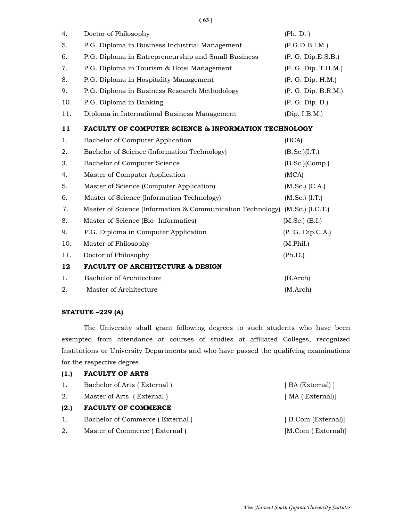( 63 )

| 4.  | Doctor of Philosophy                                            | (Ph. D. )            |
|-----|-----------------------------------------------------------------|----------------------|
| 5.  | P.G. Diploma in Business Industrial Management                  | (P.G.D.B.I.M.)       |
| 6.  | P.G. Diploma in Entrepreneurship and Small Business             | (P. G. Dip.E.S.B.)   |
| 7.  | P.G. Diploma in Tourism & Hotel Management                      | (P. G. Dip. T.H.M.)  |
| 8.  | P.G. Diploma in Hospitality Management                          | (P. G. Dip. H.M.)    |
| 9.  | P.G. Diploma in Business Research Methodology                   | (P. G. Dip. B.R.M.)  |
| 10. | P.G. Diploma in Banking                                         | (P. G. Dip. B.)      |
| 11. | Diploma in International Business Management                    | (Dip. I.B.M.)        |
| 11  | <b>FACULTY OF COMPUTER SCIENCE &amp; INFORMATION TECHNOLOGY</b> |                      |
| 1.  | Bachelor of Computer Application                                | (BCA)                |
| 2.  | Bachelor of Science (Information Technology)                    | (B.Sc.)(I.T.)        |
| 3.  | Bachelor of Computer Science                                    | $(B.Sc.)$ (Comp.)    |
| 4.  | Master of Computer Application                                  | (MCA)                |
| 5.  | Master of Science (Computer Application)                        | $(M.Sc.)$ $(C.A.)$   |
| 6.  | Master of Science (Information Technology)                      | $(M.Sc.)$ $(I.T.)$   |
| 7.  | Master of Science (Information & Communication Technology)      | $(M.Sc.)$ $(I.C.T.)$ |
| 8.  | Master of Science (Bio-Informatics)                             | $(M.Sc.)$ (B.I.)     |
| 9.  | P.G. Diploma in Computer Application                            | (P. G. Dip.C.A.)     |
| 10. | Master of Philosophy                                            | (M. Phil.)           |
| 11. | Doctor of Philosophy                                            | (Ph.D.)              |
| 12  | <b>FACULTY OF ARCHITECTURE &amp; DESIGN</b>                     |                      |
| 1.  | Bachelor of Architecture                                        | (B. Arch)            |
| 2.  | Master of Architecture                                          | (M.Arch)             |

#### STATUTE –229 (A)

 The University shall grant following degrees to such students who have been exempted from attendance at courses of studies at affiliated Colleges, recognized Institutions or University Departments and who have passed the qualifying examinations for the respective degree.

| (1.) | <b>FACULTY OF ARTS</b>          |                    |
|------|---------------------------------|--------------------|
| 1.   | Bachelor of Arts (External)     | [ BA (External) ]  |
| 2.   | Master of Arts (External)       | [ MA ( External)]  |
| (2.) | <b>FACULTY OF COMMERCE</b>      |                    |
| 1.   | Bachelor of Commerce (External) | [B.Com (External)] |
| 2.   | Master of Commerce (External)   | [M.Com (External)] |
|      |                                 |                    |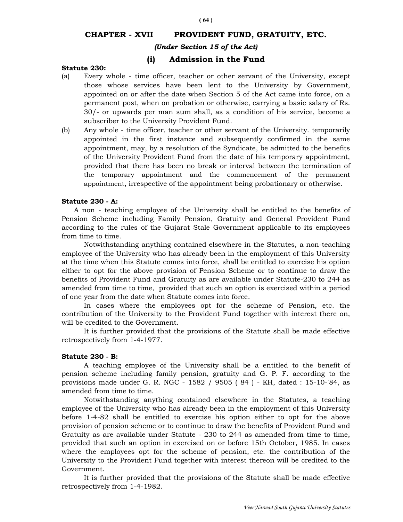# CHAPTER - XVII PROVIDENT FUND, GRATUITY, ETC.

### (Under Section 15 of the Act)

### (i) Admission in the Fund

#### Statute 230:

- (a) Every whole time officer, teacher or other servant of the University, except those whose services have been lent to the University by Government, appointed on or after the date when Section 5 of the Act came into force, on a permanent post, when on probation or otherwise, carrying a basic salary of Rs. 30/- or upwards per man sum shall, as a condition of his service, become a subscriber to the University Provident Fund.
- (b) Any whole time officer, teacher or other servant of the University. temporarily appointed in the first instance and subsequently confirmed in the same appointment, may, by a resolution of the Syndicate, be admitted to the benefits of the University Provident Fund from the date of his temporary appointment, provided that there has been no break or interval between the termination of the temporary appointment and the commencement of the permanent appointment, irrespective of the appointment being probationary or otherwise.

#### Statute 230 - A:

 A non - teaching employee of the University shall be entitled to the benefits of Pension Scheme including Family Pension, Gratuity and General Provident Fund according to the rules of the Gujarat Stale Government applicable to its employees from time to time.

 Notwithstanding anything contained elsewhere in the Statutes, a non-teaching employee of the University who has already been in the employment of this University at the time when this Statute comes into force, shall be entitled to exercise his option either to opt for the above provision of Pension Scheme or to continue to draw the benefits of Provident Fund and Gratuity as are available under Statute-230 to 244 as amended from time to time, provided that such an option is exercised within a period of one year from the date when Statute comes into force.

 In cases where the employees opt for the scheme of Pension, etc. the contribution of the University to the Provident Fund together with interest there on, will be credited to the Government.

 It is further provided that the provisions of the Statute shall be made effective retrospectively from 1-4-1977.

#### Statute 230 - B:

 A teaching employee of the University shall be a entitled to the benefit of pension scheme including family pension, gratuity and G. P. F. according to the provisions made under G. R. NGC - 1582 / 9505 ( 84 ) - KH, dated : 15-10-'84, as amended from time to time.

 Notwithstanding anything contained elsewhere in the Statutes, a teaching employee of the University who has already been in the employment of this University before 1-4-82 shall be entitled to exercise his option either to opt for the above provision of pension scheme or to continue to draw the benefits of Provident Fund and Gratuity as are available under Statute - 230 to 244 as amended from time to time, provided that such an option in exercised on or before 15th October, 1985. In cases where the employees opt for the scheme of pension, etc. the contribution of the University to the Provident Fund together with interest thereon will be credited to the Government.

 It is further provided that the provisions of the Statute shall be made effective retrospectively from 1-4-1982.

( 64 )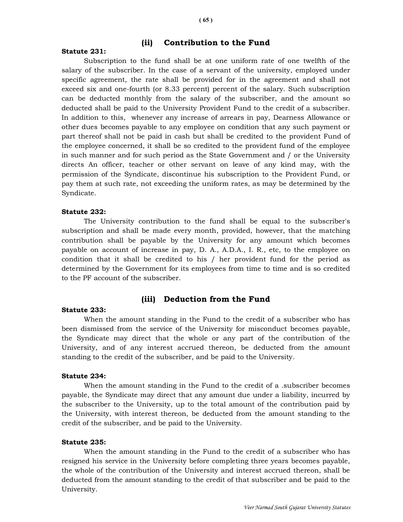### (ii) Contribution to the Fund

#### Statute 231:

 Subscription to the fund shall be at one uniform rate of one twelfth of the salary of the subscriber. In the case of a servant of the university, employed under specific agreement, the rate shall be provided for in the agreement and shall not exceed six and one-fourth (or 8.33 percent) percent of the salary. Such subscription can be deducted monthly from the salary of the subscriber, and the amount so deducted shall be paid to the University Provident Fund to the credit of a subscriber. In addition to this, whenever any increase of arrears in pay, Dearness Allowance or other dues becomes payable to any employee on condition that any such payment or part thereof shall not be paid in cash but shall be credited to the provident Fund of the employee concerned, it shall be so credited to the provident fund of the employee in such manner and for such period as the State Government and / or the University directs An officer, teacher or other servant on leave of any kind may, with the permission of the Syndicate, discontinue his subscription to the Provident Fund, or pay them at such rate, not exceeding the uniform rates, as may be determined by the Syndicate.

#### Statute 232:

 The University contribution to the fund shall be equal to the subscriber's subscription and shall be made every month, provided, however, that the matching contribution shall be payable by the University for any amount which becomes payable on account of increase in pay, D. A., A.D.A., I. R., etc, to the employee on condition that it shall be credited to his / her provident fund for the period as determined by the Government for its employees from time to time and is so credited to the PF account of the subscriber.

#### (iii) Deduction from the Fund

#### Statute 233:

 When the amount standing in the Fund to the credit of a subscriber who has been dismissed from the service of the University for misconduct becomes payable, the Syndicate may direct that the whole or any part of the contribution of the University, and of any interest accrued thereon, be deducted from the amount standing to the credit of the subscriber, and be paid to the University.

#### Statute 234:

When the amount standing in the Fund to the credit of a subscriber becomes payable, the Syndicate may direct that any amount due under a liability, incurred by the subscriber to the University, up to the total amount of the contribution paid by the University, with interest thereon, be deducted from the amount standing to the credit of the subscriber, and be paid to the University.

#### Statute 235:

 When the amount standing in the Fund to the credit of a subscriber who has resigned his service in the University before completing three years becomes payable, the whole of the contribution of the University and interest accrued thereon, shall be deducted from the amount standing to the credit of that subscriber and be paid to the University.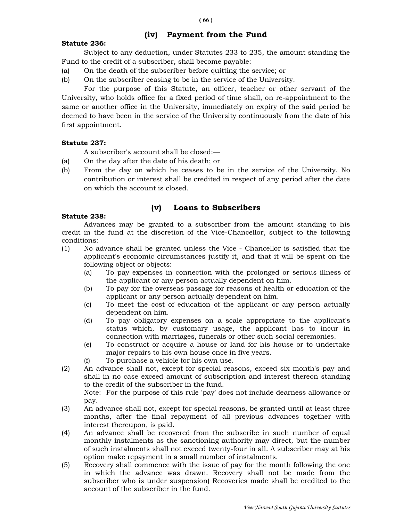# (iv) Payment from the Fund

### Statute 236:

 Subject to any deduction, under Statutes 233 to 235, the amount standing the Fund to the credit of a subscriber, shall become payable:

- (a) On the death of the subscriber before quitting the service; or
- (b) On the subscriber ceasing to be in the service of the University.

 For the purpose of this Statute, an officer, teacher or other servant of the University, who holds office for a fixed period of time shall, on re-appointment to the same or another office in the University, immediately on expiry of the said period be deemed to have been in the service of the University continuously from the date of his first appointment.

### Statute 237:

A subscriber's account shall be closed:—

- (a) On the day after the date of his death; or
- (b) From the day on which he ceases to be in the service of the University. No contribution or interest shall be credited in respect of any period after the date on which the account is closed.

# (v) Loans to Subscribers

### Statute 238:

 Advances may be granted to a subscriber from the amount standing to his credit in the fund at the discretion of the Vice-Chancellor, subject to the following conditions:

- (1) No advance shall be granted unless the Vice Chancellor is satisfied that the applicant's economic circumstances justify it, and that it will be spent on the following object or objects:
	- (a) To pay expenses in connection with the prolonged or serious illness of the applicant or any person actually dependent on him.
	- (b) To pay for the overseas passage for reasons of health or education of the applicant or any person actually dependent on him.
	- (c) To meet the cost of education of the applicant or any person actually dependent on him.
	- (d) To pay obligatory expenses on a scale appropriate to the applicant's status which, by customary usage, the applicant has to incur in connection with marriages, funerals or other such social ceremonies.
	- (e) To construct or acquire a house or land for his house or to undertake major repairs to his own house once in five years.
	- (f) To purchase a vehicle for his own use.
- (2) An advance shall not, except for special reasons, exceed six month's pay and shall in no case exceed amount of subscription and interest thereon standing to the credit of the subscriber in the fund.

 Note: For the purpose of this rule 'pay' does not include dearness allowance or pay.

- (3) An advance shall not, except for special reasons, be granted until at least three months, after the final repayment of all previous advances together with interest thereupon, is paid.
- (4) An advance shall be recovered from the subscribe in such number of equal monthly instalments as the sanctioning authority may direct, but the number of such instalments shall not exceed twenty-four in all. A subscriber may at his option make repayment in a small number of instalments.
- (5) Recovery shall commence with the issue of pay for the month following the one in which the advance was drawn. Recovery shall not be made from the subscriber who is under suspension) Recoveries made shall be credited to the account of the subscriber in the fund.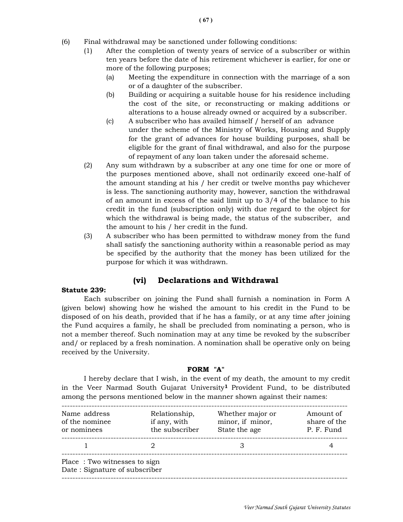- (6) Final withdrawal may be sanctioned under following conditions:
	- (1) After the completion of twenty years of service of a subscriber or within ten years before the date of his retirement whichever is earlier, for one or more of the following purposes;
		- (a) Meeting the expenditure in connection with the marriage of a son or of a daughter of the subscriber.
		- (b) Building or acquiring a suitable house for his residence including the cost of the site, or reconstructing or making additions or alterations to a house already owned or acquired by a subscriber.
		- (c) A subscriber who has availed himself / herself of an advance under the scheme of the Ministry of Works, Housing and Supply for the grant of advances for house building purposes, shall be eligible for the grant of final withdrawal, and also for the purpose of repayment of any loan taken under the aforesaid scheme.
	- (2) Any sum withdrawn by a subscriber at any one time for one or more of the purposes mentioned above, shall not ordinarily exceed one-half of the amount standing at his / her credit or twelve months pay whichever is less. The sanctioning authority may, however, sanction the withdrawal of an amount in excess of the said limit up to 3/4 of the balance to his credit in the fund (subscription only) with due regard to the object for which the withdrawal is being made, the status of the subscriber, and the amount to his / her credit in the fund.
	- (3) A subscriber who has been permitted to withdraw money from the fund shall satisfy the sanctioning authority within a reasonable period as may be specified by the authority that the money has been utilized for the purpose for which it was withdrawn.

# (vi) Declarations and Withdrawal

#### Statute 239:

 Each subscriber on joining the Fund shall furnish a nomination in Form A (given below) showing how he wished the amount to his credit in the Fund to be disposed of on his death, provided that if he has a family, or at any time after joining the Fund acquires a family, he shall be precluded from nominating a person, who is not a member thereof. Such nomination may at any time be revoked by the subscriber and/ or replaced by a fresh nomination. A nomination shall be operative only on being received by the University.

### FORM "A"

 I hereby declare that I wish, in the event of my death, the amount to my credit in the Veer Narmad South Gujarat University<sup>1</sup> Provident Fund, to be distributed among the persons mentioned below in the manner shown against their names:

| Name address<br>of the nominee<br>or nominees                 | Relationship,<br>if any, with<br>the subscriber | Whether major or<br>minor, if minor,<br>State the age | Amount of<br>share of the<br>P. F. Fund |  |
|---------------------------------------------------------------|-------------------------------------------------|-------------------------------------------------------|-----------------------------------------|--|
|                                                               |                                                 |                                                       |                                         |  |
| Place: Two witnesses to sign<br>Date: Signature of subscriber |                                                 |                                                       |                                         |  |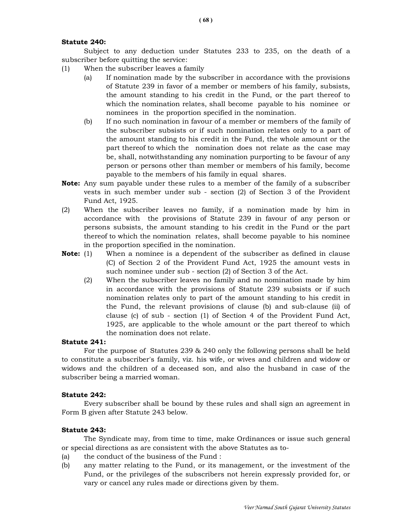#### Statute 240:

 Subject to any deduction under Statutes 233 to 235, on the death of a subscriber before quitting the service:

- (1) When the subscriber leaves a family
	- (a) If nomination made by the subscriber in accordance with the provisions of Statute 239 in favor of a member or members of his family, subsists, the amount standing to his credit in the Fund, or the part thereof to which the nomination relates, shall become payable to his nominee or nominees in the proportion specified in the nomination.
	- (b) If no such nomination in favour of a member or members of the family of the subscriber subsists or if such nomination relates only to a part of the amount standing to his credit in the Fund, the whole amount or the part thereof to which the nomination does not relate as the case may be, shall, notwithstanding any nomination purporting to be favour of any person or persons other than member or members of his family, become payable to the members of his family in equal shares.
- **Note:** Any sum payable under these rules to a member of the family of a subscriber vests in such member under sub - section (2) of Section 3 of the Provident Fund Act, 1925.
- (2) When the subscriber leaves no family, if a nomination made by him in accordance with the provisions of Statute 239 in favour of any person or persons subsists, the amount standing to his credit in the Fund or the part thereof to which the nomination relates, shall become payable to his nominee in the proportion specified in the nomination.
- **Note:** (1) When a nominee is a dependent of the subscriber as defined in clause (C) of Section 2 of the Provident Fund Act, 1925 the amount vests in such nominee under sub - section (2) of Section 3 of the Act.
	- (2) When the subscriber leaves no family and no nomination made by him in accordance with the provisions of Statute 239 subsists or if such nomination relates only to part of the amount standing to his credit in the Fund, the relevant provisions of clause (b) and sub-clause (ii) of clause (c) of sub - section (1) of Section 4 of the Provident Fund Act, 1925, are applicable to the whole amount or the part thereof to which the nomination does not relate.

### Statute 241:

For the purpose of Statutes 239 & 240 only the following persons shall be held to constitute a subscriber's family, viz. his wife, or wives and children and widow or widows and the children of a deceased son, and also the husband in case of the subscriber being a married woman.

#### Statute 242:

 Every subscriber shall be bound by these rules and shall sign an agreement in Form B given after Statute 243 below.

#### Statute 243:

The Syndicate may, from time to time, make Ordinances or issue such general or special directions as are consistent with the above Statutes as to-

- (a) the conduct of the business of the Fund :
- (b) any matter relating to the Fund, or its management, or the investment of the Fund, or the privileges of the subscribers not herein expressly provided for, or vary or cancel any rules made or directions given by them.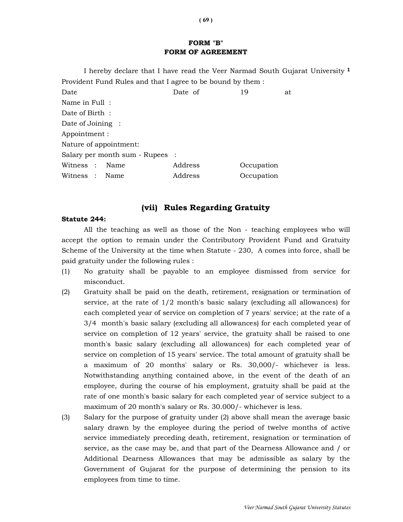# FORM "B" FORM OF AGREEMENT

I hereby declare that I have read the Veer Narmad South Gujarat University<sup>1</sup> Provident Fund Rules and that I agree to be bound by them :

Date 19 at Date of 19 at Name in Full : Date of Birth : Date of Joining : Appointment : Nature of appointment: Salary per month sum - Rupees : Witness : Name Address Occupation Witness : Name Address Occupation

# (vii) Rules Regarding Gratuity

#### Statute 244:

 All the teaching as well as those of the Non - teaching employees who will accept the option to remain under the Contributory Provident Fund and Gratuity Scheme of the University at the time when Statute - 230, A comes into force, shall be paid gratuity under the following rules :

- (1) No gratuity shall be payable to an employee dismissed from service for misconduct.
- (2) Gratuity shall be paid on the death, retirement, resignation or termination of service, at the rate of 1/2 month's basic salary (excluding all allowances) for each completed year of service on completion of 7 years' service; at the rate of a 3/4 month's basic salary (excluding all allowances) for each completed year of service on completion of 12 years' service, the gratuity shall be raised to one month's basic salary (excluding all allowances) for each completed year of service on completion of 15 years' service. The total amount of gratuity shall be a maximum of 20 months' salary or Rs. 30,000/- whichever is less. Notwithstanding anything contained above, in the event of the death of an employee, during the course of his employment, gratuity shall be paid at the rate of one month's basic salary for each completed year of service subject to a maximum of 20 month's salary or Rs. 30.000/- whichever is less.
- (3) Salary for the purpose of gratuity under (2) above shall mean the average basic salary drawn by the employee during the period of twelve months of active service immediately preceding death, retirement, resignation or termination of service, as the case may be, and that part of the Dearness Allowance and / or Additional Dearness Allowances that may be admissible as salary by the Government of Gujarat for the purpose of determining the pension to its employees from time to time.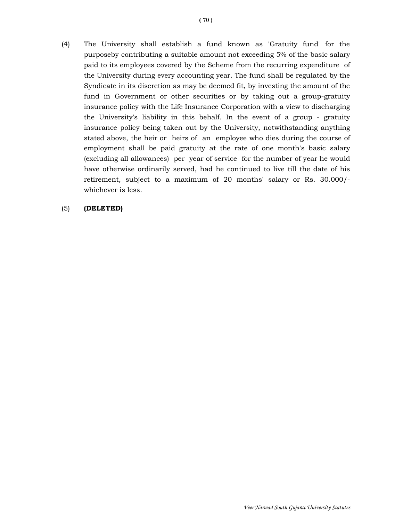(4) The University shall establish a fund known as 'Gratuity fund' for the purposeby contributing a suitable amount not exceeding 5% of the basic salary paid to its employees covered by the Scheme from the recurring expenditure of the University during every accounting year. The fund shall be regulated by the Syndicate in its discretion as may be deemed fit, by investing the amount of the fund in Government or other securities or by taking out a group-gratuity insurance policy with the Life Insurance Corporation with a view to discharging the University's liability in this behalf. In the event of a group - gratuity insurance policy being taken out by the University, notwithstanding anything stated above, the heir or heirs of an employee who dies during the course of employment shall be paid gratuity at the rate of one month's basic salary (excluding all allowances) per year of service for the number of year he would have otherwise ordinarily served, had he continued to live till the date of his retirement, subject to a maximum of 20 months' salary or Rs. 30.000/ whichever is less.

### (5) (DELETED)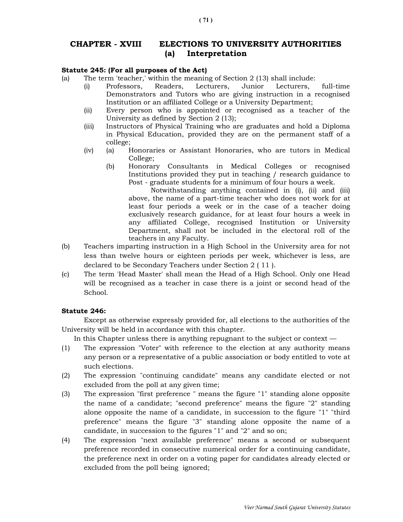# CHAPTER - XVIII ELECTIONS TO UNIVERSITY AUTHORITIES (a) Interpretation

#### Statute 245: (For all purposes of the Act)

- (a) The term 'teacher,' within the meaning of Section 2 (13) shall include:
	- (i) Professors, Readers, Lecturers, Junior Lecturers, full-time Demonstrators and Tutors who are giving instruction in a recognised Institution or an affiliated College or a University Department;
	- (ii) Every person who is appointed or recognised as a teacher of the University as defined by Section 2 (13);
	- (iii) Instructors of Physical Training who are graduates and hold a Diploma in Physical Education, provided they are on the permanent staff of a college;
	- (iv) (a) Honoraries or Assistant Honoraries, who are tutors in Medical College;
		- (b) Honorary Consultants in Medical Colleges or recognised Institutions provided they put in teaching / research guidance to Post - graduate students for a minimum of four hours a week.

 Notwithstanding anything contained in (i), (ii) and (iii) above, the name of a part-time teacher who does not work for at least four periods a week or in the case of a teacher doing exclusively research guidance, for at least four hours a week in any affiliated College, recognised Institution or University Department, shall not be included in the electoral roll of the teachers in any Faculty.

- (b) Teachers imparting instruction in a High School in the University area for not less than twelve hours or eighteen periods per week, whichever is less, are declared to be Secondary Teachers under Section 2 ( 11 ).
- (c) The term 'Head Master' shall mean the Head of a High School. Only one Head will be recognised as a teacher in case there is a joint or second head of the School.

#### Statute 246:

 Except as otherwise expressly provided for, all elections to the authorities of the University will be held in accordance with this chapter.

In this Chapter unless there is anything repugnant to the subject or context —

- (1) The expression "Voter" with reference to the election at any authority means any person or a representative of a public association or body entitled to vote at such elections.
- (2) The expression "continuing candidate" means any candidate elected or not excluded from the poll at any given time;
- (3) The expression "first preference " means the figure "1" standing alone opposite the name of a candidate; "second preference" means the figure "2" standing alone opposite the name of a candidate, in succession to the figure "1" "third preference" means the figure "3" standing alone opposite the name of a candidate, in succession to the figures "1" and "2" and so on;
- (4) The expression "next available preference" means a second or subsequent preference recorded in consecutive numerical order for a continuing candidate, the preference next in order on a voting paper for candidates already elected or excluded from the poll being ignored;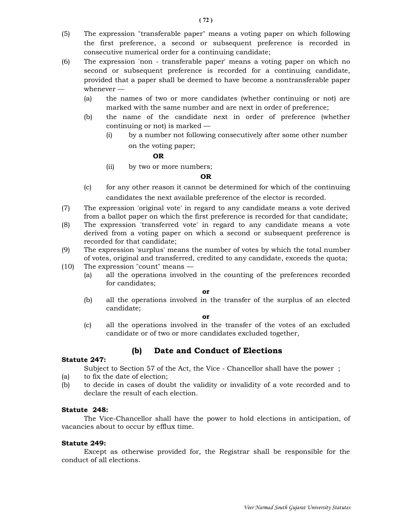- (5) The expression "transferable paper" means a voting paper on which following the first preference, a second or subsequent preference is recorded in consecutive numerical order for a continuing candidate;
- (6) The expression 'non transferable paper' means a voting paper on which no second or subsequent preference is recorded for a continuing candidate, provided that a paper shall be deemed to have become a nontransferable paper whenever —
	- (a) the names of two or more candidates (whether continuing or not) are marked with the same number and are next in order of preference;
	- (b) the name of the candidate next in order of preference (whether continuing or not) is marked —
		- (i) by a number not following consecutively after some other number on the voting paper;

### **OR** STREET STREET AND THE STREET STREET AND THE STREET STREET STREET AND THE STREET STREET AND THE STREET AND THE STREET AND THE STREET AND THE STREET AND THE STREET AND THE STREET AND THE STREET AND THE STREET AND THE ST

(ii) by two or more numbers;

#### OR

- (c) for any other reason it cannot be determined for which of the continuing candidates the next available preference of the elector is recorded.
- (7) The expression 'original vote' in regard to any candidate means a vote derived from a ballot paper on which the first preference is recorded for that candidate;
- (8) The expression 'transferred vote' in regard to any candidate means a vote derived from a voting paper on which a second or subsequent preference is recorded for that candidate;
- (9) The expression 'surplus' means the number of votes by which the total number of votes, original and transferred, credited to any candidate, exceeds the quota;
- (10) The expression "count" means
	- (a) all the operations involved in the counting of the preferences recorded for candidates;

#### or

 (b) all the operations involved in the transfer of the surplus of an elected candidate;

#### or

 (c) all the operations involved in the transfer of the votes of an excluded candidate or of two or more candidates excluded together,

#### Statute 247:

# (b) Date and Conduct of Elections

Subject to Section 57 of the Act, the Vice - Chancellor shall have the power ;

- (a) to fix the date of election;
- (b) to decide in cases of doubt the validity or invalidity of a vote recorded and to declare the result of each election.

#### Statute 248:

 The Vice-Chancellor shall have the power to hold elections in anticipation, of vacancies about to occur by efflux time.

#### Statute 249:

 Except as otherwise provided for, the Registrar shall be responsible for the conduct of all elections.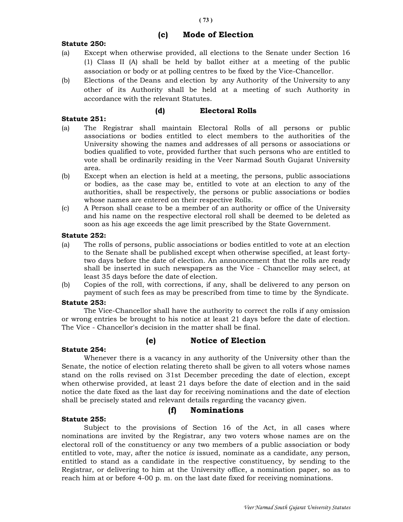# (c) Mode of Election

# Statute 250:

- (a) Except when otherwise provided, all elections to the Senate under Section 16 (1) Class II (A) shall be held by ballot either at a meeting of the public association or body or at polling centres to be fixed by the Vice-Chancellor.
- (b) Elections of the Deans and election by any Authority of the University to any other of its Authority shall be held at a meeting of such Authority in accordance with the relevant Statutes.

# (d) Electoral Rolls

# Statute 251:

- (a) The Registrar shall maintain Electoral Rolls of all persons or public associations or bodies entitled to elect members to the authorities of the University showing the names and addresses of all persons or associations or bodies qualified to vote, provided further that such persons who are entitled to vote shall be ordinarily residing in the Veer Narmad South Gujarat University area.
- (b) Except when an election is held at a meeting, the persons, public associations or bodies, as the case may be, entitled to vote at an election to any of the authorities, shall be respectively, the persons or public associations or bodies whose names are entered on their respective Rolls.
- (c) A Person shall cease to be a member of an authority or office of the University and his name on the respective electoral roll shall be deemed to be deleted as soon as his age exceeds the age limit prescribed by the State Government.

# Statute 252:

- (a) The rolls of persons, public associations or bodies entitled to vote at an election to the Senate shall be published except when otherwise specified, at least fortytwo days before the date of election. An announcement that the rolls are ready shall be inserted in such newspapers as the Vice - Chancellor may select, at least 35 days before the date of election.
- (b) Copies of the roll, with corrections, if any, shall be delivered to any person on payment of such fees as may be prescribed from time to time by the Syndicate.

# Statute 253:

The Vice-Chancellor shall have the authority to correct the rolls if any omission or wrong entries be brought to his notice at least 21 days before the date of election. The Vice - Chancellor's decision in the matter shall be final.

(e) Notice of Election

# Statute 254:

# Whenever there is a vacancy in any authority of the University other than the Senate, the notice of election relating thereto shall be given to all voters whose names stand on the rolls revised on 31st December preceding the date of election, except when otherwise provided, at least 21 days before the date of election and in the said notice the date fixed as the last day for receiving nominations and the date of election shall be precisely stated and relevant details regarding the vacancy given.

(f) Nominations

# Statute 255:

# Subject to the provisions of Section 16 of the Act, in all cases where nominations are invited by the Registrar, any two voters whose names are on the electoral roll of the constituency or any two members of a public association or body entitled to vote, may, after the notice is issued, nominate as a candidate, any person, entitled to stand as a candidate in the respective constituency, by sending to the Registrar, or delivering to him at the University office, a nomination paper, so as to reach him at or before 4-00 p. m. on the last date fixed for receiving nominations.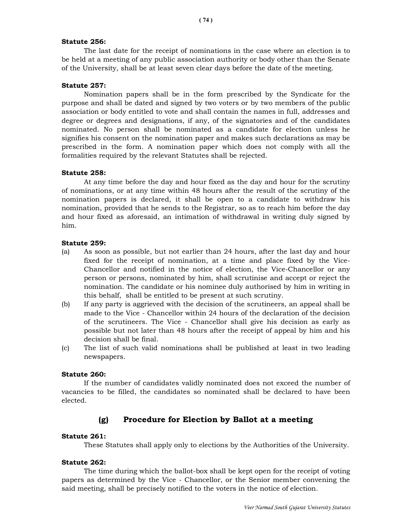## Statute 256:

 The last date for the receipt of nominations in the case where an election is to be held at a meeting of any public association authority or body other than the Senate of the University, shall be at least seven clear days before the date of the meeting.

## Statute 257:

 Nomination papers shall be in the form prescribed by the Syndicate for the purpose and shall be dated and signed by two voters or by two members of the public association or body entitled to vote and shall contain the names in full, addresses and degree or degrees and designations, if any, of the signatories and of the candidates nominated. No person shall be nominated as a candidate for election unless he signifies his consent on the nomination paper and makes such declarations as may be prescribed in the form. A nomination paper which does not comply with all the formalities required by the relevant Statutes shall be rejected.

#### Statute 258:

 At any time before the day and hour fixed as the day and hour for the scrutiny of nominations, or at any time within 48 hours after the result of the scrutiny of the nomination papers is declared, it shall be open to a candidate to withdraw his nomination, provided that he sends to the Registrar, so as to reach him before the day and hour fixed as aforesaid, an intimation of withdrawal in writing duly signed by him.

# Statute 259:

- (a) As soon as possible, but not earlier than 24 hours, after the last day and hour fixed for the receipt of nomination, at a time and place fixed by the Vice-Chancellor and notified in the notice of election, the Vice-Chancellor or any person or persons, nominated by him, shall scrutinise and accept or reject the nomination. The candidate or his nominee duly authorised by him in writing in this behalf, shall be entitled to be present at such scrutiny.
- (b) If any party is aggrieved with the decision of the scrutineers, an appeal shall be made to the Vice - Chancellor within 24 hours of the declaration of the decision of the scrutineers. The Vice - Chancellor shall give his decision as early as possible but not later than 48 hours after the receipt of appeal by him and his decision shall be final.
- (c) The list of such valid nominations shall be published at least in two leading newspapers.

#### Statute 260:

 If the number of candidates validly nominated does not exceed the number of vacancies to be filled, the candidates so nominated shall be declared to have been elected.

# (g) Procedure for Election by Ballot at a meeting

#### Statute 261:

These Statutes shall apply only to elections by the Authorities of the University.

#### Statute 262:

 The time during which the ballot-box shall be kept open for the receipt of voting papers as determined by the Vice - Chancellor, or the Senior member convening the said meeting, shall be precisely notified to the voters in the notice of election.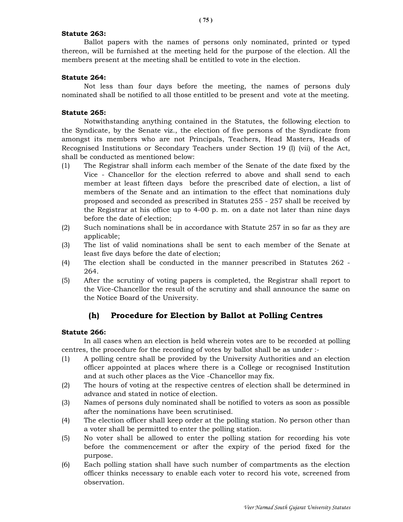## Statute 263:

Ballot papers with the names of persons only nominated, printed or typed thereon, will be furnished at the meeting held for the purpose of the election. All the members present at the meeting shall be entitled to vote in the election.

## Statute 264:

Not less than four days before the meeting, the names of persons duly nominated shall be notified to all those entitled to be present and vote at the meeting.

## Statute 265:

Notwithstanding anything contained in the Statutes, the following election to the Syndicate, by the Senate viz., the election of five persons of the Syndicate from amongst its members who are not Principals, Teachers, Head Masters, Heads of Recognised Institutions or Secondary Teachers under Section 19 (I) (vii) of the Act, shall be conducted as mentioned below:

- (1) The Registrar shall inform each member of the Senate of the date fixed by the Vice - Chancellor for the election referred to above and shall send to each member at least fifteen days before the prescribed date of election, a list of members of the Senate and an intimation to the effect that nominations duly proposed and seconded as prescribed in Statutes 255 - 257 shall be received by the Registrar at his office up to 4-00 p. m. on a date not later than nine days before the date of election;
- (2) Such nominations shall be in accordance with Statute 257 in so far as they are applicable;
- (3) The list of valid nominations shall be sent to each member of the Senate at least five days before the date of election;
- (4) The election shall be conducted in the manner prescribed in Statutes 262 264.
- (5) After the scrutiny of voting papers is completed, the Registrar shall report to the Vice-Chancellor the result of the scrutiny and shall announce the same on the Notice Board of the University.

# (h) Procedure for Election by Ballot at Polling Centres

#### Statute 266:

In all cases when an election is held wherein votes are to be recorded at polling centres, the procedure for the recording of votes by ballot shall be as under :-

- (1) A polling centre shall be provided by the University Authorities and an election officer appointed at places where there is a College or recognised Institution and at such other places as the Vice -Chancellor may fix.
- (2) The hours of voting at the respective centres of election shall be determined in advance and stated in notice of election.
- (3) Names of persons duly nominated shall be notified to voters as soon as possible after the nominations have been scrutinised.
- (4) The election officer shall keep order at the polling station. No person other than a voter shall be permitted to enter the polling station.
- (5) No voter shall be allowed to enter the polling station for recording his vote before the commencement or after the expiry of the period fixed for the purpose.
- (6) Each polling station shall have such number of compartments as the election officer thinks necessary to enable each voter to record his vote, screened from observation.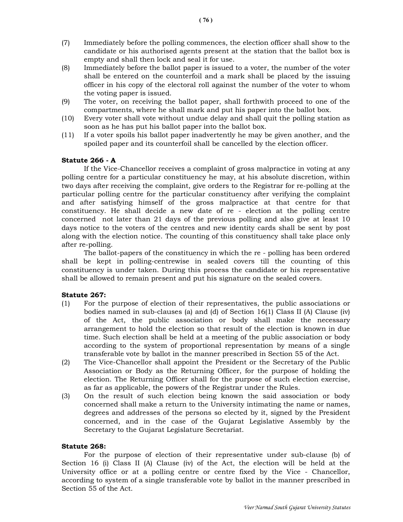- (7) Immediately before the polling commences, the election officer shall show to the candidate or his authorised agents present at the station that the ballot box is empty and shall then lock and seal it for use.
- (8) Immediately before the ballot paper is issued to a voter, the number of the voter shall be entered on the counterfoil and a mark shall be placed by the issuing officer in his copy of the electoral roll against the number of the voter to whom the voting paper is issued.
- (9) The voter, on receiving the ballot paper, shall forthwith proceed to one of the compartments, where he shall mark and put his paper into the ballot box.
- (10) Every voter shall vote without undue delay and shall quit the polling station as soon as he has put his ballot paper into the ballot box.
- (11) If a voter spoils his ballot paper inadvertently he may be given another, and the spoiled paper and its counterfoil shall be cancelled by the election officer.

#### Statute 266 - A

 If the Vice-Chancellor receives a complaint of gross malpractice in voting at any polling centre for a particular constituency he may, at his absolute discretion, within two days after receiving the complaint, give orders to the Registrar for re-polling at the particular polling centre for the particular constituency after verifying the complaint and after satisfying himself of the gross malpractice at that centre for that constituency. He shall decide a new date of re - election at the polling centre concerned not later than 21 days of the previous polling and also give at least 10 days notice to the voters of the centres and new identity cards shall be sent by post along with the election notice. The counting of this constituency shall take place only after re-polling.

 The ballot-papers of the constituency in which the re - polling has been ordered shall be kept in polling-centrewise in sealed covers till the counting of this constituency is under taken. During this process the candidate or his representative shall be allowed to remain present and put his signature on the sealed covers.

#### Statute 267:

- (1) For the purpose of election of their representatives, the public associations or bodies named in sub-clauses (a) and (d) of Section 16(1) Class II (A) Clause (iv) of the Act, the public association or body shall make the necessary arrangement to hold the election so that result of the election is known in due time. Such election shall be held at a meeting of the public association or body according to the system of proportional representation by means of a single transferable vote by ballot in the manner prescribed in Section 55 of the Act.
- (2) The Vice-Chancellor shall appoint the President or the Secretary of the Public Association or Body as the Returning Officer, for the purpose of holding the election. The Returning Officer shall for the purpose of such election exercise, as far as applicable, the powers of the Registrar under the Rules.
- (3) On the result of such election being known the said association or body concerned shall make a return to the University intimating the name or names, degrees and addresses of the persons so elected by it, signed by the President concerned, and in the case of the Gujarat Legislative Assembly by the Secretary to the Gujarat Legislature Secretariat.

#### Statute 268:

 For the purpose of election of their representative under sub-clause (b) of Section 16 (i) Class II (A) Clause (iv) of the Act, the election will be held at the University office or at a polling centre or centre fixed by the Vice - Chancellor, according to system of a single transferable vote by ballot in the manner prescribed in Section 55 of the Act.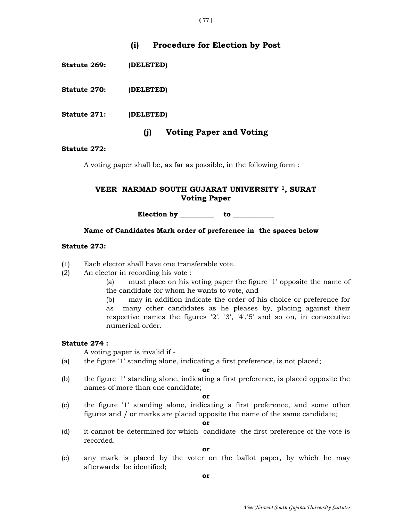# (i) Procedure for Election by Post

Statute 269: (DELETED)

Statute 270: (DELETED)

Statute 271: (DELETED)

# (j) Voting Paper and Voting

## Statute 272:

A voting paper shall be, as far as possible, in the following form :

# VEER NARMAD SOUTH GUJARAT UNIVERSITY 1, SURAT Voting Paper

Election by \_\_\_\_\_\_\_\_\_\_\_ to \_\_\_\_\_\_\_

## Name of Candidates Mark order of preference in the spaces below

#### Statute 273:

- (1) Each elector shall have one transferable vote.
- (2) An elector in recording his vote :
	- (a) must place on his voting paper the figure '1' opposite the name of the candidate for whom he wants to vote, and
	- (b) may in addition indicate the order of his choice or preference for as many other candidates as he pleases by, placing against their respective names the figures '2', '3', '4','5' and so on, in consecutive numerical order.

#### Statute 274 :

A voting paper is invalid if -

(a) the figure '1' standing alone, indicating a first preference, is not placed;

#### or

(b) the figure '1' standing alone, indicating a first preference, is placed opposite the names of more than one candidate;

#### or

(c) the figure '1' standing alone, indicating a first preference, and some other figures and / or marks are placed opposite the name of the same candidate;

or

(d) it cannot be determined for which candidate the first preference of the vote is recorded.

or

(e) any mark is placed by the voter on the ballot paper, by which he may afterwards be identified;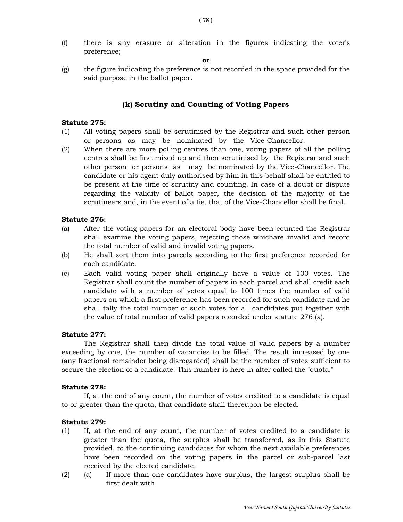(f) there is any erasure or alteration in the figures indicating the voter's preference;

or

(g) the figure indicating the preference is not recorded in the space provided for the said purpose in the ballot paper.

# (k) Scrutiny and Counting of Voting Papers

## Statute 275:

- (1) All voting papers shall be scrutinised by the Registrar and such other person or persons as may be nominated by the Vice-Chancellor.
- (2) When there are more polling centres than one, voting papers of all the polling centres shall be first mixed up and then scrutinised by the Registrar and such other person or persons as may be nominated by the Vice-Chancellor. The candidate or his agent duly authorised by him in this behalf shall be entitled to be present at the time of scrutiny and counting. In case of a doubt or dispute regarding the validity of ballot paper, the decision of the majority of the scrutineers and, in the event of a tie, that of the Vice-Chancellor shall be final.

#### Statute 276:

- (a) After the voting papers for an electoral body have been counted the Registrar shall examine the voting papers, rejecting those whichare invalid and record the total number of valid and invalid voting papers.
- (b) He shall sort them into parcels according to the first preference recorded for each candidate.
- (c) Each valid voting paper shall originally have a value of 100 votes. The Registrar shall count the number of papers in each parcel and shall credit each candidate with a number of votes equal to 100 times the number of valid papers on which a first preference has been recorded for such candidate and he shall tally the total number of such votes for all candidates put together with the value of total number of valid papers recorded under statute 276 (a).

#### Statute 277:

 The Registrar shall then divide the total value of valid papers by a number exceeding by one, the number of vacancies to be filled. The result increased by one (any fractional remainder being disregarded) shall be the number of votes sufficient to secure the election of a candidate. This number is here in after called the "quota."

#### Statute 278:

 If, at the end of any count, the number of votes credited to a candidate is equal to or greater than the quota, that candidate shall thereupon be elected.

#### Statute 279:

- (1) If, at the end of any count, the number of votes credited to a candidate is greater than the quota, the surplus shall be transferred, as in this Statute provided, to the continuing candidates for whom the next available preferences have been recorded on the voting papers in the parcel or sub-parcel last received by the elected candidate.
- (2) (a) If more than one candidates have surplus, the largest surplus shall be first dealt with.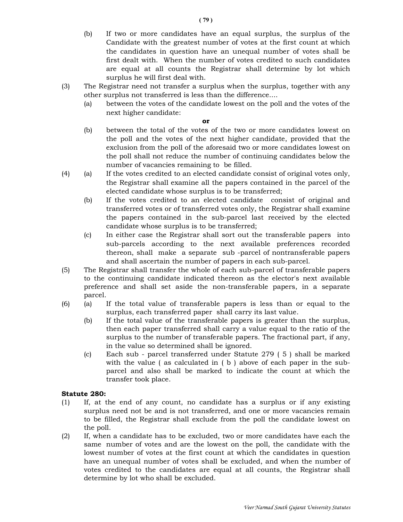- (b) If two or more candidates have an equal surplus, the surplus of the Candidate with the greatest number of votes at the first count at which the candidates in question have an unequal number of votes shall be first dealt with. When the number of votes credited to such candidates are equal at all counts the Registrar shall determine by lot which surplus he will first deal with.
- (3) The Registrar need not transfer a surplus when the surplus, together with any other surplus not transferred is less than the difference....
	- (a) between the votes of the candidate lowest on the poll and the votes of the next higher candidate:

or

- (b) between the total of the votes of the two or more candidates lowest on the poll and the votes of the next higher candidate, provided that the exclusion from the poll of the aforesaid two or more candidates lowest on the poll shall not reduce the number of continuing candidates below the number of vacancies remaining to be filled.
- (4) (a) If the votes credited to an elected candidate consist of original votes only, the Registrar shall examine all the papers contained in the parcel of the elected candidate whose surplus is to be transferred;
	- (b) If the votes credited to an elected candidate consist of original and transferred votes or of transferred votes only, the Registrar shall examine the papers contained in the sub-parcel last received by the elected candidate whose surplus is to be transferred;
	- (c) In either case the Registrar shall sort out the transferable papers into sub-parcels according to the next available preferences recorded thereon, shall make a separate sub -parcel of nontransferable papers and shall ascertain the number of papers in each sub-parcel.
- (5) The Registrar shall transfer the whole of each sub-parcel of transferable papers to the continuing candidate indicated thereon as the elector's next available preference and shall set aside the non-transferable papers, in a separate parcel.
- (6) (a) If the total value of transferable papers is less than or equal to the surplus, each transferred paper shall carry its last value.
	- (b) If the total value of the transferable papers is greater than the surplus, then each paper transferred shall carry a value equal to the ratio of the surplus to the number of transferable papers. The fractional part, if any, in the value so determined shall be ignored.
	- (c) Each sub parcel transferred under Statute 279 ( 5 ) shall be marked with the value (as calculated in (b) above of each paper in the subparcel and also shall be marked to indicate the count at which the transfer took place.

# Statute 280:

- (1) If, at the end of any count, no candidate has a surplus or if any existing surplus need not be and is not transferred, and one or more vacancies remain to be filled, the Registrar shall exclude from the poll the candidate lowest on the poll.
- (2) If, when a candidate has to be excluded, two or more candidates have each the same number of votes and are the lowest on the poll, the candidate with the lowest number of votes at the first count at which the candidates in question have an unequal number of votes shall be excluded, and when the number of votes credited to the candidates are equal at all counts, the Registrar shall determine by lot who shall be excluded.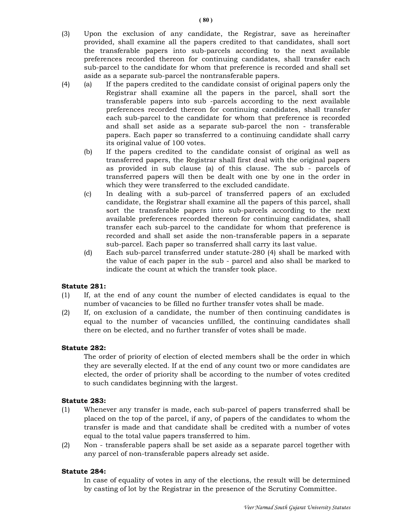- (3) Upon the exclusion of any candidate, the Registrar, save as hereinafter provided, shall examine all the papers credited to that candidates, shall sort the transferable papers into sub-parcels according to the next available preferences recorded thereon for continuing candidates, shall transfer each sub-parcel to the candidate for whom that preference is recorded and shall set aside as a separate sub-parcel the nontransferable papers.
- (4) (a) If the papers credited to the candidate consist of original papers only the Registrar shall examine all the papers in the parcel, shall sort the transferable papers into sub -parcels according to the next available preferences recorded thereon for continuing candidates, shall transfer each sub-parcel to the candidate for whom that preference is recorded and shall set aside as a separate sub-parcel the non - transferable papers. Each paper so transferred to a continuing candidate shall carry its original value of 100 votes.
	- (b) If the papers credited to the candidate consist of original as well as transferred papers, the Registrar shall first deal with the original papers as provided in sub clause (a) of this clause. The sub - parcels of transferred papers will then be dealt with one by one in the order in which they were transferred to the excluded candidate.
	- (c) In dealing with a sub-parcel of transferred papers of an excluded candidate, the Registrar shall examine all the papers of this parcel, shall sort the transferable papers into sub-parcels according to the next available preferences recorded thereon for continuing candidates, shall transfer each sub-parcel to the candidate for whom that preference is recorded and shall set aside the non-transferable papers in a separate sub-parcel. Each paper so transferred shall carry its last value.
	- (d) Each sub-parcel transferred under statute-280 (4) shall be marked with the value of each paper in the sub - parcel and also shall be marked to indicate the count at which the transfer took place.

# Statute 281:

- (1) If, at the end of any count the number of elected candidates is equal to the number of vacancies to be filled no further transfer votes shall be made.
- (2) If, on exclusion of a candidate, the number of then continuing candidates is equal to the number of vacancies unfilled, the continuing candidates shall there on be elected, and no further transfer of votes shall be made.

# Statute 282:

 The order of priority of election of elected members shall be the order in which they are severally elected. If at the end of any count two or more candidates are elected, the order of priority shall be according to the number of votes credited to such candidates beginning with the largest.

# Statute 283:

- (1) Whenever any transfer is made, each sub-parcel of papers transferred shall be placed on the top of the parcel, if any, of papers of the candidates to whom the transfer is made and that candidate shall be credited with a number of votes equal to the total value papers transferred to him.
- (2) Non transferable papers shall be set aside as a separate parcel together with any parcel of non-transferable papers already set aside.

# Statute 284:

 In case of equality of votes in any of the elections, the result will be determined by casting of lot by the Registrar in the presence of the Scrutiny Committee.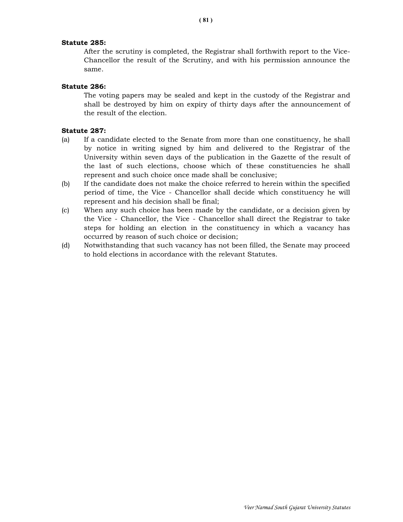## Statute 285:

 After the scrutiny is completed, the Registrar shall forthwith report to the Vice-Chancellor the result of the Scrutiny, and with his permission announce the same.

## Statute 286:

 The voting papers may be sealed and kept in the custody of the Registrar and shall be destroyed by him on expiry of thirty days after the announcement of the result of the election.

## Statute 287:

- (a) If a candidate elected to the Senate from more than one constituency, he shall by notice in writing signed by him and delivered to the Registrar of the University within seven days of the publication in the Gazette of the result of the last of such elections, choose which of these constituencies he shall represent and such choice once made shall be conclusive;
- (b) If the candidate does not make the choice referred to herein within the specified period of time, the Vice - Chancellor shall decide which constituency he will represent and his decision shall be final;
- (c) When any such choice has been made by the candidate, or a decision given by the Vice - Chancellor, the Vice - Chancellor shall direct the Registrar to take steps for holding an election in the constituency in which a vacancy has occurred by reason of such choice or decision;
- (d) Notwithstanding that such vacancy has not been filled, the Senate may proceed to hold elections in accordance with the relevant Statutes.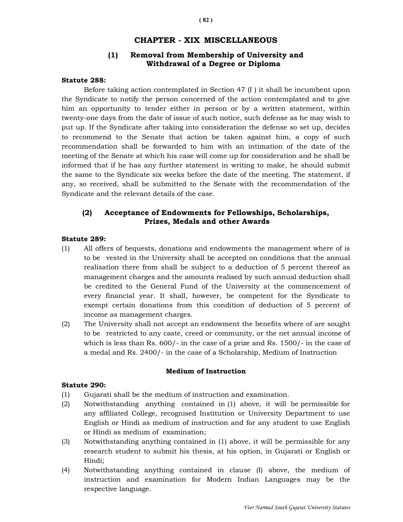# CHAPTER - XIX MISCELLANEOUS

# (1) Removal from Membership of University and Withdrawal of a Degree or Diploma

## Statute 288:

Before taking action contemplated in Section 47 (I ) it shall be incumbent upon the Syndicate to notify the person concerned of the action contemplated and to give him an opportunity to tender either in person or by a written statement, within twenty-one days from the date of issue of such notice, such defense as he may wish to put up. If the Syndicate after taking into consideration the defense so set up, decides to recommend to the Senate that action be taken against him, a copy of such recommendation shall be forwarded to him with an intimation of the date of the meeting of the Senate at which his case will come up for consideration and he shall be informed that if he has any further statement in writing to make, he should submit the same to the Syndicate six weeks before the date of the meeting. The statement, if any, so received, shall be submitted to the Senate with the recommendation of the Syndicate and the relevant details of the case.

# (2) Acceptance of Endowments for Fellowships, Scholarships, Prizes, Medals and other Awards

# Statute 289:

- (1) All offers of bequests, donations and endowments the management where of is to be vested in the University shall be accepted on conditions that the annual realisation there from shall be subject to a deduction of 5 percent thereof as management charges and the amounts realised by such annual deduction shall be credited to the General Fund of the University at the commencement of every financial year. It shall, however, be competent for the Syndicate to exempt certain donations from this condition of deduction of 5 percent of income as management charges.
- (2) The University shall not accept an endowment the benefits where of are sought to be restricted to any caste, creed or community, or the net annual income of which is less than Rs. 600/- in the case of a prize and Rs. 1500/- in the case of a medal and Rs. 2400/- in the case of a Scholarship, Medium of Instruction

#### Medium of Instruction

#### Statute 290:

- (1) Gujarati shall be the medium of instruction and examination.
- (2) Notwithstanding anything contained in (1) above, it will be permissible for any affiliated College, recognised Institution or University Department to use English or Hindi as medium of instruction and for any student to use English or Hindi as medium of examination;
- (3) Notwithstanding anything contained in (1) above, it will be permissible for any research student to submit his thesis, at his option, in Gujarati or English or Hindi;
- (4) Notwithstanding anything contained in clause (I) above, the medium of instruction and examination for Modern Indian Languages may be the respective language.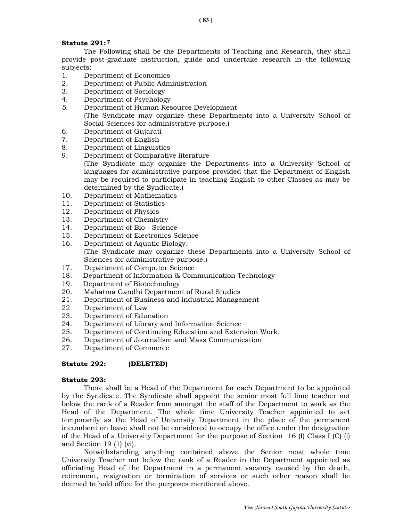# Statute 291: <sup>7</sup>

 The Following shall be the Departments of Teaching and Research, they shall provide post-graduate instruction, guide and undertake research in the following subjects:

- 1. Department of Economics
- 2. Department of Public Administration
- 3. Department of Sociology
- 4. Department of Psychology
- 5. Department of Human Resource Development (The Syndicate may organize these Departments into a University School of Social Sciences for administrative purpose.)
- 6. Department of Gujarati
- 7. Department of English
- 8. Department of Linguistics
- 9. Department of Comparative literature
	- (The Syndicate may organize the Departments into a University School of languages for administrative purpose provided that the Department of English may be required to participate in teaching English to other Classes as may be determined by the Syndicate.)
- 10. Department of Mathematics
- 11. Department of Statistics
- 12. Department of Physics
- 13. Department of Chemistry
- 14. Department of Bio Science
- 15. Department of Electronics Science
- 16. Department of Aquatic Biology. (The Syndicate may organize these Departments into a University School of Sciences for administrative purpose.)
- 17. Department of Computer Science
- 18. Department of Information & Communication Technology
- 19. Department of Biotechnology
- 20. Mahatma Gandhi Department of Rural Studies
- 21. Department of Business and industrial Management
- 22 Department of Law
- 23. Department of Education
- 24. Department of Library and Information Science
- 25. Department of Continuing Education and Extension Work.
- 26. Department of Journalism and Mass Communication
- 27. Department of Commerce

#### Statute 292: (DELETED)

#### Statute 293:

 There shall be a Head of the Department for each Department to be appointed by the Syndicate. The Syndicate shall appoint the senior most full lime teacher not below the rank of a Reader from amongst the staff of the Department to work as the Head of the Department. The whole time University Teacher appointed to act temporarily as the Head of University Department in the place of the permanent incumbent on leave shall not be considered to occupy the office under the designation of the Head of a University Department for the purpose of Section 16 (I) Class I (C) (i) and Section 19 (1) (vi).

 Notwithstanding anything contained above the Senior most whole time University Teacher not below the rank of a Reader in the Department appointed as officiating Head of the Department in a permanent vacancy caused by the death, retirement, resignation or termination of services or such other reason shall be deemed to hold office for the purposes mentioned above.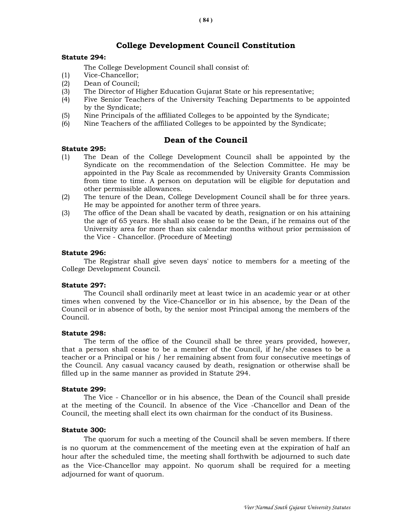# College Development Council Constitution

## Statute 294:

The College Development Council shall consist of:

- (1) Vice-Chancellor;
- (2) Dean of Council;
- (3) The Director of Higher Education Gujarat State or his representative;
- (4) Five Senior Teachers of the University Teaching Departments to be appointed by the Syndicate;
- (5) Nine Principals of the affiliated Colleges to be appointed by the Syndicate;
- (6) Nine Teachers of the affiliated Colleges to be appointed by the Syndicate;

# Dean of the Council

## Statute 295:

- (1) The Dean of the College Development Council shall be appointed by the Syndicate on the recommendation of the Selection Committee. He may be appointed in the Pay Scale as recommended by University Grants Commission from time to time. A person on deputation will be eligible for deputation and other permissible allowances.
- (2) The tenure of the Dean, College Development Council shall be for three years. He may be appointed for another term of three years.
- (3) The office of the Dean shall be vacated by death, resignation or on his attaining the age of 65 years. He shall also cease to be the Dean, if he remains out of the University area for more than six calendar months without prior permission of the Vice - Chancellor. (Procedure of Meeting)

## Statute 296:

 The Registrar shall give seven days' notice to members for a meeting of the College Development Council.

#### Statute 297:

 The Council shall ordinarily meet at least twice in an academic year or at other times when convened by the Vice-Chancellor or in his absence, by the Dean of the Council or in absence of both, by the senior most Principal among the members of the Council.

### Statute 298:

 The term of the office of the Council shall be three years provided, however, that a person shall cease to be a member of the Council, if he/she ceases to be a teacher or a Principal or his / her remaining absent from four consecutive meetings of the Council. Any casual vacancy caused by death, resignation or otherwise shall be filled up in the same manner as provided in Statute 294.

#### Statute 299:

 The Vice - Chancellor or in his absence, the Dean of the Council shall preside at the meeting of the Council. In absence of the Vice -Chancellor and Dean of the Council, the meeting shall elect its own chairman for the conduct of its Business.

#### Statute 300:

 The quorum for such a meeting of the Council shall be seven members. If there is no quorum at the commencement of the meeting even at the expiration of half an hour after the scheduled time, the meeting shall forthwith be adjourned to such date as the Vice-Chancellor may appoint. No quorum shall be required for a meeting adjourned for want of quorum.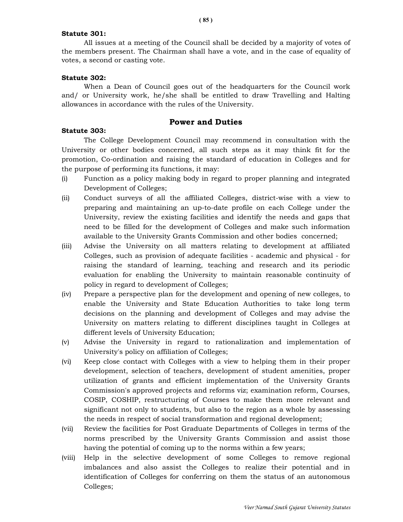### Statute 301:

 All issues at a meeting of the Council shall be decided by a majority of votes of the members present. The Chairman shall have a vote, and in the case of equality of votes, a second or casting vote.

## Statute 302:

 When a Dean of Council goes out of the headquarters for the Council work and/ or University work, he/she shall be entitled to draw Travelling and Halting allowances in accordance with the rules of the University.

# Power and Duties

## Statute 303:

 The College Development Council may recommend in consultation with the University or other bodies concerned, all such steps as it may think fit for the promotion, Co-ordination and raising the standard of education in Colleges and for the purpose of performing its functions, it may:

- (i) Function as a policy making body in regard to proper planning and integrated Development of Colleges;
- (ii) Conduct surveys of all the affiliated Colleges, district-wise with a view to preparing and maintaining an up-to-date profile on each College under the University, review the existing facilities and identify the needs and gaps that need to be filled for the development of Colleges and make such information available to the University Grants Commission and other bodies concerned;
- (iii) Advise the University on all matters relating to development at affiliated Colleges, such as provision of adequate facilities - academic and physical - for raising the standard of learning, teaching and research and its periodic evaluation for enabling the University to maintain reasonable continuity of policy in regard to development of Colleges;
- (iv) Prepare a perspective plan for the development and opening of new colleges, to enable the University and State Education Authorities to take long term decisions on the planning and development of Colleges and may advise the University on matters relating to different disciplines taught in Colleges at different levels of University Education;
- (v) Advise the University in regard to rationalization and implementation of University's policy on affiliation of Colleges;
- (vi) Keep close contact with Colleges with a view to helping them in their proper development, selection of teachers, development of student amenities, proper utilization of grants and efficient implementation of the University Grants Commission's approved projects and reforms viz; examination reform, Courses, COSIP, COSHIP, restructuring of Courses to make them more relevant and significant not only to students, but also to the region as a whole by assessing the needs in respect of social transformation and regional development;
- (vii) Review the facilities for Post Graduate Departments of Colleges in terms of the norms prescribed by the University Grants Commission and assist those having the potential of coming up to the norms within a few years;
- (viii) Help in the selective development of some Colleges to remove regional imbalances and also assist the Colleges to realize their potential and in identification of Colleges for conferring on them the status of an autonomous Colleges;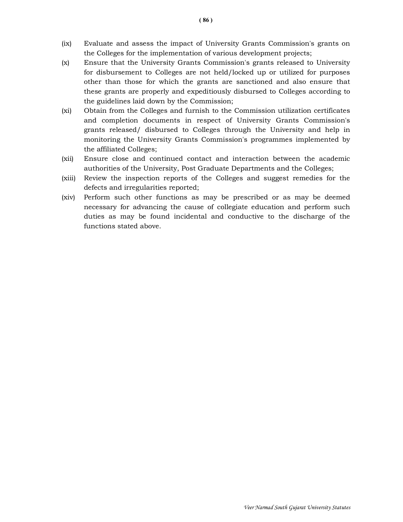- (ix) Evaluate and assess the impact of University Grants Commission's grants on the Colleges for the implementation of various development projects;
- (x) Ensure that the University Grants Commission's grants released to University for disbursement to Colleges are not held/locked up or utilized for purposes other than those for which the grants are sanctioned and also ensure that these grants are properly and expeditiously disbursed to Colleges according to the guidelines laid down by the Commission;
- (xi) Obtain from the Colleges and furnish to the Commission utilization certificates and completion documents in respect of University Grants Commission's grants released/ disbursed to Colleges through the University and help in monitoring the University Grants Commission's programmes implemented by the affiliated Colleges;
- (xii) Ensure close and continued contact and interaction between the academic authorities of the University, Post Graduate Departments and the Colleges;
- (xiii) Review the inspection reports of the Colleges and suggest remedies for the defects and irregularities reported;
- (xiv) Perform such other functions as may be prescribed or as may be deemed necessary for advancing the cause of collegiate education and perform such duties as may be found incidental and conductive to the discharge of the functions stated above.